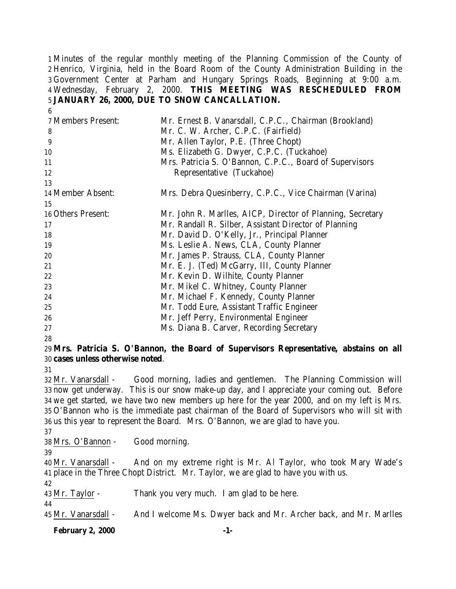Minutes of the regular monthly meeting of the Planning Commission of the County of Henrico, Virginia, held in the Board Room of the County Administration Building in the Government Center at Parham and Hungary Springs Roads, Beginning at 9:00 a.m. Wednesday, February 2, 2000. **THIS MEETING WAS RESCHEDULED FROM JANUARY 26, 2000, DUE TO SNOW CANCALLATION.**

| 7 Members Present: | Mr. Ernest B. Vanarsdall, C.P.C., Chairman (Brookland)     |
|--------------------|------------------------------------------------------------|
| 8                  | Mr. C. W. Archer, C.P.C. (Fairfield)                       |
| 9                  | Mr. Allen Taylor, P.E. (Three Chopt)                       |
| 10                 | Ms. Elizabeth G. Dwyer, C.P.C. (Tuckahoe)                  |
| 11                 | Mrs. Patricia S. O'Bannon, C.P.C., Board of Supervisors    |
| 12                 | Representative (Tuckahoe)                                  |
| 13                 |                                                            |
| 14 Member Absent:  | Mrs. Debra Quesinberry, C.P.C., Vice Chairman (Varina)     |
| 15                 |                                                            |
| 16 Others Present: | Mr. John R. Marlles, AICP, Director of Planning, Secretary |
| 17                 | Mr. Randall R. Silber, Assistant Director of Planning      |
| 18                 | Mr. David D. O'Kelly, Jr., Principal Planner               |
| 19                 | Ms. Leslie A. News, CLA, County Planner                    |
| 20                 | Mr. James P. Strauss, CLA, County Planner                  |
| 21                 | Mr. E. J. (Ted) McGarry, III, County Planner               |
| 22                 | Mr. Kevin D. Wilhite, County Planner                       |
| 23                 | Mr. Mikel C. Whitney, County Planner                       |
| 24                 | Mr. Michael F. Kennedy, County Planner                     |
| 25                 | Mr. Todd Eure, Assistant Traffic Engineer                  |
| 26                 | Mr. Jeff Perry, Environmental Engineer                     |
| 27                 | Ms. Diana B. Carver, Recording Secretary                   |
| ററ                 |                                                            |

### 

### **Mrs. Patricia S. O'Bannon, the Board of Supervisors Representative, abstains on all cases unless otherwise noted**.

 Mr. Vanarsdall - Good morning, ladies and gentlemen. The Planning Commission will now get underway. This is our snow make-up day, and I appreciate your coming out. Before we get started, we have two new members up here for the year 2000, and on my left is Mrs. O'Bannon who is the immediate past chairman of the Board of Supervisors who will sit with us this year to represent the Board. Mrs. O'Bannon, we are glad to have you.

Mrs. O'Bannon - Good morning.

 Mr. Vanarsdall - And on my extreme right is Mr. Al Taylor, who took Mary Wade's place in the Three Chopt District. Mr. Taylor, we are glad to have you with us. 

Mr. Taylor - Thank you very much. I am glad to be here.

Mr. Vanarsdall - And I welcome Ms. Dwyer back and Mr. Archer back, and Mr. Marlles

**February 2, 2000 -1-**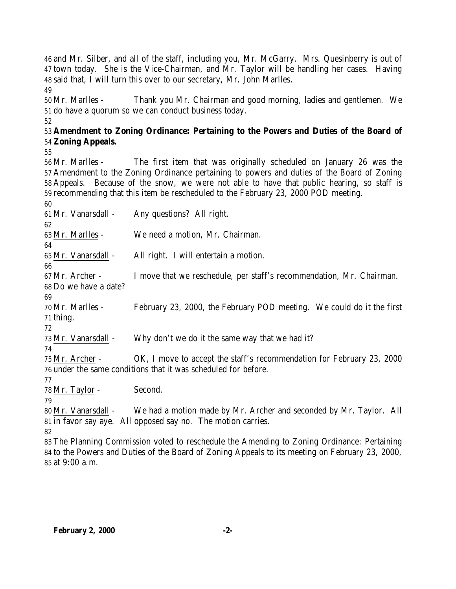and Mr. Silber, and all of the staff, including you, Mr. McGarry. Mrs. Quesinberry is out of town today. She is the Vice-Chairman, and Mr. Taylor will be handling her cases. Having said that, I will turn this over to our secretary, Mr. John Marlles. 

 Mr. Marlles - Thank you Mr. Chairman and good morning, ladies and gentlemen. We do have a quorum so we can conduct business today.

## **Amendment to Zoning Ordinance: Pertaining to the Powers and Duties of the Board of Zoning Appeals.**

 Mr. Marlles - The first item that was originally scheduled on January 26 was the Amendment to the Zoning Ordinance pertaining to powers and duties of the Board of Zoning Appeals. Because of the snow, we were not able to have that public hearing, so staff is recommending that this item be rescheduled to the February 23, 2000 POD meeting.

 Mr. Vanarsdall - Any questions? All right. Mr. Marlles - We need a motion, Mr. Chairman. Mr. Vanarsdall - All right. I will entertain a motion. Mr. Archer - I move that we reschedule, per staff's recommendation, Mr. Chairman. Do we have a date? Mr. Marlles - February 23, 2000, the February POD meeting. We could do it the first thing. 73 Mr. Vanarsdall - Why don't we do it the same way that we had it? Mr. Archer - OK, I move to accept the staff's recommendation for February 23, 2000 under the same conditions that it was scheduled for before. Mr. Taylor - Second. Mr. Vanarsdall - We had a motion made by Mr. Archer and seconded by Mr. Taylor. All

 in favor say aye. All opposed say no. The motion carries. 

 The Planning Commission voted to reschedule the Amending to Zoning Ordinance: Pertaining to the Powers and Duties of the Board of Zoning Appeals to its meeting on February 23, 2000, at 9:00 a.m.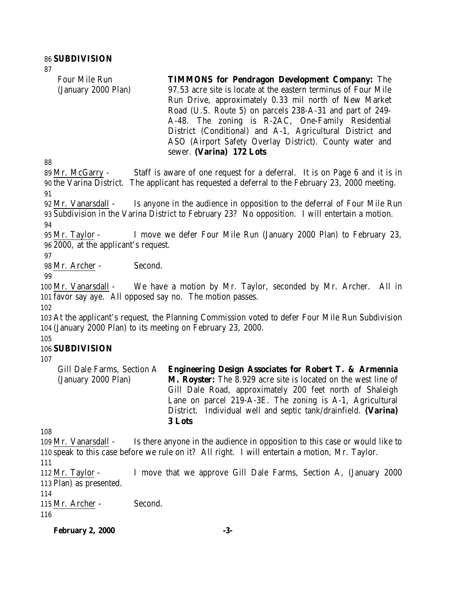Four Mile Run (January 2000 Plan) **TIMMONS for Pendragon Development Company:** The 97.53 acre site is locate at the eastern terminus of Four Mile Run Drive, approximately 0.33 mil north of New Market Road (U.S. Route 5) on parcels 238-A-31 and part of 249- A-48. The zoning is R-2AC, One-Family Residential District (Conditional) and A-1, Agricultural District and ASO (Airport Safety Overlay District). County water and sewer. **(Varina) 172 Lots**

 Mr. McGarry - Staff is aware of one request for a deferral. It is on Page 6 and it is in the Varina District. The applicant has requested a deferral to the February 23, 2000 meeting. 

 Mr. Vanarsdall - Is anyone in the audience in opposition to the deferral of Four Mile Run Subdivision in the Varina District to February 23? No opposition. I will entertain a motion.

 Mr. Taylor - I move we defer Four Mile Run (January 2000 Plan) to February 23, 2000, at the applicant's request.

Mr. Archer - Second.

 Mr. Vanarsdall - We have a motion by Mr. Taylor, seconded by Mr. Archer. All in favor say aye. All opposed say no. The motion passes.

 At the applicant's request, the Planning Commission voted to defer Four Mile Run Subdivision (January 2000 Plan) to its meeting on February 23, 2000.

# **SUBDIVISION**

Gill Dale Farms, Section A (January 2000 Plan) **Engineering Design Associates for Robert T. & Armennia M. Royster:** The 8.929 acre site is located on the west line of Gill Dale Road, approximately 200 feet north of Shaleigh Lane on parcel 219-A-3E. The zoning is A-1, Agricultural District. Individual well and septic tank/drainfield. **(Varina) 3 Lots**

 Mr. Vanarsdall - Is there anyone in the audience in opposition to this case or would like to speak to this case before we rule on it? All right. I will entertain a motion, Mr. Taylor. 

 Mr. Taylor - I move that we approve Gill Dale Farms, Section A, (January 2000 Plan) as presented.

Mr. Archer - Second.

**February 2, 2000 -3-**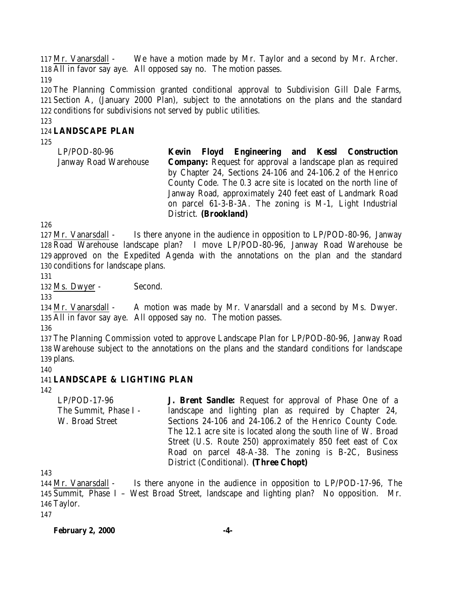Mr. Vanarsdall - We have a motion made by Mr. Taylor and a second by Mr. Archer. All in favor say aye. All opposed say no. The motion passes.

 The Planning Commission granted conditional approval to Subdivision Gill Dale Farms, Section A, (January 2000 Plan), subject to the annotations on the plans and the standard conditions for subdivisions not served by public utilities.

### **LANDSCAPE PLAN**

| LP/POD-80-96          | Kevin |                       |  | Floyd Engineering and Kessl Construction                          |
|-----------------------|-------|-----------------------|--|-------------------------------------------------------------------|
| Janway Road Warehouse |       |                       |  | <b>Company:</b> Request for approval a landscape plan as required |
|                       |       |                       |  | by Chapter 24, Sections 24-106 and 24-106.2 of the Henrico        |
|                       |       |                       |  | County Code. The 0.3 acre site is located on the north line of    |
|                       |       |                       |  | Janway Road, approximately 240 feet east of Landmark Road         |
|                       |       |                       |  | on parcel 61-3-B-3A. The zoning is M-1, Light Industrial          |
|                       |       | District. (Brookland) |  |                                                                   |

 Mr. Vanarsdall - Is there anyone in the audience in opposition to LP/POD-80-96, Janway Road Warehouse landscape plan? I move LP/POD-80-96, Janway Road Warehouse be approved on the Expedited Agenda with the annotations on the plan and the standard conditions for landscape plans.

Ms. Dwyer - Second.

 Mr. Vanarsdall - A motion was made by Mr. Vanarsdall and a second by Ms. Dwyer. All in favor say aye. All opposed say no. The motion passes.

 The Planning Commission voted to approve Landscape Plan for LP/POD-80-96, Janway Road Warehouse subject to the annotations on the plans and the standard conditions for landscape plans.

### **LANDSCAPE & LIGHTING PLAN**

LP/POD-17-96 The Summit, Phase I - W. Broad Street **J. Brent Sandle:** Request for approval of Phase One of a landscape and lighting plan as required by Chapter 24, Sections 24-106 and 24-106.2 of the Henrico County Code. The 12.1 acre site is located along the south line of W. Broad Street (U.S. Route 250) approximately 850 feet east of Cox Road on parcel 48-A-38. The zoning is B-2C, Business District (Conditional). **(Three Chopt)**

 Mr. Vanarsdall - Is there anyone in the audience in opposition to LP/POD-17-96, The Summit, Phase I – West Broad Street, landscape and lighting plan? No opposition. Mr. Taylor.

**February 2, 2000 -4-**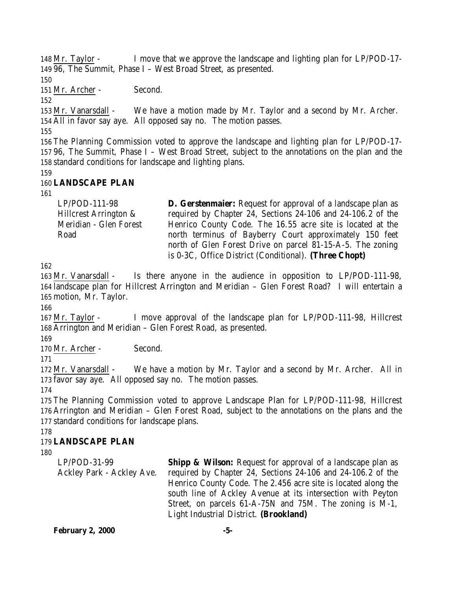Mr. Taylor - I move that we approve the landscape and lighting plan for LP/POD-17- 96, The Summit, Phase I – West Broad Street, as presented.

Mr. Archer - Second.

 Mr. Vanarsdall - We have a motion made by Mr. Taylor and a second by Mr. Archer. All in favor say aye. All opposed say no. The motion passes.

 The Planning Commission voted to approve the landscape and lighting plan for LP/POD-17- 96, The Summit, Phase I – West Broad Street, subject to the annotations on the plan and the standard conditions for landscape and lighting plans.

# **LANDSCAPE PLAN**

| LP/POD-111-98          | <b>D. Gerstenmaier:</b> Request for approval of a landscape plan as |
|------------------------|---------------------------------------------------------------------|
| Hillcrest Arrington &  | required by Chapter 24, Sections 24-106 and 24-106.2 of the         |
| Meridian - Glen Forest | Henrico County Code. The 16.55 acre site is located at the          |
| Road                   | north terminus of Bayberry Court approximately 150 feet             |
|                        | north of Glen Forest Drive on parcel 81-15-A-5. The zoning          |
|                        | is 0-3C, Office District (Conditional). (Three Chopt)               |

 Mr. Vanarsdall - Is there anyone in the audience in opposition to LP/POD-111-98, landscape plan for Hillcrest Arrington and Meridian – Glen Forest Road? I will entertain a motion, Mr. Taylor.

 Mr. Taylor - I move approval of the landscape plan for LP/POD-111-98, Hillcrest Arrington and Meridian – Glen Forest Road, as presented.

170 Mr. Archer - Second.

 Mr. Vanarsdall - We have a motion by Mr. Taylor and a second by Mr. Archer. All in favor say aye. All opposed say no. The motion passes.

 The Planning Commission voted to approve Landscape Plan for LP/POD-111-98, Hillcrest Arrington and Meridian – Glen Forest Road, subject to the annotations on the plans and the standard conditions for landscape plans.

# **LANDSCAPE PLAN**

LP/POD-31-99 Ackley Park - Ackley Ave. **Shipp & Wilson:** Request for approval of a landscape plan as required by Chapter 24, Sections 24-106 and 24-106.2 of the Henrico County Code. The 2.456 acre site is located along the south line of Ackley Avenue at its intersection with Peyton Street, on parcels 61-A-75N and 75M. The zoning is M-1, Light Industrial District. **(Brookland)**

**February 2, 2000 -5-**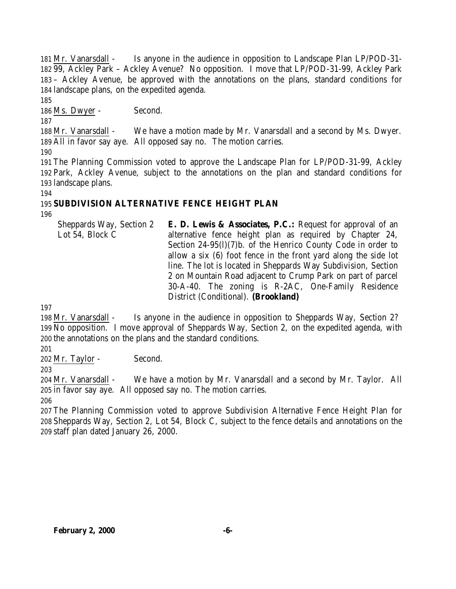Mr. Vanarsdall - Is anyone in the audience in opposition to Landscape Plan LP/POD-31- 99, Ackley Park – Ackley Avenue? No opposition. I move that LP/POD-31-99, Ackley Park – Ackley Avenue, be approved with the annotations on the plans, standard conditions for landscape plans, on the expedited agenda.

186 Ms. Dwyer - Second.

 Mr. Vanarsdall - We have a motion made by Mr. Vanarsdall and a second by Ms. Dwyer. All in favor say aye. All opposed say no. The motion carries.

 The Planning Commission voted to approve the Landscape Plan for LP/POD-31-99, Ackley Park, Ackley Avenue, subject to the annotations on the plan and standard conditions for landscape plans.

# **SUBDIVISION ALTERNATIVE FENCE HEIGHT PLAN**

Sheppards Way, Section 2 Lot 54, Block C **E. D. Lewis & Associates, P.C.:** Request for approval of an alternative fence height plan as required by Chapter 24, Section 24-95(l)(7)b. of the Henrico County Code in order to allow a six (6) foot fence in the front yard along the side lot line. The lot is located in Sheppards Way Subdivision, Section 2 on Mountain Road adjacent to Crump Park on part of parcel 30-A-40. The zoning is R-2AC, One-Family Residence District (Conditional). **(Brookland)**

 Mr. Vanarsdall - Is anyone in the audience in opposition to Sheppards Way, Section 2? No opposition. I move approval of Sheppards Way, Section 2, on the expedited agenda, with the annotations on the plans and the standard conditions.

Mr. Taylor - Second.

 Mr. Vanarsdall - We have a motion by Mr. Vanarsdall and a second by Mr. Taylor. All in favor say aye. All opposed say no. The motion carries.

 The Planning Commission voted to approve Subdivision Alternative Fence Height Plan for Sheppards Way, Section 2, Lot 54, Block C, subject to the fence details and annotations on the staff plan dated January 26, 2000.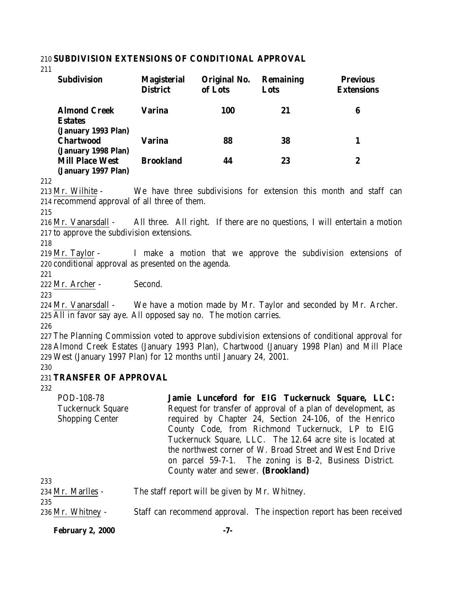#### 210 **SUBDIVISION EXTENSIONS OF CONDITIONAL APPROVAL**

211

| <b>Subdivision</b>                                           | <b>Magisterial</b><br><b>District</b> | Original No.<br>of Lots | <b>Remaining</b><br>Lots | <b>Previous</b><br><b>Extensions</b> |
|--------------------------------------------------------------|---------------------------------------|-------------------------|--------------------------|--------------------------------------|
| <b>Almond Creek</b><br><b>Estates</b><br>(January 1993 Plan) | Varina                                | <b>100</b>              | 21                       | 6                                    |
| <b>Chartwood</b><br>(January 1998 Plan)                      | Varina                                | 88                      | 38                       |                                      |
| <b>Mill Place West</b><br>(January 1997 Plan)                | <b>Brookland</b>                      | 44                      | 23                       | $\boldsymbol{2}$                     |

212

213 Mr. Wilhite - We have three subdivisions for extension this month and staff can 214 recommend approval of all three of them.

215

216 Mr. Vanarsdall - All three. All right. If there are no questions, I will entertain a motion 217 to approve the subdivision extensions.

218

219 Mr. Taylor - I make a motion that we approve the subdivision extensions of 220 conditional approval as presented on the agenda.

221

222 Mr. Archer - Second.

223

224 Mr. Vanarsdall - We have a motion made by Mr. Taylor and seconded by Mr. Archer. 225 All in favor say aye. All opposed say no. The motion carries.

226

227 The Planning Commission voted to approve subdivision extensions of conditional approval for 228 Almond Creek Estates (January 1993 Plan), Chartwood (January 1998 Plan) and Mill Place 229 West (January 1997 Plan) for 12 months until January 24, 2001.

230

### 231 **TRANSFER OF APPROVAL**

232

| POD-108-78                                         | Jamie Lunceford for EIG Tuckernuck Square, LLC:                                                                                                                                                                                                                                                                                                                   |
|----------------------------------------------------|-------------------------------------------------------------------------------------------------------------------------------------------------------------------------------------------------------------------------------------------------------------------------------------------------------------------------------------------------------------------|
| <b>Tuckernuck Square</b><br><b>Shopping Center</b> | Request for transfer of approval of a plan of development, as<br>required by Chapter 24, Section 24-106, of the Henrico<br>County Code, from Richmond Tuckernuck, LP to EIG<br>Tuckernuck Square, LLC. The 12.64 acre site is located at<br>the northwest corner of W. Broad Street and West End Drive<br>on parcel 59-7-1. The zoning is B-2, Business District. |
| 233                                                | County water and sewer. (Brookland)                                                                                                                                                                                                                                                                                                                               |
| 234 Mr. Marlles -<br>235                           | The staff report will be given by Mr. Whitney.                                                                                                                                                                                                                                                                                                                    |
| 236 Mr. Whitney -                                  | Staff can recommend approval. The inspection report has been received                                                                                                                                                                                                                                                                                             |

**February 2, 2000 -7-**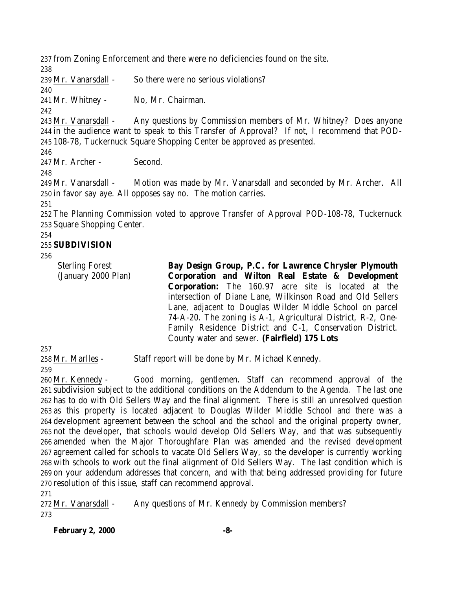from Zoning Enforcement and there were no deficiencies found on the site. 

Mr. Vanarsdall - So there were no serious violations?

Mr. Whitney - No, Mr. Chairman.

 Mr. Vanarsdall - Any questions by Commission members of Mr. Whitney? Does anyone in the audience want to speak to this Transfer of Approval? If not, I recommend that POD-108-78, Tuckernuck Square Shopping Center be approved as presented.

Mr. Archer - Second.

 Mr. Vanarsdall - Motion was made by Mr. Vanarsdall and seconded by Mr. Archer. All in favor say aye. All opposes say no. The motion carries.

 The Planning Commission voted to approve Transfer of Approval POD-108-78, Tuckernuck Square Shopping Center.

### **SUBDIVISION**

Sterling Forest (January 2000 Plan) **Bay Design Group, P.C. for Lawrence Chrysler Plymouth Corporation and Wilton Real Estate & Development Corporation:** The 160.97 acre site is located at the intersection of Diane Lane, Wilkinson Road and Old Sellers Lane, adjacent to Douglas Wilder Middle School on parcel 74-A-20. The zoning is A-1, Agricultural District, R-2, One-Family Residence District and C-1, Conservation District. County water and sewer. **(Fairfield) 175 Lots**

Mr. Marlles - Staff report will be done by Mr. Michael Kennedy.

 Mr. Kennedy - Good morning, gentlemen. Staff can recommend approval of the subdivision subject to the additional conditions on the Addendum to the Agenda. The last one has to do with Old Sellers Way and the final alignment. There is still an unresolved question as this property is located adjacent to Douglas Wilder Middle School and there was a development agreement between the school and the school and the original property owner, not the developer, that schools would develop Old Sellers Way, and that was subsequently amended when the Major Thoroughfare Plan was amended and the revised development agreement called for schools to vacate Old Sellers Way, so the developer is currently working with schools to work out the final alignment of Old Sellers Way. The last condition which is on your addendum addresses that concern, and with that being addressed providing for future resolution of this issue, staff can recommend approval.

272 Mr. Vanarsdall - Any questions of Mr. Kennedy by Commission members? 

**February 2, 2000 -8-**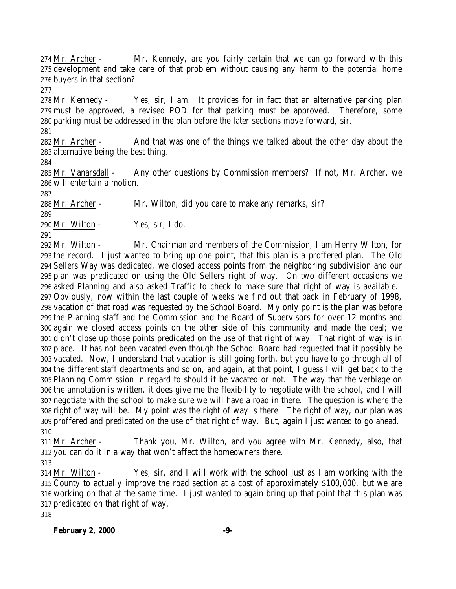Mr. Archer - Mr. Kennedy, are you fairly certain that we can go forward with this development and take care of that problem without causing any harm to the potential home buyers in that section?

 Mr. Kennedy - Yes, sir, I am. It provides for in fact that an alternative parking plan must be approved, a revised POD for that parking must be approved. Therefore, some parking must be addressed in the plan before the later sections move forward, sir.

 Mr. Archer - And that was one of the things we talked about the other day about the alternative being the best thing.

 Mr. Vanarsdall - Any other questions by Commission members? If not, Mr. Archer, we will entertain a motion.

Mr. Archer - Mr. Wilton, did you care to make any remarks, sir?

Mr. Wilton - Yes, sir, I do.

 Mr. Wilton - Mr. Chairman and members of the Commission, I am Henry Wilton, for the record. I just wanted to bring up one point, that this plan is a proffered plan. The Old Sellers Way was dedicated, we closed access points from the neighboring subdivision and our plan was predicated on using the Old Sellers right of way. On two different occasions we asked Planning and also asked Traffic to check to make sure that right of way is available. Obviously, now within the last couple of weeks we find out that back in February of 1998, vacation of that road was requested by the School Board. My only point is the plan was before the Planning staff and the Commission and the Board of Supervisors for over 12 months and again we closed access points on the other side of this community and made the deal; we didn't close up those points predicated on the use of that right of way. That right of way is in place. It has not been vacated even though the School Board had requested that it possibly be vacated. Now, I understand that vacation is still going forth, but you have to go through all of the different staff departments and so on, and again, at that point, I guess I will get back to the Planning Commission in regard to should it be vacated or not. The way that the verbiage on the annotation is written, it does give me the flexibility to negotiate with the school, and I will negotiate with the school to make sure we will have a road in there. The question is where the right of way will be. My point was the right of way is there. The right of way, our plan was proffered and predicated on the use of that right of way. But, again I just wanted to go ahead. 

 Mr. Archer - Thank you, Mr. Wilton, and you agree with Mr. Kennedy, also, that you can do it in a way that won't affect the homeowners there.

 Mr. Wilton - Yes, sir, and I will work with the school just as I am working with the County to actually improve the road section at a cost of approximately \$100,000, but we are working on that at the same time. I just wanted to again bring up that point that this plan was predicated on that right of way.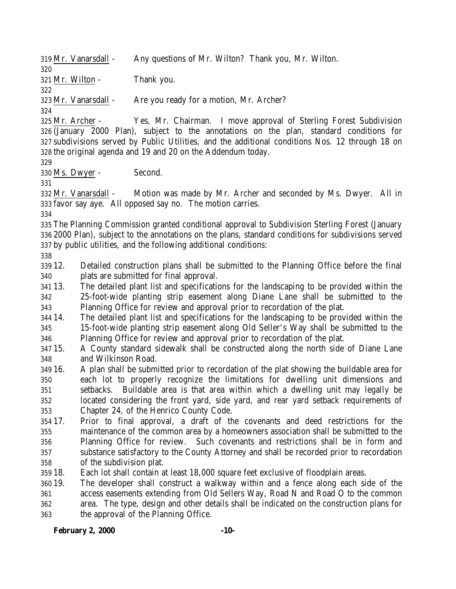Mr. Vanarsdall - Any questions of Mr. Wilton? Thank you, Mr. Wilton. Mr. Wilton - Thank you. Mr. Vanarsdall - Are you ready for a motion, Mr. Archer? Mr. Archer - Yes, Mr. Chairman. I move approval of Sterling Forest Subdivision (January 2000 Plan), subject to the annotations on the plan, standard conditions for subdivisions served by Public Utilities, and the additional conditions Nos. 12 through 18 on the original agenda and 19 and 20 on the Addendum today. Ms. Dwyer - Second. Mr. Vanarsdall - Motion was made by Mr. Archer and seconded by Ms. Dwyer. All in favor say aye. All opposed say no. The motion carries. The Planning Commission granted conditional approval to Subdivision Sterling Forest (January 2000 Plan), subject to the annotations on the plans, standard conditions for subdivisions served by public utilities, and the following additional conditions: 12. Detailed construction plans shall be submitted to the Planning Office before the final plats are submitted for final approval. 13. The detailed plant list and specifications for the landscaping to be provided within the 25-foot-wide planting strip easement along Diane Lane shall be submitted to the Planning Office for review and approval prior to recordation of the plat. 14. The detailed plant list and specifications for the landscaping to be provided within the 15-foot-wide planting strip easement along Old Seller's Way shall be submitted to the Planning Office for review and approval prior to recordation of the plat. 15. A County standard sidewalk shall be constructed along the north side of Diane Lane and Wilkinson Road. 16. A plan shall be submitted prior to recordation of the plat showing the buildable area for each lot to properly recognize the limitations for dwelling unit dimensions and setbacks. Buildable area is that area within which a dwelling unit may legally be located considering the front yard, side yard, and rear yard setback requirements of Chapter 24, of the Henrico County Code. 17. Prior to final approval, a draft of the covenants and deed restrictions for the maintenance of the common area by a homeowners association shall be submitted to the Planning Office for review. Such covenants and restrictions shall be in form and substance satisfactory to the County Attorney and shall be recorded prior to recordation of the subdivision plat. 18. Each lot shall contain at least 18,000 square feet exclusive of floodplain areas. 19. The developer shall construct a walkway within and a fence along each side of the access easements extending from Old Sellers Way, Road N and Road O to the common area. The type, design and other details shall be indicated on the construction plans for the approval of the Planning Office.

### **February 2, 2000 -10-**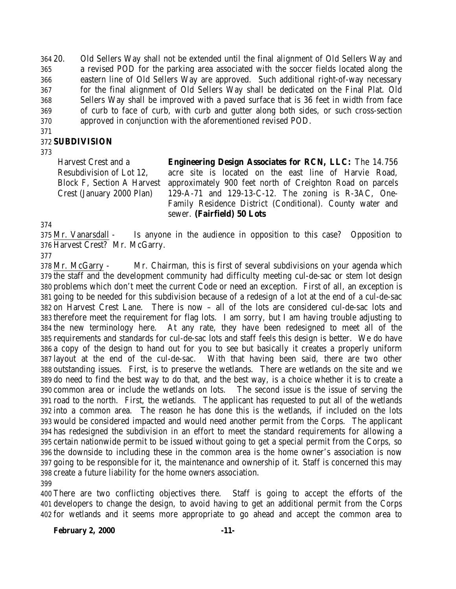20. Old Sellers Way shall not be extended until the final alignment of Old Sellers Way and a revised POD for the parking area associated with the soccer fields located along the eastern line of Old Sellers Way are approved. Such additional right-of-way necessary for the final alignment of Old Sellers Way shall be dedicated on the Final Plat. Old Sellers Way shall be improved with a paved surface that is 36 feet in width from face of curb to face of curb, with curb and gutter along both sides, or such cross-section approved in conjunction with the aforementioned revised POD.

### **SUBDIVISION**

### 

Harvest Crest and a Resubdivision of Lot 12, Block F, Section A Harvest Crest (January 2000 Plan)

**Engineering Design Associates for RCN, LLC:** The 14.756 acre site is located on the east line of Harvie Road, approximately 900 feet north of Creighton Road on parcels 129-A-71 and 129-13-C-12. The zoning is R-3AC, One-Family Residence District (Conditional). County water and sewer. **(Fairfield) 50 Lots**

 Mr. Vanarsdall - Is anyone in the audience in opposition to this case? Opposition to Harvest Crest? Mr. McGarry.

 Mr. McGarry - Mr. Chairman, this is first of several subdivisions on your agenda which the staff and the development community had difficulty meeting cul-de-sac or stem lot design problems which don't meet the current Code or need an exception. First of all, an exception is going to be needed for this subdivision because of a redesign of a lot at the end of a cul-de-sac on Harvest Crest Lane. There is now – all of the lots are considered cul-de-sac lots and therefore meet the requirement for flag lots. I am sorry, but I am having trouble adjusting to the new terminology here. At any rate, they have been redesigned to meet all of the requirements and standards for cul-de-sac lots and staff feels this design is better. We do have a copy of the design to hand out for you to see but basically it creates a properly uniform layout at the end of the cul-de-sac. With that having been said, there are two other outstanding issues. First, is to preserve the wetlands. There are wetlands on the site and we do need to find the best way to do that, and the best way, is a choice whether it is to create a common area or include the wetlands on lots. The second issue is the issue of serving the road to the north. First, the wetlands. The applicant has requested to put all of the wetlands into a common area. The reason he has done this is the wetlands, if included on the lots would be considered impacted and would need another permit from the Corps. The applicant has redesigned the subdivision in an effort to meet the standard requirements for allowing a certain nationwide permit to be issued without going to get a special permit from the Corps, so the downside to including these in the common area is the home owner's association is now going to be responsible for it, the maintenance and ownership of it. Staff is concerned this may create a future liability for the home owners association. 

 There are two conflicting objectives there. Staff is going to accept the efforts of the developers to change the design, to avoid having to get an additional permit from the Corps for wetlands and it seems more appropriate to go ahead and accept the common area to

### **February 2, 2000 -11-**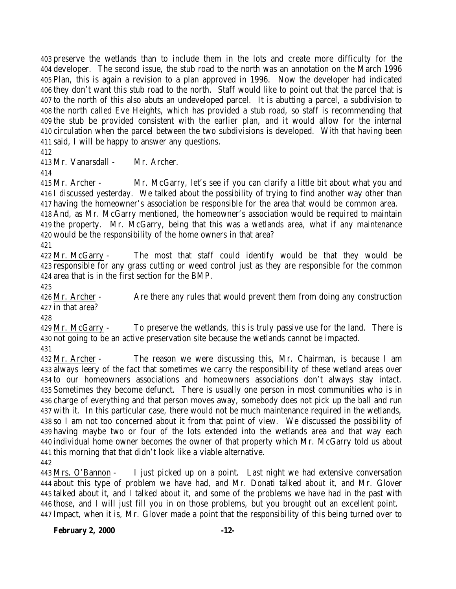preserve the wetlands than to include them in the lots and create more difficulty for the developer. The second issue, the stub road to the north was an annotation on the March 1996 Plan, this is again a revision to a plan approved in 1996. Now the developer had indicated they don't want this stub road to the north. Staff would like to point out that the parcel that is to the north of this also abuts an undeveloped parcel. It is abutting a parcel, a subdivision to the north called Eve Heights, which has provided a stub road, so staff is recommending that the stub be provided consistent with the earlier plan, and it would allow for the internal circulation when the parcel between the two subdivisions is developed. With that having been said, I will be happy to answer any questions.

Mr. Vanarsdall - Mr. Archer.

 Mr. Archer - Mr. McGarry, let's see if you can clarify a little bit about what you and I discussed yesterday. We talked about the possibility of trying to find another way other than having the homeowner's association be responsible for the area that would be common area.

 And, as Mr. McGarry mentioned, the homeowner's association would be required to maintain the property. Mr. McGarry, being that this was a wetlands area, what if any maintenance would be the responsibility of the home owners in that area?

 Mr. McGarry - The most that staff could identify would be that they would be responsible for any grass cutting or weed control just as they are responsible for the common area that is in the first section for the BMP.

426 Mr. Archer - Are there any rules that would prevent them from doing any construction in that area?

 Mr. McGarry - To preserve the wetlands, this is truly passive use for the land. There is not going to be an active preservation site because the wetlands cannot be impacted.

 Mr. Archer - The reason we were discussing this, Mr. Chairman, is because I am always leery of the fact that sometimes we carry the responsibility of these wetland areas over to our homeowners associations and homeowners associations don't always stay intact. Sometimes they become defunct. There is usually one person in most communities who is in charge of everything and that person moves away, somebody does not pick up the ball and run with it. In this particular case, there would not be much maintenance required in the wetlands, so I am not too concerned about it from that point of view. We discussed the possibility of having maybe two or four of the lots extended into the wetlands area and that way each individual home owner becomes the owner of that property which Mr. McGarry told us about this morning that that didn't look like a viable alternative. 

 Mrs. O'Bannon - I just picked up on a point. Last night we had extensive conversation about this type of problem we have had, and Mr. Donati talked about it, and Mr. Glover talked about it, and I talked about it, and some of the problems we have had in the past with those, and I will just fill you in on those problems, but you brought out an excellent point. Impact, when it is, Mr. Glover made a point that the responsibility of this being turned over to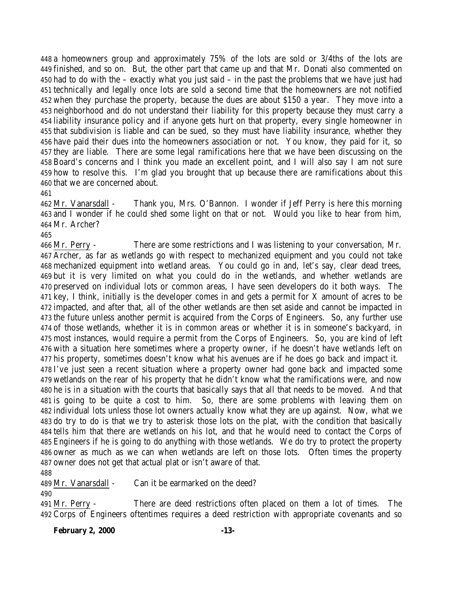a homeowners group and approximately 75% of the lots are sold or 3/4ths of the lots are finished, and so on. But, the other part that came up and that Mr. Donati also commented on had to do with the – exactly what you just said – in the past the problems that we have just had technically and legally once lots are sold a second time that the homeowners are not notified when they purchase the property, because the dues are about \$150 a year. They move into a neighborhood and do not understand their liability for this property because they must carry a liability insurance policy and if anyone gets hurt on that property, every single homeowner in that subdivision is liable and can be sued, so they must have liability insurance, whether they have paid their dues into the homeowners association or not. You know, they paid for it, so they are liable. There are some legal ramifications here that we have been discussing on the Board's concerns and I think you made an excellent point, and I will also say I am not sure how to resolve this. I'm glad you brought that up because there are ramifications about this that we are concerned about.

 Mr. Vanarsdall - Thank you, Mrs. O'Bannon. I wonder if Jeff Perry is here this morning 463 and I wonder if he could shed some light on that or not. Would you like to hear from him, Mr. Archer?

 Mr. Perry - There are some restrictions and I was listening to your conversation, Mr. Archer, as far as wetlands go with respect to mechanized equipment and you could not take mechanized equipment into wetland areas. You could go in and, let's say, clear dead trees, but it is very limited on what you could do in the wetlands, and whether wetlands are preserved on individual lots or common areas, I have seen developers do it both ways. The key, I think, initially is the developer comes in and gets a permit for X amount of acres to be impacted, and after that, all of the other wetlands are then set aside and cannot be impacted in the future unless another permit is acquired from the Corps of Engineers. So, any further use of those wetlands, whether it is in common areas or whether it is in someone's backyard, in most instances, would require a permit from the Corps of Engineers. So, you are kind of left with a situation here sometimes where a property owner, if he doesn't have wetlands left on his property, sometimes doesn't know what his avenues are if he does go back and impact it. I've just seen a recent situation where a property owner had gone back and impacted some wetlands on the rear of his property that he didn't know what the ramifications were, and now he is in a situation with the courts that basically says that all that needs to be moved. And that is going to be quite a cost to him. So, there are some problems with leaving them on individual lots unless those lot owners actually know what they are up against. Now, what we do try to do is that we try to asterisk those lots on the plat, with the condition that basically tells him that there are wetlands on his lot, and that he would need to contact the Corps of Engineers if he is going to do anything with those wetlands. We do try to protect the property owner as much as we can when wetlands are left on those lots. Often times the property owner does not get that actual plat or isn't aware of that. 

Mr. Vanarsdall - Can it be earmarked on the deed?

 Mr. Perry - There are deed restrictions often placed on them a lot of times. The 492 Corps of Engineers oftentimes requires a deed restriction with appropriate covenants and so

**February 2, 2000 -13-**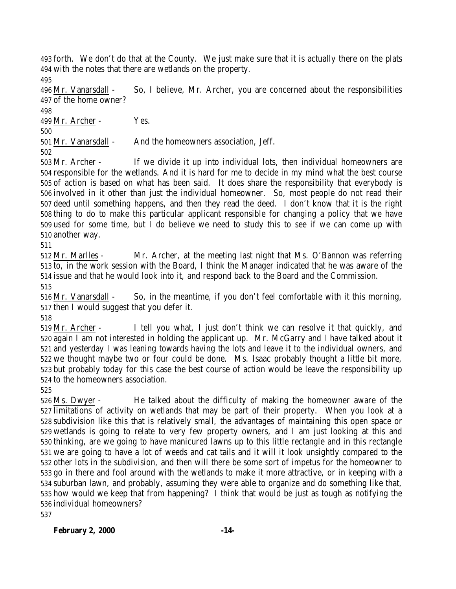forth. We don't do that at the County. We just make sure that it is actually there on the plats with the notes that there are wetlands on the property.

 Mr. Vanarsdall - So, I believe, Mr. Archer, you are concerned about the responsibilities of the home owner?

Mr. Archer - Yes.

Mr. Vanarsdall - And the homeowners association, Jeff.

 Mr. Archer - If we divide it up into individual lots, then individual homeowners are responsible for the wetlands. And it is hard for me to decide in my mind what the best course of action is based on what has been said. It does share the responsibility that everybody is involved in it other than just the individual homeowner. So, most people do not read their deed until something happens, and then they read the deed. I don't know that it is the right thing to do to make this particular applicant responsible for changing a policy that we have used for some time, but I do believe we need to study this to see if we can come up with another way.

 Mr. Marlles - Mr. Archer, at the meeting last night that Ms. O'Bannon was referring to, in the work session with the Board, I think the Manager indicated that he was aware of the issue and that he would look into it, and respond back to the Board and the Commission. 

 Mr. Vanarsdall - So, in the meantime, if you don't feel comfortable with it this morning, then I would suggest that you defer it.

 Mr. Archer - I tell you what, I just don't think we can resolve it that quickly, and again I am not interested in holding the applicant up. Mr. McGarry and I have talked about it and yesterday I was leaning towards having the lots and leave it to the individual owners, and we thought maybe two or four could be done. Ms. Isaac probably thought a little bit more, but probably today for this case the best course of action would be leave the responsibility up to the homeowners association.

 Ms. Dwyer - He talked about the difficulty of making the homeowner aware of the limitations of activity on wetlands that may be part of their property. When you look at a subdivision like this that is relatively small, the advantages of maintaining this open space or wetlands is going to relate to very few property owners, and I am just looking at this and thinking, are we going to have manicured lawns up to this little rectangle and in this rectangle we are going to have a lot of weeds and cat tails and it will it look unsightly compared to the other lots in the subdivision, and then will there be some sort of impetus for the homeowner to go in there and fool around with the wetlands to make it more attractive, or in keeping with a suburban lawn, and probably, assuming they were able to organize and do something like that, how would we keep that from happening? I think that would be just as tough as notifying the individual homeowners?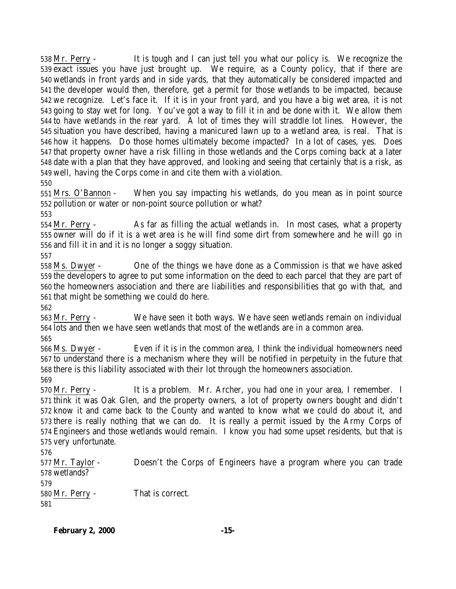Mr. Perry - It is tough and I can just tell you what our policy is. We recognize the exact issues you have just brought up. We require, as a County policy, that if there are wetlands in front yards and in side yards, that they automatically be considered impacted and the developer would then, therefore, get a permit for those wetlands to be impacted, because we recognize. Let's face it. If it is in your front yard, and you have a big wet area, it is not going to stay wet for long. You've got a way to fill it in and be done with it. We allow them to have wetlands in the rear yard. A lot of times they will straddle lot lines. However, the situation you have described, having a manicured lawn up to a wetland area, is real. That is how it happens. Do those homes ultimately become impacted? In a lot of cases, yes. Does that property owner have a risk filling in those wetlands and the Corps coming back at a later date with a plan that they have approved, and looking and seeing that certainly that is a risk, as well, having the Corps come in and cite them with a violation. 

 Mrs. O'Bannon - When you say impacting his wetlands, do you mean as in point source pollution or water or non-point source pollution or what? 

 Mr. Perry - As far as filling the actual wetlands in. In most cases, what a property owner will do if it is a wet area is he will find some dirt from somewhere and he will go in and fill it in and it is no longer a soggy situation.

 Ms. Dwyer - One of the things we have done as a Commission is that we have asked the developers to agree to put some information on the deed to each parcel that they are part of the homeowners association and there are liabilities and responsibilities that go with that, and that might be something we could do here.

 Mr. Perry - We have seen it both ways. We have seen wetlands remain on individual lots and then we have seen wetlands that most of the wetlands are in a common area.

 Ms. Dwyer - Even if it is in the common area, I think the individual homeowners need to understand there is a mechanism where they will be notified in perpetuity in the future that there is this liability associated with their lot through the homeowners association. 

 Mr. Perry - It is a problem. Mr. Archer, you had one in your area, I remember. I think it was Oak Glen, and the property owners, a lot of property owners bought and didn't know it and came back to the County and wanted to know what we could do about it, and there is really nothing that we can do. It is really a permit issued by the Army Corps of Engineers and those wetlands would remain. I know you had some upset residents, but that is very unfortunate.

 Mr. Taylor - Doesn't the Corps of Engineers have a program where you can trade wetlands?

 Mr. Perry - That is correct.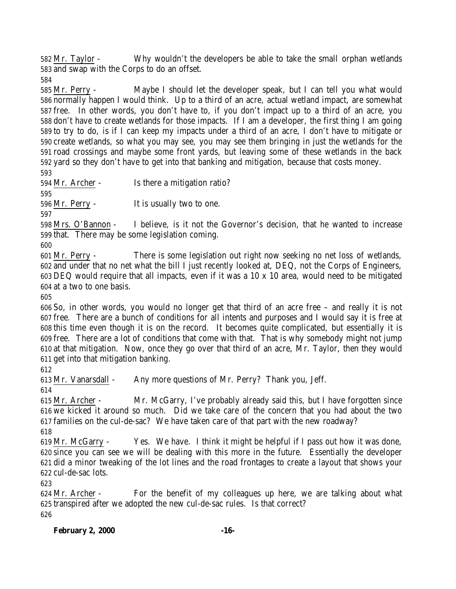Mr. Taylor - Why wouldn't the developers be able to take the small orphan wetlands and swap with the Corps to do an offset.

 Mr. Perry - Maybe I should let the developer speak, but I can tell you what would normally happen I would think. Up to a third of an acre, actual wetland impact, are somewhat free. In other words, you don't have to, if you don't impact up to a third of an acre, you don't have to create wetlands for those impacts. If I am a developer, the first thing I am going to try to do, is if I can keep my impacts under a third of an acre, I don't have to mitigate or create wetlands, so what you may see, you may see them bringing in just the wetlands for the road crossings and maybe some front yards, but leaving some of these wetlands in the back yard so they don't have to get into that banking and mitigation, because that costs money.

Mr. Archer - Is there a mitigation ratio?

Mr. Perry - It is usually two to one.

 Mrs. O'Bannon - I believe, is it not the Governor's decision, that he wanted to increase that. There may be some legislation coming.

 Mr. Perry - There is some legislation out right now seeking no net loss of wetlands, and under that no net what the bill I just recently looked at, DEQ, not the Corps of Engineers, DEQ would require that all impacts, even if it was a 10 x 10 area, would need to be mitigated at a two to one basis.

 So, in other words, you would no longer get that third of an acre free – and really it is not free. There are a bunch of conditions for all intents and purposes and I would say it is free at this time even though it is on the record. It becomes quite complicated, but essentially it is free. There are a lot of conditions that come with that. That is why somebody might not jump at that mitigation. Now, once they go over that third of an acre, Mr. Taylor, then they would get into that mitigation banking.

Mr. Vanarsdall - Any more questions of Mr. Perry? Thank you, Jeff.

 Mr. Archer - Mr. McGarry, I've probably already said this, but I have forgotten since we kicked it around so much. Did we take care of the concern that you had about the two families on the cul-de-sac? We have taken care of that part with the new roadway?

 Mr. McGarry - Yes. We have. I think it might be helpful if I pass out how it was done, since you can see we will be dealing with this more in the future. Essentially the developer did a minor tweaking of the lot lines and the road frontages to create a layout that shows your cul-de-sac lots.

 Mr. Archer - For the benefit of my colleagues up here, we are talking about what transpired after we adopted the new cul-de-sac rules. Is that correct?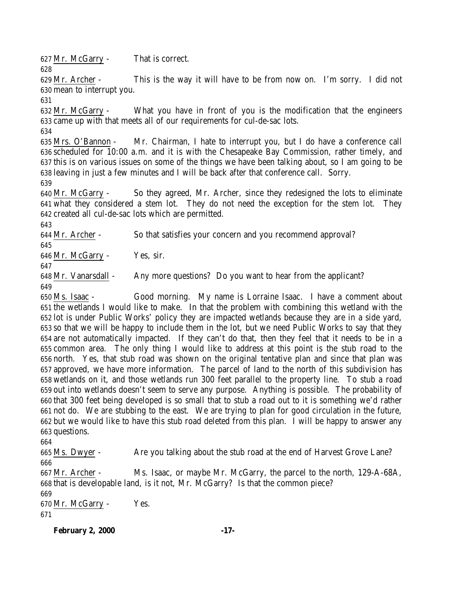Mr. McGarry - That is correct. 

 Mr. Archer - This is the way it will have to be from now on. I'm sorry. I did not mean to interrupt you.

 Mr. McGarry - What you have in front of you is the modification that the engineers came up with that meets all of our requirements for cul-de-sac lots.

 Mrs. O'Bannon - Mr. Chairman, I hate to interrupt you, but I do have a conference call scheduled for 10:00 a.m. and it is with the Chesapeake Bay Commission, rather timely, and this is on various issues on some of the things we have been talking about, so I am going to be leaving in just a few minutes and I will be back after that conference call. Sorry.

 Mr. McGarry - So they agreed, Mr. Archer, since they redesigned the lots to eliminate what they considered a stem lot. They do not need the exception for the stem lot. They created all cul-de-sac lots which are permitted.

Mr. Archer - So that satisfies your concern and you recommend approval?

Mr. McGarry - Yes, sir.

 Mr. Vanarsdall - Any more questions? Do you want to hear from the applicant? 

 Ms. Isaac - Good morning. My name is Lorraine Isaac. I have a comment about the wetlands I would like to make. In that the problem with combining this wetland with the lot is under Public Works' policy they are impacted wetlands because they are in a side yard, so that we will be happy to include them in the lot, but we need Public Works to say that they are not automatically impacted. If they can't do that, then they feel that it needs to be in a common area. The only thing I would like to address at this point is the stub road to the north. Yes, that stub road was shown on the original tentative plan and since that plan was approved, we have more information. The parcel of land to the north of this subdivision has wetlands on it, and those wetlands run 300 feet parallel to the property line. To stub a road out into wetlands doesn't seem to serve any purpose. Anything is possible. The probability of that 300 feet being developed is so small that to stub a road out to it is something we'd rather not do. We are stubbing to the east. We are trying to plan for good circulation in the future, but we would like to have this stub road deleted from this plan. I will be happy to answer any questions.

 Ms. Dwyer - Are you talking about the stub road at the end of Harvest Grove Lane? 

 Mr. Archer - Ms. Isaac, or maybe Mr. McGarry, the parcel to the north, 129-A-68A, that is developable land, is it not, Mr. McGarry? Is that the common piece?

 Mr. McGarry - Yes. 

**February 2, 2000 -17-**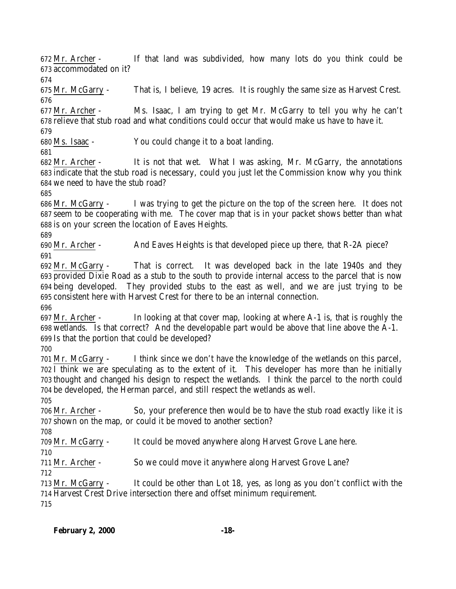Mr. Archer - If that land was subdivided, how many lots do you think could be accommodated on it?

 Mr. McGarry - That is, I believe, 19 acres. It is roughly the same size as Harvest Crest. 

 Mr. Archer - Ms. Isaac, I am trying to get Mr. McGarry to tell you why he can't relieve that stub road and what conditions could occur that would make us have to have it.

Ms. Isaac - You could change it to a boat landing.

 Mr. Archer - It is not that wet. What I was asking, Mr. McGarry, the annotations indicate that the stub road is necessary, could you just let the Commission know why you think we need to have the stub road?

 Mr. McGarry - I was trying to get the picture on the top of the screen here. It does not seem to be cooperating with me. The cover map that is in your packet shows better than what is on your screen the location of Eaves Heights.

 Mr. Archer - And Eaves Heights is that developed piece up there, that R-2A piece? 

 Mr. McGarry - That is correct. It was developed back in the late 1940s and they provided Dixie Road as a stub to the south to provide internal access to the parcel that is now being developed. They provided stubs to the east as well, and we are just trying to be consistent here with Harvest Crest for there to be an internal connection.

 Mr. Archer - In looking at that cover map, looking at where A-1 is, that is roughly the wetlands. Is that correct? And the developable part would be above that line above the A-1. Is that the portion that could be developed?

 Mr. McGarry - I think since we don't have the knowledge of the wetlands on this parcel, I think we are speculating as to the extent of it. This developer has more than he initially thought and changed his design to respect the wetlands. I think the parcel to the north could be developed, the Herman parcel, and still respect the wetlands as well.

 Mr. Archer - So, your preference then would be to have the stub road exactly like it is shown on the map, or could it be moved to another section?

Mr. McGarry - It could be moved anywhere along Harvest Grove Lane here.

Mr. Archer - So we could move it anywhere along Harvest Grove Lane?

 Mr. McGarry - It could be other than Lot 18, yes, as long as you don't conflict with the Harvest Crest Drive intersection there and offset minimum requirement.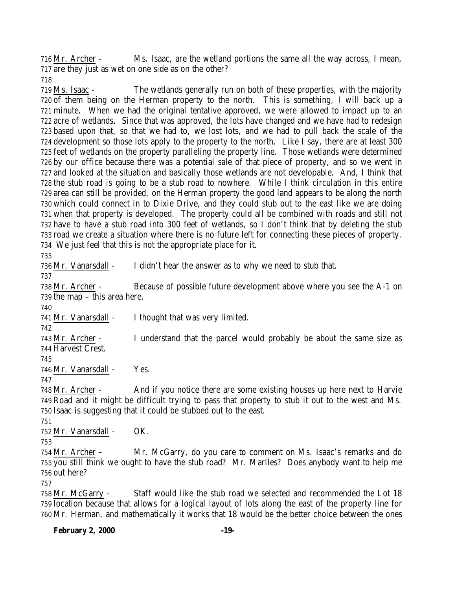Mr. Archer - Ms. Isaac, are the wetland portions the same all the way across, I mean, are they just as wet on one side as on the other?

 Ms. Isaac - The wetlands generally run on both of these properties, with the majority of them being on the Herman property to the north. This is something, I will back up a minute. When we had the original tentative approved, we were allowed to impact up to an acre of wetlands. Since that was approved, the lots have changed and we have had to redesign based upon that, so that we had to, we lost lots, and we had to pull back the scale of the development so those lots apply to the property to the north. Like I say, there are at least 300 feet of wetlands on the property paralleling the property line. Those wetlands were determined by our office because there was a potential sale of that piece of property, and so we went in and looked at the situation and basically those wetlands are not developable. And, I think that the stub road is going to be a stub road to nowhere. While I think circulation in this entire area can still be provided, on the Herman property the good land appears to be along the north which could connect in to Dixie Drive, and they could stub out to the east like we are doing when that property is developed. The property could all be combined with roads and still not have to have a stub road into 300 feet of wetlands, so I don't think that by deleting the stub road we create a situation where there is no future left for connecting these pieces of property. We just feel that this is not the appropriate place for it.

 Mr. Vanarsdall - I didn't hear the answer as to why we need to stub that. Mr. Archer - Because of possible future development above where you see the A-1 on the map – this area here. 

Mr. Vanarsdall - I thought that was very limited.

 Mr. Archer - I understand that the parcel would probably be about the same size as Harvest Crest.

Mr. Vanarsdall - Yes.

 Mr. Archer - And if you notice there are some existing houses up here next to Harvie Road and it might be difficult trying to pass that property to stub it out to the west and Ms. Isaac is suggesting that it could be stubbed out to the east.

Mr. Vanarsdall - OK.

 Mr. Archer – Mr. McGarry, do you care to comment on Ms. Isaac's remarks and do you still think we ought to have the stub road? Mr. Marlles? Does anybody want to help me out here?

 Mr. McGarry - Staff would like the stub road we selected and recommended the Lot 18 location because that allows for a logical layout of lots along the east of the property line for Mr. Herman, and mathematically it works that 18 would be the better choice between the ones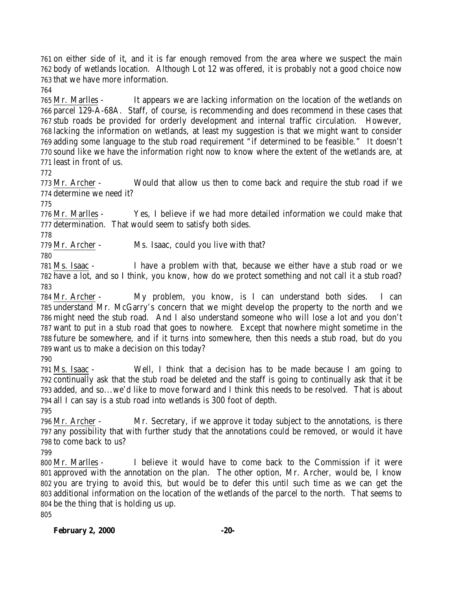on either side of it, and it is far enough removed from the area where we suspect the main body of wetlands location. Although Lot 12 was offered, it is probably not a good choice now that we have more information.

 Mr. Marlles - It appears we are lacking information on the location of the wetlands on parcel 129-A-68A. Staff, of course, is recommending and does recommend in these cases that stub roads be provided for orderly development and internal traffic circulation. However, lacking the information on wetlands, at least my suggestion is that we might want to consider adding some language to the stub road requirement "if determined to be feasible." It doesn't sound like we have the information right now to know where the extent of the wetlands are, at least in front of us.

 Mr. Archer - Would that allow us then to come back and require the stub road if we determine we need it?

 Mr. Marlles - Yes, I believe if we had more detailed information we could make that determination. That would seem to satisfy both sides.

Mr. Archer - Ms. Isaac, could you live with that?

 Ms. Isaac - I have a problem with that, because we either have a stub road or we have a lot, and so I think, you know, how do we protect something and not call it a stub road? 

 Mr. Archer - My problem, you know, is I can understand both sides. I can understand Mr. McGarry's concern that we might develop the property to the north and we might need the stub road. And I also understand someone who will lose a lot and you don't want to put in a stub road that goes to nowhere. Except that nowhere might sometime in the future be somewhere, and if it turns into somewhere, then this needs a stub road, but do you want us to make a decision on this today?

 Ms. Isaac - Well, I think that a decision has to be made because I am going to continually ask that the stub road be deleted and the staff is going to continually ask that it be added, and so...we'd like to move forward and I think this needs to be resolved. That is about all I can say is a stub road into wetlands is 300 foot of depth.

 Mr. Archer - Mr. Secretary, if we approve it today subject to the annotations, is there any possibility that with further study that the annotations could be removed, or would it have to come back to us?

 Mr. Marlles - I believe it would have to come back to the Commission if it were approved with the annotation on the plan. The other option, Mr. Archer, would be, I know you are trying to avoid this, but would be to defer this until such time as we can get the additional information on the location of the wetlands of the parcel to the north. That seems to be the thing that is holding us up.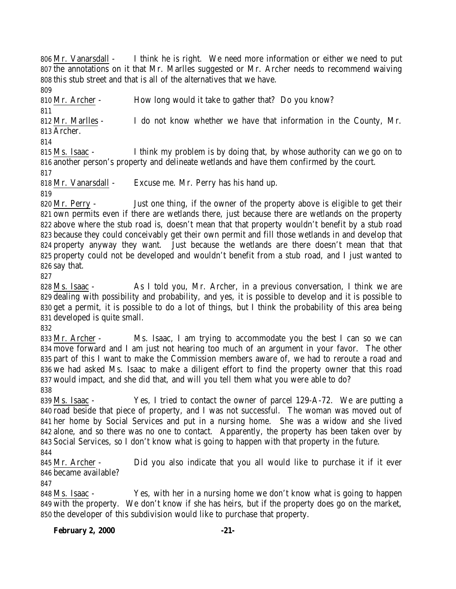Mr. Vanarsdall - I think he is right. We need more information or either we need to put the annotations on it that Mr. Marlles suggested or Mr. Archer needs to recommend waiving this stub street and that is all of the alternatives that we have.

 Mr. Archer - How long would it take to gather that? Do you know? Mr. Marlles - I do not know whether we have that information in the County, Mr. Archer.

 Ms. Isaac - I think my problem is by doing that, by whose authority can we go on to another person's property and delineate wetlands and have them confirmed by the court.

Mr. Vanarsdall - Excuse me. Mr. Perry has his hand up.

 Mr. Perry - Just one thing, if the owner of the property above is eligible to get their own permits even if there are wetlands there, just because there are wetlands on the property above where the stub road is, doesn't mean that that property wouldn't benefit by a stub road because they could conceivably get their own permit and fill those wetlands in and develop that property anyway they want. Just because the wetlands are there doesn't mean that that property could not be developed and wouldn't benefit from a stub road, and I just wanted to say that.

 Ms. Isaac - As I told you, Mr. Archer, in a previous conversation, I think we are dealing with possibility and probability, and yes, it is possible to develop and it is possible to get a permit, it is possible to do a lot of things, but I think the probability of this area being developed is quite small.

 Mr. Archer - Ms. Isaac, I am trying to accommodate you the best I can so we can move forward and I am just not hearing too much of an argument in your favor. The other part of this I want to make the Commission members aware of, we had to reroute a road and we had asked Ms. Isaac to make a diligent effort to find the property owner that this road would impact, and she did that, and will you tell them what you were able to do? 

 Ms. Isaac - Yes, I tried to contact the owner of parcel 129-A-72. We are putting a road beside that piece of property, and I was not successful. The woman was moved out of her home by Social Services and put in a nursing home. She was a widow and she lived alone, and so there was no one to contact. Apparently, the property has been taken over by Social Services, so I don't know what is going to happen with that property in the future. 

 Mr. Archer - Did you also indicate that you all would like to purchase it if it ever became available?

 Ms. Isaac - Yes, with her in a nursing home we don't know what is going to happen with the property. We don't know if she has heirs, but if the property does go on the market, the developer of this subdivision would like to purchase that property.

### **February 2, 2000 -21-**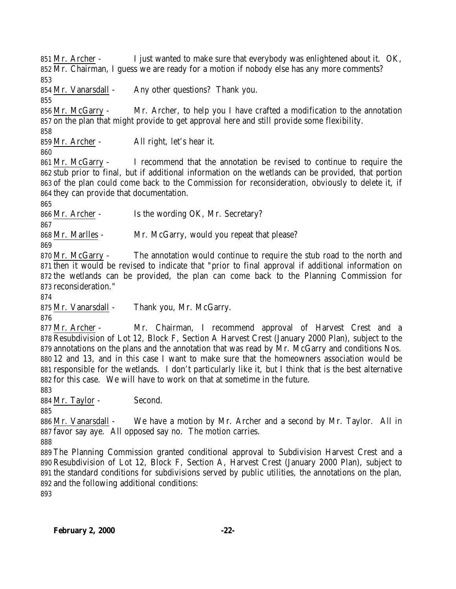Mr. Archer - I just wanted to make sure that everybody was enlightened about it. OK, Mr. Chairman, I guess we are ready for a motion if nobody else has any more comments? 

Mr. Vanarsdall - Any other questions? Thank you.

 Mr. McGarry - Mr. Archer, to help you I have crafted a modification to the annotation on the plan that might provide to get approval here and still provide some flexibility.

Mr. Archer - All right, let's hear it.

 Mr. McGarry - I recommend that the annotation be revised to continue to require the stub prior to final, but if additional information on the wetlands can be provided, that portion of the plan could come back to the Commission for reconsideration, obviously to delete it, if they can provide that documentation.

Mr. Archer - Is the wording OK, Mr. Secretary?

Mr. Marlles - Mr. McGarry, would you repeat that please?

 Mr. McGarry - The annotation would continue to require the stub road to the north and then it would be revised to indicate that "prior to final approval if additional information on the wetlands can be provided, the plan can come back to the Planning Commission for reconsideration."

Mr. Vanarsdall - Thank you, Mr. McGarry.

 Mr. Archer - Mr. Chairman, I recommend approval of Harvest Crest and a Resubdivision of Lot 12, Block F, Section A Harvest Crest (January 2000 Plan), subject to the annotations on the plans and the annotation that was read by Mr. McGarry and conditions Nos. 12 and 13, and in this case I want to make sure that the homeowners association would be responsible for the wetlands. I don't particularly like it, but I think that is the best alternative for this case. We will have to work on that at sometime in the future.

884 Mr. Taylor - Second.

886 Mr. Vanarsdall - We have a motion by Mr. Archer and a second by Mr. Taylor. All in favor say aye. All opposed say no. The motion carries.

 The Planning Commission granted conditional approval to Subdivision Harvest Crest and a Resubdivision of Lot 12, Block F, Section A, Harvest Crest (January 2000 Plan), subject to the standard conditions for subdivisions served by public utilities, the annotations on the plan, and the following additional conditions: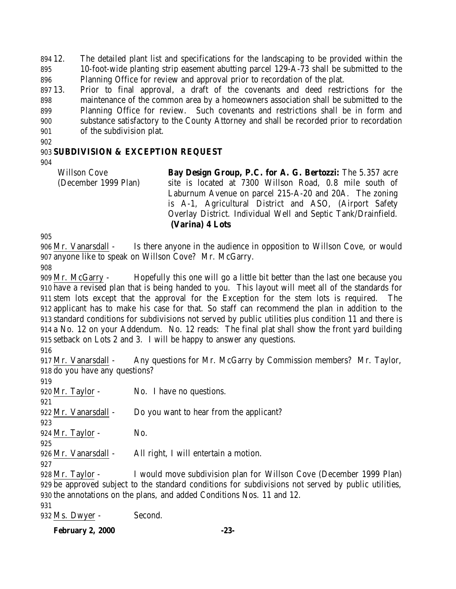12. The detailed plant list and specifications for the landscaping to be provided within the 10-foot-wide planting strip easement abutting parcel 129-A-73 shall be submitted to the Planning Office for review and approval prior to recordation of the plat.

 13. Prior to final approval, a draft of the covenants and deed restrictions for the maintenance of the common area by a homeowners association shall be submitted to the Planning Office for review. Such covenants and restrictions shall be in form and substance satisfactory to the County Attorney and shall be recorded prior to recordation of the subdivision plat.

### **SUBDIVISION & EXCEPTION REQUEST**

Willson Cove (December 1999 Plan) **Bay Design Group, P.C. for A. G. Bertozzi:** The 5.357 acre site is located at 7300 Willson Road, 0.8 mile south of Laburnum Avenue on parcel 215-A-20 and 20A. The zoning is A-1, Agricultural District and ASO, (Airport Safety Overlay District. Individual Well and Septic Tank/Drainfield. **(Varina) 4 Lots**

 Mr. Vanarsdall - Is there anyone in the audience in opposition to Willson Cove, or would anyone like to speak on Willson Cove? Mr. McGarry.

 Mr. McGarry - Hopefully this one will go a little bit better than the last one because you have a revised plan that is being handed to you. This layout will meet all of the standards for stem lots except that the approval for the Exception for the stem lots is required. The applicant has to make his case for that. So staff can recommend the plan in addition to the standard conditions for subdivisions not served by public utilities plus condition 11 and there is a No. 12 on your Addendum. No. 12 reads: The final plat shall show the front yard building setback on Lots 2 and 3. I will be happy to answer any questions.

 Mr. Vanarsdall - Any questions for Mr. McGarry by Commission members? Mr. Taylor, do you have any questions?

920 Mr. Taylor - No. I have no questions. 922 Mr. Vanarsdall - Do you want to hear from the applicant? Mr. Taylor - No. Mr. Vanarsdall - All right, I will entertain a motion. Mr. Taylor - I would move subdivision plan for Willson Cove (December 1999 Plan)

 be approved subject to the standard conditions for subdivisions not served by public utilities, the annotations on the plans, and added Conditions Nos. 11 and 12.

Ms. Dwyer - Second.

**February 2, 2000 -23-**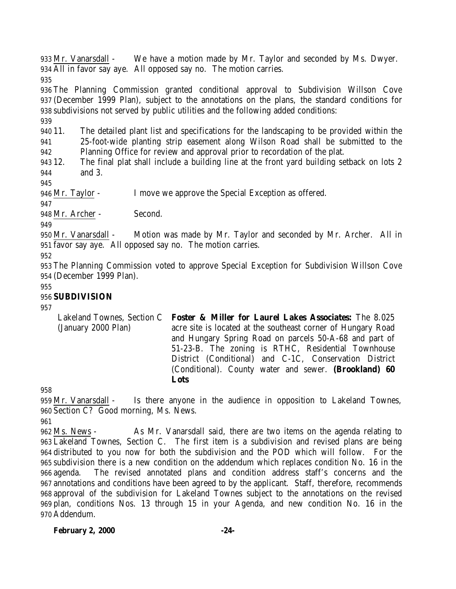Mr. Vanarsdall - We have a motion made by Mr. Taylor and seconded by Ms. Dwyer. All in favor say aye. All opposed say no. The motion carries.

 The Planning Commission granted conditional approval to Subdivision Willson Cove (December 1999 Plan), subject to the annotations on the plans, the standard conditions for subdivisions not served by public utilities and the following added conditions:

 11. The detailed plant list and specifications for the landscaping to be provided within the 25-foot-wide planting strip easement along Wilson Road shall be submitted to the Planning Office for review and approval prior to recordation of the plat.

 12. The final plat shall include a building line at the front yard building setback on lots 2 and 3.

Mr. Taylor - I move we approve the Special Exception as offered.

Mr. Archer - Second.

 Mr. Vanarsdall - Motion was made by Mr. Taylor and seconded by Mr. Archer. All in favor say aye. All opposed say no. The motion carries.

 The Planning Commission voted to approve Special Exception for Subdivision Willson Cove (December 1999 Plan).

## **SUBDIVISION**

Lakeland Townes, Section C (January 2000 Plan) **Foster & Miller for Laurel Lakes Associates:** The 8.025 acre site is located at the southeast corner of Hungary Road and Hungary Spring Road on parcels 50-A-68 and part of 51-23-B. The zoning is RTHC, Residential Townhouse District (Conditional) and C-1C, Conservation District (Conditional). County water and sewer. **(Brookland) 60 Lots**

 Mr. Vanarsdall - Is there anyone in the audience in opposition to Lakeland Townes, Section C? Good morning, Ms. News.

 Ms. News - As Mr. Vanarsdall said, there are two items on the agenda relating to Lakeland Townes, Section C. The first item is a subdivision and revised plans are being distributed to you now for both the subdivision and the POD which will follow. For the subdivision there is a new condition on the addendum which replaces condition No. 16 in the agenda. The revised annotated plans and condition address staff's concerns and the annotations and conditions have been agreed to by the applicant. Staff, therefore, recommends approval of the subdivision for Lakeland Townes subject to the annotations on the revised plan, conditions Nos. 13 through 15 in your Agenda, and new condition No. 16 in the Addendum.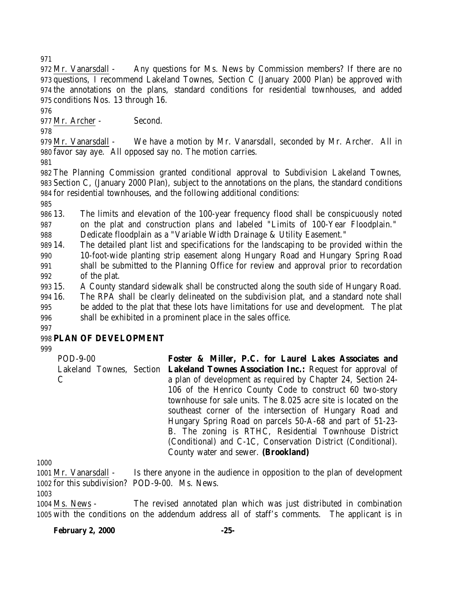Mr. Vanarsdall - Any questions for Ms. News by Commission members? If there are no questions, I recommend Lakeland Townes, Section C (January 2000 Plan) be approved with the annotations on the plans, standard conditions for residential townhouses, and added conditions Nos. 13 through 16.

Mr. Archer - Second.

 Mr. Vanarsdall - We have a motion by Mr. Vanarsdall, seconded by Mr. Archer. All in favor say aye. All opposed say no. The motion carries.

 The Planning Commission granted conditional approval to Subdivision Lakeland Townes, Section C, (January 2000 Plan), subject to the annotations on the plans, the standard conditions for residential townhouses, and the following additional conditions:

 13. The limits and elevation of the 100-year frequency flood shall be conspicuously noted on the plat and construction plans and labeled "Limits of 100-Year Floodplain."

Dedicate floodplain as a "Variable Width Drainage & Utility Easement."

 14. The detailed plant list and specifications for the landscaping to be provided within the 10-foot-wide planting strip easement along Hungary Road and Hungary Spring Road shall be submitted to the Planning Office for review and approval prior to recordation of the plat.

15. A County standard sidewalk shall be constructed along the south side of Hungary Road.

 16. The RPA shall be clearly delineated on the subdivision plat, and a standard note shall be added to the plat that these lots have limitations for use and development. The plat shall be exhibited in a prominent place in the sales office.

### **PLAN OF DEVELOPMENT**

POD-9-00 Lakeland Townes, Section  $\mathcal{C}$ **Foster & Miller, P.C. for Laurel Lakes Associates and Lakeland Townes Association Inc.:** Request for approval of a plan of development as required by Chapter 24, Section 24- 106 of the Henrico County Code to construct 60 two-story townhouse for sale units. The 8.025 acre site is located on the southeast corner of the intersection of Hungary Road and Hungary Spring Road on parcels 50-A-68 and part of 51-23- B. The zoning is RTHC, Residential Townhouse District (Conditional) and C-1C, Conservation District (Conditional). County water and sewer. **(Brookland)**

 Mr. Vanarsdall - Is there anyone in the audience in opposition to the plan of development for this subdivision? POD-9-00. Ms. News.

 Ms. News - The revised annotated plan which was just distributed in combination with the conditions on the addendum address all of staff's comments. The applicant is in

**February 2, 2000 -25-**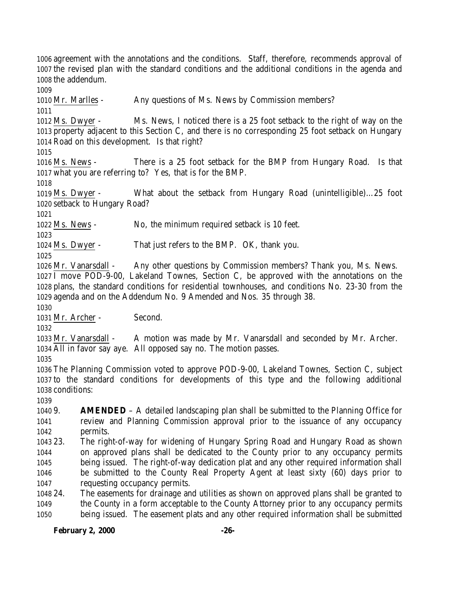agreement with the annotations and the conditions. Staff, therefore, recommends approval of the revised plan with the standard conditions and the additional conditions in the agenda and the addendum.

Mr. Marlles - Any questions of Ms. News by Commission members?

 Ms. Dwyer - Ms. News, I noticed there is a 25 foot setback to the right of way on the property adjacent to this Section C, and there is no corresponding 25 foot setback on Hungary Road on this development. Is that right?

 Ms. News - There is a 25 foot setback for the BMP from Hungary Road. Is that what you are referring to? Yes, that is for the BMP.

 Ms. Dwyer - What about the setback from Hungary Road (unintelligible)…25 foot setback to Hungary Road?

Ms. News - No, the minimum required setback is 10 feet.

Ms. Dwyer - That just refers to the BMP. OK, thank you.

 Mr. Vanarsdall - Any other questions by Commission members? Thank you, Ms. News. I move POD-9-00, Lakeland Townes, Section C, be approved with the annotations on the plans, the standard conditions for residential townhouses, and conditions No. 23-30 from the agenda and on the Addendum No. 9 Amended and Nos. 35 through 38.

Mr. Archer - Second.

 Mr. Vanarsdall - A motion was made by Mr. Vanarsdall and seconded by Mr. Archer. All in favor say aye. All opposed say no. The motion passes.

 The Planning Commission voted to approve POD-9-00, Lakeland Townes, Section C, subject to the standard conditions for developments of this type and the following additional conditions:

 9. **AMENDED** – A detailed landscaping plan shall be submitted to the Planning Office for review and Planning Commission approval prior to the issuance of any occupancy permits.

 23. The right-of-way for widening of Hungary Spring Road and Hungary Road as shown on approved plans shall be dedicated to the County prior to any occupancy permits being issued. The right-of-way dedication plat and any other required information shall be submitted to the County Real Property Agent at least sixty (60) days prior to requesting occupancy permits.

 24. The easements for drainage and utilities as shown on approved plans shall be granted to the County in a form acceptable to the County Attorney prior to any occupancy permits being issued. The easement plats and any other required information shall be submitted

# **February 2, 2000 -26-**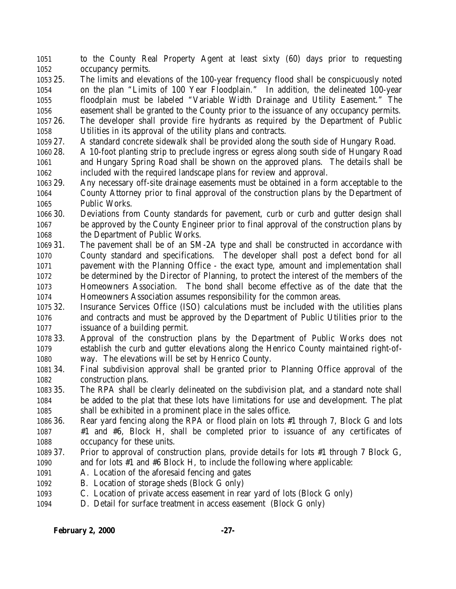to the County Real Property Agent at least sixty (60) days prior to requesting occupancy permits.

- 25. The limits and elevations of the 100-year frequency flood shall be conspicuously noted on the plan "Limits of 100 Year Floodplain." In addition, the delineated 100-year floodplain must be labeled "Variable Width Drainage and Utility Easement." The easement shall be granted to the County prior to the issuance of any occupancy permits. 26. The developer shall provide fire hydrants as required by the Department of Public
- Utilities in its approval of the utility plans and contracts.
- 27. A standard concrete sidewalk shall be provided along the south side of Hungary Road.
- 28. A 10-foot planting strip to preclude ingress or egress along south side of Hungary Road and Hungary Spring Road shall be shown on the approved plans. The details shall be included with the required landscape plans for review and approval.
- 29. Any necessary off-site drainage easements must be obtained in a form acceptable to the County Attorney prior to final approval of the construction plans by the Department of Public Works.
- 30. Deviations from County standards for pavement, curb or curb and gutter design shall be approved by the County Engineer prior to final approval of the construction plans by the Department of Public Works.
- 31. The pavement shall be of an SM-2A type and shall be constructed in accordance with County standard and specifications. The developer shall post a defect bond for all pavement with the Planning Office - the exact type, amount and implementation shall be determined by the Director of Planning, to protect the interest of the members of the Homeowners Association. The bond shall become effective as of the date that the Homeowners Association assumes responsibility for the common areas.
- 32. Insurance Services Office (ISO) calculations must be included with the utilities plans and contracts and must be approved by the Department of Public Utilities prior to the issuance of a building permit.
- 33. Approval of the construction plans by the Department of Public Works does not establish the curb and gutter elevations along the Henrico County maintained right-of-way. The elevations will be set by Henrico County.
- 34. Final subdivision approval shall be granted prior to Planning Office approval of the construction plans.
- 35. The RPA shall be clearly delineated on the subdivision plat, and a standard note shall be added to the plat that these lots have limitations for use and development. The plat shall be exhibited in a prominent place in the sales office.
- 36. Rear yard fencing along the RPA or flood plain on lots #1 through 7, Block G and lots #1 and #6, Block H, shall be completed prior to issuance of any certificates of occupancy for these units.
- 37. Prior to approval of construction plans, provide details for lots #1 through 7 Block G, and for lots #1 and #6 Block H, to include the following where applicable:
- A. Location of the aforesaid fencing and gates
- B. Location of storage sheds (Block G only)
- C. Location of private access easement in rear yard of lots (Block G only)
- D. Detail for surface treatment in access easement (Block G only)

#### **February 2, 2000 -27-**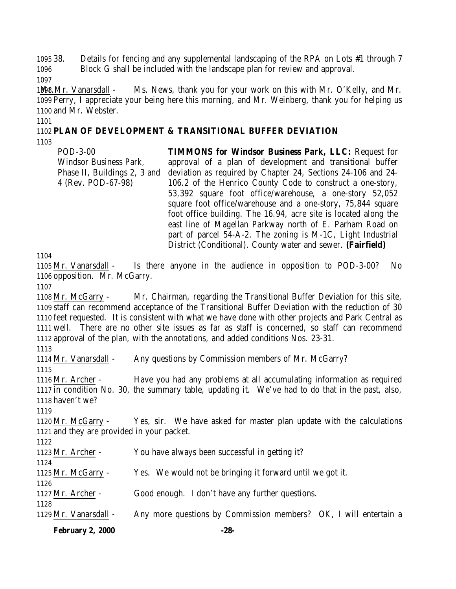38. Details for fencing and any supplemental landscaping of the RPA on Lots #1 through 7 Block G shall be included with the landscape plan for review and approval.

1048 Mr. Vanarsdall - Ms. News, thank you for your work on this with Mr. O'Kelly, and Mr. Perry, I appreciate your being here this morning, and Mr. Weinberg, thank you for helping us and Mr. Webster.

### **PLAN OF DEVELOPMENT & TRANSITIONAL BUFFER DEVIATION**

POD-3-00 Windsor Business Park, Phase II, Buildings 2, 3 and 4 (Rev. POD-67-98) **TIMMONS for Windsor Business Park, LLC:** Request for approval of a plan of development and transitional buffer deviation as required by Chapter 24, Sections 24-106 and 24- 106.2 of the Henrico County Code to construct a one-story, 53,392 square foot office/warehouse, a one-story 52,052 square foot office/warehouse and a one-story, 75,844 square foot office building. The 16.94, acre site is located along the east line of Magellan Parkway north of E. Parham Road on part of parcel 54-A-2. The zoning is M-1C, Light Industrial District (Conditional). County water and sewer. **(Fairfield)**

 Mr. Vanarsdall - Is there anyone in the audience in opposition to POD-3-00? No opposition. Mr. McGarry.

 Mr. McGarry - Mr. Chairman, regarding the Transitional Buffer Deviation for this site, staff can recommend acceptance of the Transitional Buffer Deviation with the reduction of 30 feet requested. It is consistent with what we have done with other projects and Park Central as well. There are no other site issues as far as staff is concerned, so staff can recommend approval of the plan, with the annotations, and added conditions Nos. 23-31.

 Mr. Vanarsdall - Any questions by Commission members of Mr. McGarry? Mr. Archer - Have you had any problems at all accumulating information as required in condition No. 30, the summary table, updating it. We've had to do that in the past, also, haven't we? Mr. McGarry - Yes, sir. We have asked for master plan update with the calculations and they are provided in your packet. Mr. Archer - You have always been successful in getting it? Mr. McGarry - Yes. We would not be bringing it forward until we got it. Mr. Archer - Good enough. I don't have any further questions. Mr. Vanarsdall - Any more questions by Commission members? OK, I will entertain a

**February 2, 2000 -28-**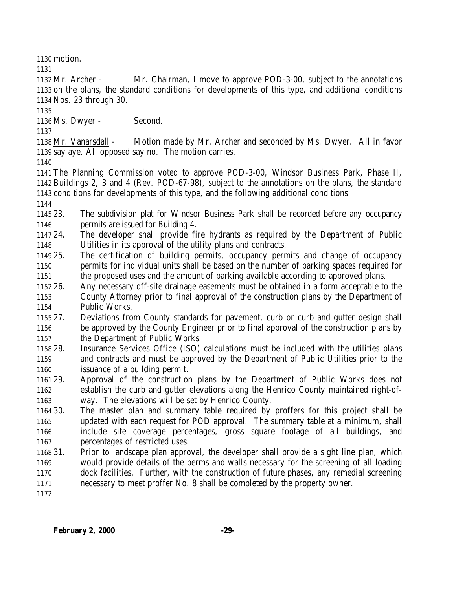motion.

 Mr. Archer - Mr. Chairman, I move to approve POD-3-00, subject to the annotations on the plans, the standard conditions for developments of this type, and additional conditions Nos. 23 through 30.

Ms. Dwyer - Second.

 Mr. Vanarsdall - Motion made by Mr. Archer and seconded by Ms. Dwyer. All in favor say aye. All opposed say no. The motion carries.

 The Planning Commission voted to approve POD-3-00, Windsor Business Park, Phase II, Buildings 2, 3 and 4 (Rev. POD-67-98), subject to the annotations on the plans, the standard conditions for developments of this type, and the following additional conditions:

 23. The subdivision plat for Windsor Business Park shall be recorded before any occupancy permits are issued for Building 4.

 24. The developer shall provide fire hydrants as required by the Department of Public Utilities in its approval of the utility plans and contracts.

 25. The certification of building permits, occupancy permits and change of occupancy permits for individual units shall be based on the number of parking spaces required for the proposed uses and the amount of parking available according to approved plans.

 26. Any necessary off-site drainage easements must be obtained in a form acceptable to the County Attorney prior to final approval of the construction plans by the Department of

Public Works.

 27. Deviations from County standards for pavement, curb or curb and gutter design shall be approved by the County Engineer prior to final approval of the construction plans by the Department of Public Works.

- 28. Insurance Services Office (ISO) calculations must be included with the utilities plans and contracts and must be approved by the Department of Public Utilities prior to the issuance of a building permit.
- 29. Approval of the construction plans by the Department of Public Works does not establish the curb and gutter elevations along the Henrico County maintained right-of-way. The elevations will be set by Henrico County.

 30. The master plan and summary table required by proffers for this project shall be updated with each request for POD approval. The summary table at a minimum, shall include site coverage percentages, gross square footage of all buildings, and percentages of restricted uses.

- 31. Prior to landscape plan approval, the developer shall provide a sight line plan, which would provide details of the berms and walls necessary for the screening of all loading dock facilities. Further, with the construction of future phases, any remedial screening necessary to meet proffer No. 8 shall be completed by the property owner.
-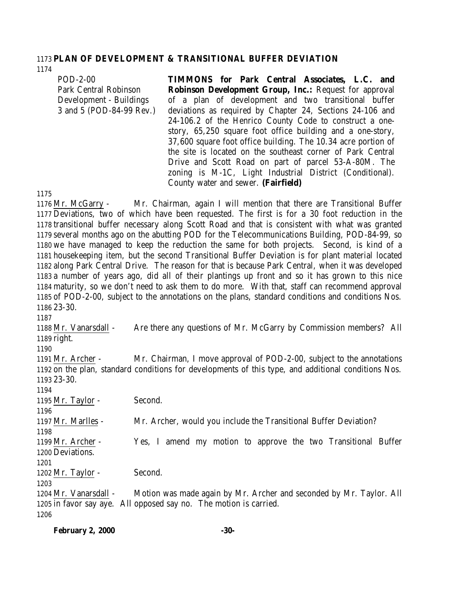### **PLAN OF DEVELOPMENT & TRANSITIONAL BUFFER DEVIATION**

POD-2-00 Park Central Robinson Development - Buildings 3 and 5 (POD-84-99 Rev.) **TIMMONS for Park Central Associates, L.C. and Robinson Development Group, Inc.:** Request for approval of a plan of development and two transitional buffer deviations as required by Chapter 24, Sections 24-106 and 24-106.2 of the Henrico County Code to construct a onestory, 65,250 square foot office building and a one-story, 37,600 square foot office building. The 10.34 acre portion of the site is located on the southeast corner of Park Central Drive and Scott Road on part of parcel 53-A-80M. The zoning is M-1C, Light Industrial District (Conditional).

County water and sewer. **(Fairfield)**

#### 

 Mr. McGarry - Mr. Chairman, again I will mention that there are Transitional Buffer Deviations, two of which have been requested. The first is for a 30 foot reduction in the transitional buffer necessary along Scott Road and that is consistent with what was granted several months ago on the abutting POD for the Telecommunications Building, POD-84-99, so we have managed to keep the reduction the same for both projects. Second, is kind of a housekeeping item, but the second Transitional Buffer Deviation is for plant material located along Park Central Drive. The reason for that is because Park Central, when it was developed a number of years ago, did all of their plantings up front and so it has grown to this nice maturity, so we don't need to ask them to do more. With that, staff can recommend approval of POD-2-00, subject to the annotations on the plans, standard conditions and conditions Nos. 23-30.

 Mr. Vanarsdall - Are there any questions of Mr. McGarry by Commission members? All right.

 Mr. Archer - Mr. Chairman, I move approval of POD-2-00, subject to the annotations on the plan, standard conditions for developments of this type, and additional conditions Nos. 23-30.

 1195 Mr. Taylor - Second. Mr. Marlles - Mr. Archer, would you include the Transitional Buffer Deviation? Mr. Archer - Yes, I amend my motion to approve the two Transitional Buffer Deviations. 1202 Mr. Taylor - Second. Mr. Vanarsdall - Motion was made again by Mr. Archer and seconded by Mr. Taylor. All in favor say aye. All opposed say no. The motion is carried.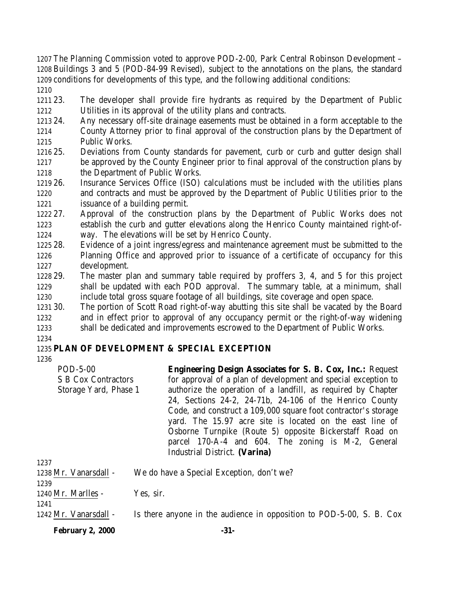The Planning Commission voted to approve POD-2-00, Park Central Robinson Development – Buildings 3 and 5 (POD-84-99 Revised), subject to the annotations on the plans, the standard conditions for developments of this type, and the following additional conditions: 

 23. The developer shall provide fire hydrants as required by the Department of Public Utilities in its approval of the utility plans and contracts.

- 24. Any necessary off-site drainage easements must be obtained in a form acceptable to the
- County Attorney prior to final approval of the construction plans by the Department of Public Works.
- 25. Deviations from County standards for pavement, curb or curb and gutter design shall be approved by the County Engineer prior to final approval of the construction plans by 1218 the Department of Public Works.
- 26. Insurance Services Office (ISO) calculations must be included with the utilities plans and contracts and must be approved by the Department of Public Utilities prior to the issuance of a building permit.
- 27. Approval of the construction plans by the Department of Public Works does not establish the curb and gutter elevations along the Henrico County maintained right-of-way. The elevations will be set by Henrico County.
- 28. Evidence of a joint ingress/egress and maintenance agreement must be submitted to the Planning Office and approved prior to issuance of a certificate of occupancy for this development.
- 29. The master plan and summary table required by proffers 3, 4, and 5 for this project shall be updated with each POD approval. The summary table, at a minimum, shall include total gross square footage of all buildings, site coverage and open space.
- 30. The portion of Scott Road right-of-way abutting this site shall be vacated by the Board and in effect prior to approval of any occupancy permit or the right-of-way widening shall be dedicated and improvements escrowed to the Department of Public Works.

# **PLAN OF DEVELOPMENT & SPECIAL EXCEPTION**

| POD-5-00                   | <b>Engineering Design Associates for S. B. Cox, Inc.: Request</b>                   |
|----------------------------|-------------------------------------------------------------------------------------|
| <b>S B Cox Contractors</b> | for approval of a plan of development and special exception to                      |
| Storage Yard, Phase 1      | authorize the operation of a landfill, as required by Chapter                       |
|                            | 24, Sections 24-2, 24-71b, 24-106 of the Henrico County                             |
|                            | Code, and construct a 109,000 square foot contractor's storage                      |
|                            | yard. The 15.97 acre site is located on the east line of                            |
|                            | Osborne Turnpike (Route 5) opposite Bickerstaff Road on                             |
|                            | parcel 170-A-4 and 604. The zoning is M-2, General<br>Industrial District. (Varina) |
|                            |                                                                                     |

| 1237                  |                                                                      |
|-----------------------|----------------------------------------------------------------------|
| 1238 Mr. Vanarsdall - | We do have a Special Exception, don't we?                            |
| 1239                  |                                                                      |
| $1240$ Mr. Marlles -  | Yes, sir.                                                            |
| 1241                  |                                                                      |
| 1242 Mr. Vanarsdall - | Is there anyone in the audience in opposition to POD-5-00, S. B. Cox |

**February 2, 2000 -31-**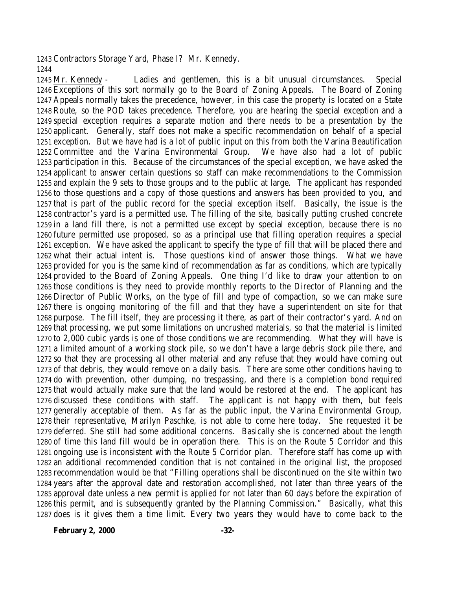Contractors Storage Yard, Phase I? Mr. Kennedy. 

 Mr. Kennedy - Ladies and gentlemen, this is a bit unusual circumstances. Special Exceptions of this sort normally go to the Board of Zoning Appeals. The Board of Zoning Appeals normally takes the precedence, however, in this case the property is located on a State Route, so the POD takes precedence. Therefore, you are hearing the special exception and a special exception requires a separate motion and there needs to be a presentation by the applicant. Generally, staff does not make a specific recommendation on behalf of a special exception. But we have had is a lot of public input on this from both the Varina Beautification Committee and the Varina Environmental Group. We have also had a lot of public participation in this. Because of the circumstances of the special exception, we have asked the applicant to answer certain questions so staff can make recommendations to the Commission and explain the 9 sets to those groups and to the public at large. The applicant has responded to those questions and a copy of those questions and answers has been provided to you, and that is part of the public record for the special exception itself. Basically, the issue is the contractor's yard is a permitted use. The filling of the site, basically putting crushed concrete in a land fill there, is not a permitted use except by special exception, because there is no future permitted use proposed, so as a principal use that filling operation requires a special exception. We have asked the applicant to specify the type of fill that will be placed there and what their actual intent is. Those questions kind of answer those things. What we have provided for you is the same kind of recommendation as far as conditions, which are typically provided to the Board of Zoning Appeals. One thing I'd like to draw your attention to on those conditions is they need to provide monthly reports to the Director of Planning and the Director of Public Works, on the type of fill and type of compaction, so we can make sure there is ongoing monitoring of the fill and that they have a superintendent on site for that purpose. The fill itself, they are processing it there, as part of their contractor's yard. And on that processing, we put some limitations on uncrushed materials, so that the material is limited to 2,000 cubic yards is one of those conditions we are recommending. What they will have is a limited amount of a working stock pile, so we don't have a large debris stock pile there, and so that they are processing all other material and any refuse that they would have coming out of that debris, they would remove on a daily basis. There are some other conditions having to do with prevention, other dumping, no trespassing, and there is a completion bond required that would actually make sure that the land would be restored at the end. The applicant has discussed these conditions with staff. The applicant is not happy with them, but feels generally acceptable of them. As far as the public input, the Varina Environmental Group, their representative, Marilyn Paschke, is not able to come here today. She requested it be deferred. She still had some additional concerns. Basically she is concerned about the length of time this land fill would be in operation there. This is on the Route 5 Corridor and this ongoing use is inconsistent with the Route 5 Corridor plan. Therefore staff has come up with an additional recommended condition that is not contained in the original list, the proposed recommendation would be that "Filling operations shall be discontinued on the site within two years after the approval date and restoration accomplished, not later than three years of the approval date unless a new permit is applied for not later than 60 days before the expiration of this permit, and is subsequently granted by the Planning Commission." Basically, what this does is it gives them a time limit. Every two years they would have to come back to the

**February 2, 2000 -32-**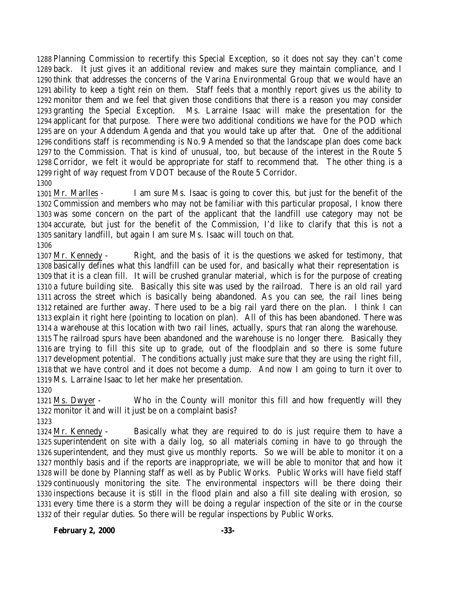Planning Commission to recertify this Special Exception, so it does not say they can't come back. It just gives it an additional review and makes sure they maintain compliance, and I think that addresses the concerns of the Varina Environmental Group that we would have an ability to keep a tight rein on them. Staff feels that a monthly report gives us the ability to monitor them and we feel that given those conditions that there is a reason you may consider granting the Special Exception. Ms. Larraine Isaac will make the presentation for the applicant for that purpose. There were two additional conditions we have for the POD which are on your Addendum Agenda and that you would take up after that. One of the additional conditions staff is recommending is No.9 Amended so that the landscape plan does come back to the Commission. That is kind of unusual, too, but because of the interest in the Route 5 Corridor, we felt it would be appropriate for staff to recommend that. The other thing is a right of way request from VDOT because of the Route 5 Corridor.

# 

 Mr. Marlles - I am sure Ms. Isaac is going to cover this, but just for the benefit of the Commission and members who may not be familiar with this particular proposal, I know there was some concern on the part of the applicant that the landfill use category may not be accurate, but just for the benefit of the Commission, I'd like to clarify that this is not a sanitary landfill, but again I am sure Ms. Isaac will touch on that. 

 Mr. Kennedy - Right, and the basis of it is the questions we asked for testimony, that basically defines what this landfill can be used for, and basically what their representation is that it is a clean fill. It will be crushed granular material, which is for the purpose of creating a future building site. Basically this site was used by the railroad. There is an old rail yard across the street which is basically being abandoned. As you can see, the rail lines being retained are further away. There used to be a big rail yard there on the plan. I think I can explain it right here (pointing to location on plan). All of this has been abandoned. There was a warehouse at this location with two rail lines, actually, spurs that ran along the warehouse. The railroad spurs have been abandoned and the warehouse is no longer there. Basically they are trying to fill this site up to grade, out of the floodplain and so there is some future development potential. The conditions actually just make sure that they are using the right fill, that we have control and it does not become a dump. And now I am going to turn it over to Ms. Larraine Isaac to let her make her presentation.

 Ms. Dwyer - Who in the County will monitor this fill and how frequently will they monitor it and will it just be on a complaint basis?

 Mr. Kennedy - Basically what they are required to do is just require them to have a superintendent on site with a daily log, so all materials coming in have to go through the superintendent, and they must give us monthly reports. So we will be able to monitor it on a monthly basis and if the reports are inappropriate, we will be able to monitor that and how it will be done by Planning staff as well as by Public Works. Public Works will have field staff continuously monitoring the site. The environmental inspectors will be there doing their inspections because it is still in the flood plain and also a fill site dealing with erosion, so every time there is a storm they will be doing a regular inspection of the site or in the course of their regular duties. So there will be regular inspections by Public Works.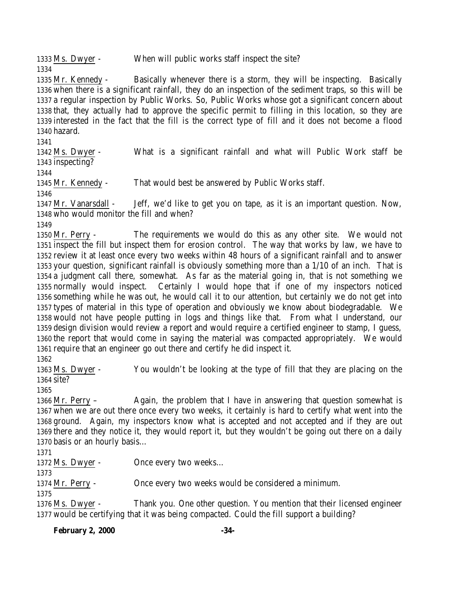Ms. Dwyer - When will public works staff inspect the site? 

 Mr. Kennedy - Basically whenever there is a storm, they will be inspecting. Basically when there is a significant rainfall, they do an inspection of the sediment traps, so this will be a regular inspection by Public Works. So, Public Works whose got a significant concern about that, they actually had to approve the specific permit to filling in this location, so they are interested in the fact that the fill is the correct type of fill and it does not become a flood hazard.

 Ms. Dwyer - What is a significant rainfall and what will Public Work staff be inspecting?

Mr. Kennedy - That would best be answered by Public Works staff.

 Mr. Vanarsdall - Jeff, we'd like to get you on tape, as it is an important question. Now, who would monitor the fill and when?

 Mr. Perry - The requirements we would do this as any other site. We would not inspect the fill but inspect them for erosion control. The way that works by law, we have to review it at least once every two weeks within 48 hours of a significant rainfall and to answer your question, significant rainfall is obviously something more than a 1/10 of an inch. That is a judgment call there, somewhat. As far as the material going in, that is not something we normally would inspect. Certainly I would hope that if one of my inspectors noticed something while he was out, he would call it to our attention, but certainly we do not get into types of material in this type of operation and obviously we know about biodegradable. We would not have people putting in logs and things like that. From what I understand, our design division would review a report and would require a certified engineer to stamp, I guess, the report that would come in saying the material was compacted appropriately. We would require that an engineer go out there and certify he did inspect it.

 Ms. Dwyer - You wouldn't be looking at the type of fill that they are placing on the site?

 Mr. Perry – Again, the problem that I have in answering that question somewhat is when we are out there once every two weeks, it certainly is hard to certify what went into the ground. Again, my inspectors know what is accepted and not accepted and if they are out there and they notice it, they would report it, but they wouldn't be going out there on a daily basis or an hourly basis…

Ms. Dwyer - Once every two weeks…

Mr. Perry - Once every two weeks would be considered a minimum.

 Ms. Dwyer - Thank you. One other question. You mention that their licensed engineer would be certifying that it was being compacted. Could the fill support a building?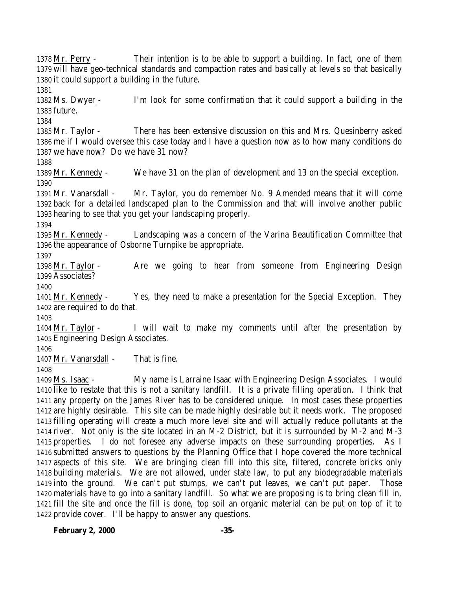Mr. Perry - Their intention is to be able to support a building. In fact, one of them will have geo-technical standards and compaction rates and basically at levels so that basically it could support a building in the future. Ms. Dwyer - I'm look for some confirmation that it could support a building in the future. Mr. Taylor - There has been extensive discussion on this and Mrs. Quesinberry asked me if I would oversee this case today and I have a question now as to how many conditions do we have now? Do we have 31 now? Mr. Kennedy - We have 31 on the plan of development and 13 on the special exception. Mr. Vanarsdall - Mr. Taylor, you do remember No. 9 Amended means that it will come back for a detailed landscaped plan to the Commission and that will involve another public hearing to see that you get your landscaping properly. Mr. Kennedy - Landscaping was a concern of the Varina Beautification Committee that the appearance of Osborne Turnpike be appropriate. Mr. Taylor - Are we going to hear from someone from Engineering Design Associates? Mr. Kennedy - Yes, they need to make a presentation for the Special Exception. They are required to do that. Mr. Taylor - I will wait to make my comments until after the presentation by Engineering Design Associates. 1407 Mr. Vanarsdall - That is fine. Ms. Isaac - My name is Larraine Isaac with Engineering Design Associates. I would like to restate that this is not a sanitary landfill. It is a private filling operation. I think that any property on the James River has to be considered unique. In most cases these properties are highly desirable. This site can be made highly desirable but it needs work. The proposed filling operating will create a much more level site and will actually reduce pollutants at the river. Not only is the site located in an M-2 District, but it is surrounded by M-2 and M-3 properties. I do not foresee any adverse impacts on these surrounding properties. As I submitted answers to questions by the Planning Office that I hope covered the more technical aspects of this site. We are bringing clean fill into this site, filtered, concrete bricks only building materials. We are not allowed, under state law, to put any biodegradable materials

 into the ground. We can't put stumps, we can't put leaves, we can't put paper. Those materials have to go into a sanitary landfill. So what we are proposing is to bring clean fill in, fill the site and once the fill is done, top soil an organic material can be put on top of it to provide cover. I'll be happy to answer any questions.

**February 2, 2000 -35-**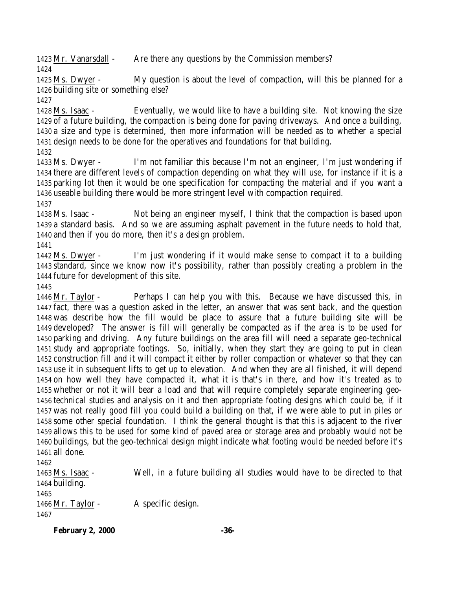Mr. Vanarsdall - Are there any questions by the Commission members? 

 Ms. Dwyer - My question is about the level of compaction, will this be planned for a building site or something else?

 Ms. Isaac - Eventually, we would like to have a building site. Not knowing the size of a future building, the compaction is being done for paving driveways. And once a building, a size and type is determined, then more information will be needed as to whether a special design needs to be done for the operatives and foundations for that building.

 Ms. Dwyer - I'm not familiar this because I'm not an engineer, I'm just wondering if there are different levels of compaction depending on what they will use, for instance if it is a parking lot then it would be one specification for compacting the material and if you want a useable building there would be more stringent level with compaction required.

 Ms. Isaac - Not being an engineer myself, I think that the compaction is based upon a standard basis. And so we are assuming asphalt pavement in the future needs to hold that, and then if you do more, then it's a design problem.

 Ms. Dwyer - I'm just wondering if it would make sense to compact it to a building standard, since we know now it's possibility, rather than possibly creating a problem in the future for development of this site.

 Mr. Taylor - Perhaps I can help you with this. Because we have discussed this, in fact, there was a question asked in the letter, an answer that was sent back, and the question was describe how the fill would be place to assure that a future building site will be developed? The answer is fill will generally be compacted as if the area is to be used for parking and driving. Any future buildings on the area fill will need a separate geo-technical study and appropriate footings. So, initially, when they start they are going to put in clean construction fill and it will compact it either by roller compaction or whatever so that they can use it in subsequent lifts to get up to elevation. And when they are all finished, it will depend on how well they have compacted it, what it is that's in there, and how it's treated as to whether or not it will bear a load and that will require completely separate engineering geo- technical studies and analysis on it and then appropriate footing designs which could be, if it was not really good fill you could build a building on that, if we were able to put in piles or some other special foundation. I think the general thought is that this is adjacent to the river allows this to be used for some kind of paved area or storage area and probably would not be buildings, but the geo-technical design might indicate what footing would be needed before it's all done.

 Ms. Isaac - Well, in a future building all studies would have to be directed to that building. 1466 Mr. Taylor - A specific design. 

**February 2, 2000 -36-**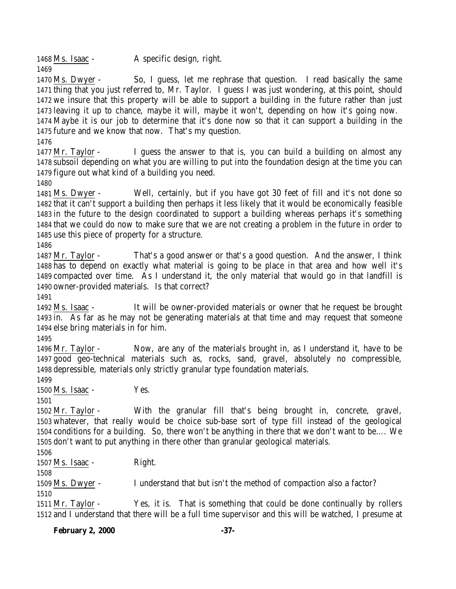1468 Ms. Isaac - A specific design, right.

 Ms. Dwyer - So, I guess, let me rephrase that question. I read basically the same thing that you just referred to, Mr. Taylor. I guess I was just wondering, at this point, should we insure that this property will be able to support a building in the future rather than just leaving it up to chance, maybe it will, maybe it won't, depending on how it's going now. Maybe it is our job to determine that it's done now so that it can support a building in the future and we know that now. That's my question.

 Mr. Taylor - I guess the answer to that is, you can build a building on almost any subsoil depending on what you are willing to put into the foundation design at the time you can figure out what kind of a building you need.

 Ms. Dwyer - Well, certainly, but if you have got 30 feet of fill and it's not done so that it can't support a building then perhaps it less likely that it would be economically feasible in the future to the design coordinated to support a building whereas perhaps it's something that we could do now to make sure that we are not creating a problem in the future in order to use this piece of property for a structure.

 Mr. Taylor - That's a good answer or that's a good question. And the answer, I think has to depend on exactly what material is going to be place in that area and how well it's compacted over time. As I understand it, the only material that would go in that landfill is owner-provided materials. Is that correct?

 Ms. Isaac - It will be owner-provided materials or owner that he request be brought in. As far as he may not be generating materials at that time and may request that someone else bring materials in for him.

 Mr. Taylor - Now, are any of the materials brought in, as I understand it, have to be good geo-technical materials such as, rocks, sand, gravel, absolutely no compressible, depressible, materials only strictly granular type foundation materials.

1500  $\text{Ms}$ . Isaac - Yes.

 Mr. Taylor - With the granular fill that's being brought in, concrete, gravel, whatever, that really would be choice sub-base sort of type fill instead of the geological conditions for a building. So, there won't be anything in there that we don't want to be…. We don't want to put anything in there other than granular geological materials.

Ms. Isaac - Right.

Ms. Dwyer - I understand that but isn't the method of compaction also a factor?

 Mr. Taylor - Yes, it is. That is something that could be done continually by rollers and I understand that there will be a full time supervisor and this will be watched, I presume at

**February 2, 2000 -37-**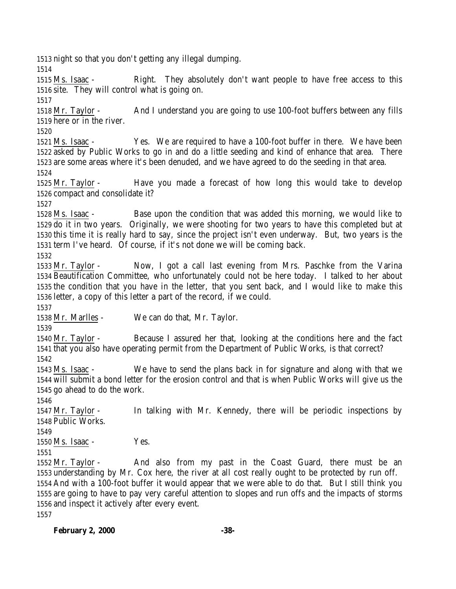night so that you don't getting any illegal dumping.

 Ms. Isaac - Right. They absolutely don't want people to have free access to this site. They will control what is going on.

 Mr. Taylor - And I understand you are going to use 100-foot buffers between any fills here or in the river.

 Ms. Isaac - Yes. We are required to have a 100-foot buffer in there. We have been asked by Public Works to go in and do a little seeding and kind of enhance that area. There are some areas where it's been denuded, and we have agreed to do the seeding in that area.

 Mr. Taylor - Have you made a forecast of how long this would take to develop compact and consolidate it?

 Ms. Isaac - Base upon the condition that was added this morning, we would like to do it in two years. Originally, we were shooting for two years to have this completed but at this time it is really hard to say, since the project isn't even underway. But, two years is the term I've heard. Of course, if it's not done we will be coming back.

 Mr. Taylor - Now, I got a call last evening from Mrs. Paschke from the Varina Beautification Committee, who unfortunately could not be here today. I talked to her about the condition that you have in the letter, that you sent back, and I would like to make this letter, a copy of this letter a part of the record, if we could.

Mr. Marlles - We can do that, Mr. Taylor.

 Mr. Taylor - Because I assured her that, looking at the conditions here and the fact that you also have operating permit from the Department of Public Works, is that correct? 

 Ms. Isaac - We have to send the plans back in for signature and along with that we will submit a bond letter for the erosion control and that is when Public Works will give us the go ahead to do the work.

 Mr. Taylor - In talking with Mr. Kennedy, there will be periodic inspections by Public Works.

Ms. Isaac - Yes.

 Mr. Taylor - And also from my past in the Coast Guard, there must be an understanding by Mr. Cox here, the river at all cost really ought to be protected by run off. And with a 100-foot buffer it would appear that we were able to do that. But I still think you are going to have to pay very careful attention to slopes and run offs and the impacts of storms and inspect it actively after every event. 

**February 2, 2000 -38-**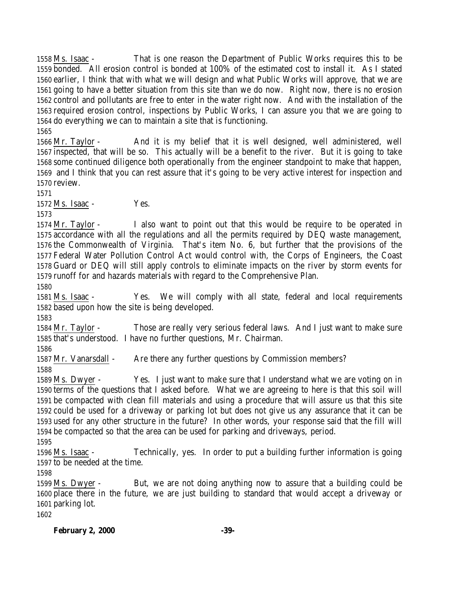Ms. Isaac - That is one reason the Department of Public Works requires this to be bonded. All erosion control is bonded at 100% of the estimated cost to install it. As I stated earlier, I think that with what we will design and what Public Works will approve, that we are going to have a better situation from this site than we do now. Right now, there is no erosion control and pollutants are free to enter in the water right now. And with the installation of the required erosion control, inspections by Public Works, I can assure you that we are going to do everything we can to maintain a site that is functioning.

 Mr. Taylor - And it is my belief that it is well designed, well administered, well inspected, that will be so. This actually will be a benefit to the river. But it is going to take some continued diligence both operationally from the engineer standpoint to make that happen, and I think that you can rest assure that it's going to be very active interest for inspection and review.

Ms. Isaac - Yes.

 Mr. Taylor - I also want to point out that this would be require to be operated in accordance with all the regulations and all the permits required by DEQ waste management, the Commonwealth of Virginia. That's item No. 6, but further that the provisions of the Federal Water Pollution Control Act would control with, the Corps of Engineers, the Coast Guard or DEQ will still apply controls to eliminate impacts on the river by storm events for runoff for and hazards materials with regard to the Comprehensive Plan.

 Ms. Isaac - Yes. We will comply with all state, federal and local requirements based upon how the site is being developed.

 Mr. Taylor - Those are really very serious federal laws. And I just want to make sure that's understood. I have no further questions, Mr. Chairman.

1587 Mr. Vanarsdall - Are there any further questions by Commission members? 

 Ms. Dwyer - Yes. I just want to make sure that I understand what we are voting on in terms of the questions that I asked before. What we are agreeing to here is that this soil will be compacted with clean fill materials and using a procedure that will assure us that this site could be used for a driveway or parking lot but does not give us any assurance that it can be used for any other structure in the future? In other words, your response said that the fill will be compacted so that the area can be used for parking and driveways, period.

 Ms. Isaac - Technically, yes. In order to put a building further information is going to be needed at the time.

 Ms. Dwyer - But, we are not doing anything now to assure that a building could be place there in the future, we are just building to standard that would accept a driveway or parking lot.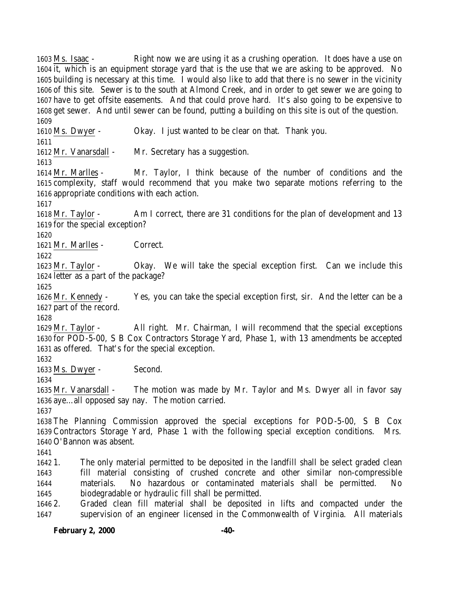Ms. Isaac - Right now we are using it as a crushing operation. It does have a use on it, which is an equipment storage yard that is the use that we are asking to be approved. No building is necessary at this time. I would also like to add that there is no sewer in the vicinity of this site. Sewer is to the south at Almond Creek, and in order to get sewer we are going to have to get offsite easements. And that could prove hard. It's also going to be expensive to get sewer. And until sewer can be found, putting a building on this site is out of the question. Ms. Dwyer - Okay. I just wanted to be clear on that. Thank you. Mr. Vanarsdall - Mr. Secretary has a suggestion. Mr. Marlles - Mr. Taylor, I think because of the number of conditions and the complexity, staff would recommend that you make two separate motions referring to the appropriate conditions with each action. Mr. Taylor - Am I correct, there are 31 conditions for the plan of development and 13 for the special exception? Mr. Marlles - Correct. Mr. Taylor - Okay. We will take the special exception first. Can we include this letter as a part of the package? Mr. Kennedy - Yes, you can take the special exception first, sir. And the letter can be a part of the record. Mr. Taylor - All right. Mr. Chairman, I will recommend that the special exceptions for POD-5-00, S B Cox Contractors Storage Yard, Phase 1, with 13 amendments be accepted as offered. That's for the special exception. Ms. Dwyer - Second. Mr. Vanarsdall - The motion was made by Mr. Taylor and Ms. Dwyer all in favor say aye…all opposed say nay. The motion carried. The Planning Commission approved the special exceptions for POD-5-00, S B Cox Contractors Storage Yard, Phase 1 with the following special exception conditions. Mrs. O'Bannon was absent. 1. The only material permitted to be deposited in the landfill shall be select graded clean fill material consisting of crushed concrete and other similar non-compressible materials. No hazardous or contaminated materials shall be permitted. No biodegradable or hydraulic fill shall be permitted. 2. Graded clean fill material shall be deposited in lifts and compacted under the supervision of an engineer licensed in the Commonwealth of Virginia. All materials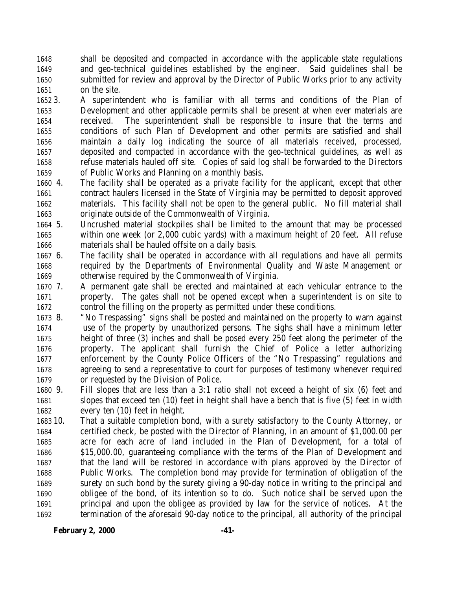shall be deposited and compacted in accordance with the applicable state regulations and geo-technical guidelines established by the engineer. Said guidelines shall be submitted for review and approval by the Director of Public Works prior to any activity on the site.

- 3. A superintendent who is familiar with all terms and conditions of the Plan of Development and other applicable permits shall be present at when ever materials are received. The superintendent shall be responsible to insure that the terms and conditions of such Plan of Development and other permits are satisfied and shall maintain a daily log indicating the source of all materials received, processed, deposited and compacted in accordance with the geo-technical guidelines, as well as refuse materials hauled off site. Copies of said log shall be forwarded to the Directors of Public Works and Planning on a monthly basis.
- 4. The facility shall be operated as a private facility for the applicant, except that other contract haulers licensed in the State of Virginia may be permitted to deposit approved materials. This facility shall not be open to the general public. No fill material shall originate outside of the Commonwealth of Virginia.
- 5. Uncrushed material stockpiles shall be limited to the amount that may be processed within one week (or 2,000 cubic yards) with a maximum height of 20 feet. All refuse materials shall be hauled offsite on a daily basis.
- 6. The facility shall be operated in accordance with all regulations and have all permits required by the Departments of Environmental Quality and Waste Management or otherwise required by the Commonwealth of Virginia.
- 7. A permanent gate shall be erected and maintained at each vehicular entrance to the property. The gates shall not be opened except when a superintendent is on site to control the filling on the property as permitted under these conditions.
- 8. "No Trespassing" signs shall be posted and maintained on the property to warn against use of the property by unauthorized persons. The sighs shall have a minimum letter height of three (3) inches and shall be posed every 250 feet along the perimeter of the property. The applicant shall furnish the Chief of Police a letter authorizing enforcement by the County Police Officers of the "No Trespassing" regulations and agreeing to send a representative to court for purposes of testimony whenever required or requested by the Division of Police.
- 9. Fill slopes that are less than a 3:1 ratio shall not exceed a height of six (6) feet and slopes that exceed ten (10) feet in height shall have a bench that is five (5) feet in width every ten (10) feet in height.
- 10. That a suitable completion bond, with a surety satisfactory to the County Attorney, or certified check, be posted with the Director of Planning, in an amount of \$1,000.00 per acre for each acre of land included in the Plan of Development, for a total of \$15,000.00, guaranteeing compliance with the terms of the Plan of Development and that the land will be restored in accordance with plans approved by the Director of Public Works. The completion bond may provide for termination of obligation of the surety on such bond by the surety giving a 90-day notice in writing to the principal and obligee of the bond, of its intention so to do. Such notice shall be served upon the principal and upon the obligee as provided by law for the service of notices. At the termination of the aforesaid 90-day notice to the principal, all authority of the principal

**February 2, 2000 -41-**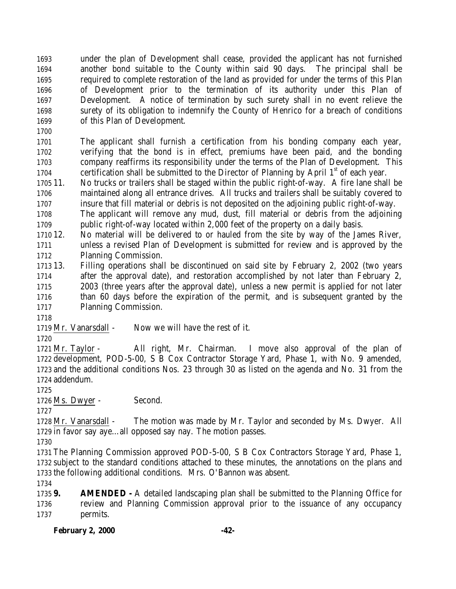under the plan of Development shall cease, provided the applicant has not furnished another bond suitable to the County within said 90 days. The principal shall be required to complete restoration of the land as provided for under the terms of this Plan of Development prior to the termination of its authority under this Plan of Development. A notice of termination by such surety shall in no event relieve the surety of its obligation to indemnify the County of Henrico for a breach of conditions of this Plan of Development.

 The applicant shall furnish a certification from his bonding company each year, verifying that the bond is in effect, premiums have been paid, and the bonding company reaffirms its responsibility under the terms of the Plan of Development. This 1704 certification shall be submitted to the Director of Planning by April  $1<sup>st</sup>$  of each year.

 11. No trucks or trailers shall be staged within the public right-of-way. A fire lane shall be maintained along all entrance drives. All trucks and trailers shall be suitably covered to insure that fill material or debris is not deposited on the adjoining public right-of-way.

 The applicant will remove any mud, dust, fill material or debris from the adjoining public right-of-way located within 2,000 feet of the property on a daily basis.

 12. No material will be delivered to or hauled from the site by way of the James River, unless a revised Plan of Development is submitted for review and is approved by the Planning Commission.

 13. Filling operations shall be discontinued on said site by February 2, 2002 (two years after the approval date), and restoration accomplished by not later than February 2, 2003 (three years after the approval date), unless a new permit is applied for not later than 60 days before the expiration of the permit, and is subsequent granted by the Planning Commission.

- Mr. Vanarsdall Now we will have the rest of it.
- 

 Mr. Taylor - All right, Mr. Chairman. I move also approval of the plan of development, POD-5-00, S B Cox Contractor Storage Yard, Phase 1, with No. 9 amended, and the additional conditions Nos. 23 through 30 as listed on the agenda and No. 31 from the addendum.

1726 Ms. Dwyer - Second.

 Mr. Vanarsdall - The motion was made by Mr. Taylor and seconded by Ms. Dwyer. All in favor say aye…all opposed say nay. The motion passes.

 The Planning Commission approved POD-5-00, S B Cox Contractors Storage Yard, Phase 1, subject to the standard conditions attached to these minutes, the annotations on the plans and the following additional conditions. Mrs. O'Bannon was absent.

 **9. AMENDED -** A detailed landscaping plan shall be submitted to the Planning Office for review and Planning Commission approval prior to the issuance of any occupancy permits.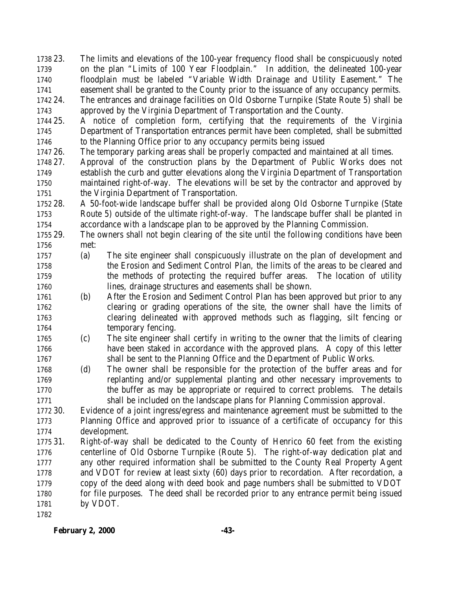23. The limits and elevations of the 100-year frequency flood shall be conspicuously noted on the plan "Limits of 100 Year Floodplain." In addition, the delineated 100-year floodplain must be labeled "Variable Width Drainage and Utility Easement." The easement shall be granted to the County prior to the issuance of any occupancy permits. 24. The entrances and drainage facilities on Old Osborne Turnpike (State Route 5) shall be

approved by the Virginia Department of Transportation and the County.

 25. A notice of completion form, certifying that the requirements of the Virginia Department of Transportation entrances permit have been completed, shall be submitted to the Planning Office prior to any occupancy permits being issued

- 26. The temporary parking areas shall be properly compacted and maintained at all times.
- 27. Approval of the construction plans by the Department of Public Works does not establish the curb and gutter elevations along the Virginia Department of Transportation maintained right-of-way. The elevations will be set by the contractor and approved by the Virginia Department of Transportation.

 28. A 50-foot-wide landscape buffer shall be provided along Old Osborne Turnpike (State Route 5) outside of the ultimate right-of-way. The landscape buffer shall be planted in accordance with a landscape plan to be approved by the Planning Commission.

- 29. The owners shall not begin clearing of the site until the following conditions have been met:
- (a) The site engineer shall conspicuously illustrate on the plan of development and the Erosion and Sediment Control Plan, the limits of the areas to be cleared and the methods of protecting the required buffer areas. The location of utility lines, drainage structures and easements shall be shown.
- (b) After the Erosion and Sediment Control Plan has been approved but prior to any clearing or grading operations of the site, the owner shall have the limits of clearing delineated with approved methods such as flagging, silt fencing or 1764 temporary fencing.
- (c) The site engineer shall certify in writing to the owner that the limits of clearing have been staked in accordance with the approved plans. A copy of this letter shall be sent to the Planning Office and the Department of Public Works.
- (d) The owner shall be responsible for the protection of the buffer areas and for replanting and/or supplemental planting and other necessary improvements to the buffer as may be appropriate or required to correct problems. The details shall be included on the landscape plans for Planning Commission approval.

 30. Evidence of a joint ingress/egress and maintenance agreement must be submitted to the Planning Office and approved prior to issuance of a certificate of occupancy for this development.

 31. Right-of-way shall be dedicated to the County of Henrico 60 feet from the existing centerline of Old Osborne Turnpike (Route 5). The right-of-way dedication plat and any other required information shall be submitted to the County Real Property Agent and VDOT for review at least sixty (60) days prior to recordation. After recordation, a copy of the deed along with deed book and page numbers shall be submitted to VDOT for file purposes. The deed shall be recorded prior to any entrance permit being issued by VDOT.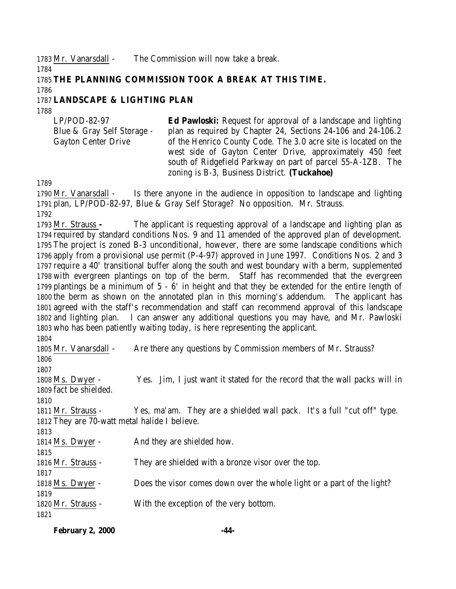Mr. Vanarsdall - The Commission will now take a break.

## **THE PLANNING COMMISSION TOOK A BREAK AT THIS TIME.**

# **LANDSCAPE & LIGHTING PLAN**

LP/POD-82-97 Blue & Gray Self Storage - Gayton Center Drive **Ed Pawloski:** Request for approval of a landscape and lighting plan as required by Chapter 24, Sections 24-106 and 24-106.2 of the Henrico County Code. The 3.0 acre site is located on the west side of Gayton Center Drive, approximately 450 feet south of Ridgefield Parkway on part of parcel 55-A-1ZB. The zoning is B-3, Business District. **(Tuckahoe)**

 Mr. Vanarsdall - Is there anyone in the audience in opposition to landscape and lighting plan, LP/POD-82-97, Blue & Gray Self Storage? No opposition. Mr. Strauss. 

 Mr. Strauss **-** The applicant is requesting approval of a landscape and lighting plan as required by standard conditions Nos. 9 and 11 amended of the approved plan of development. The project is zoned B-3 unconditional, however, there are some landscape conditions which apply from a provisional use permit (P-4-97) approved in June 1997. Conditions Nos. 2 and 3 require a 40' transitional buffer along the south and west boundary with a berm, supplemented with evergreen plantings on top of the berm. Staff has recommended that the evergreen plantings be a minimum of 5 - 6' in height and that they be extended for the entire length of the berm as shown on the annotated plan in this morning's addendum. The applicant has agreed with the staff's recommendation and staff can recommend approval of this landscape and lighting plan. I can answer any additional questions you may have, and Mr. Pawloski who has been patiently waiting today, is here representing the applicant.

| ,,,,,,,                                       |                                                                            |
|-----------------------------------------------|----------------------------------------------------------------------------|
| 1805 Mr. Vanarsdall -                         | Are there any questions by Commission members of Mr. Strauss?              |
| 1806                                          |                                                                            |
| 1807                                          |                                                                            |
| 1808 Ms. Dwyer -                              | Yes. Jim, I just want it stated for the record that the wall packs will in |
| 1809 fact be shielded.                        |                                                                            |
| 1810                                          |                                                                            |
| 1811 Mr. Strauss -                            | Yes, ma'am. They are a shielded wall pack. It's a full "cut off" type.     |
| 1812 They are 70-watt metal halide I believe. |                                                                            |
| 1813                                          |                                                                            |
| 1814 Ms. Dwyer -                              | And they are shielded how.                                                 |
| 1815                                          |                                                                            |
| 1816 Mr. Strauss -                            | They are shielded with a bronze visor over the top.                        |
| 1817                                          |                                                                            |
| 1818 Ms. Dwyer -                              | Does the visor comes down over the whole light or a part of the light?     |
| 1819                                          |                                                                            |
| 1820 Mr. Strauss -                            | With the exception of the very bottom.                                     |
| 1821                                          |                                                                            |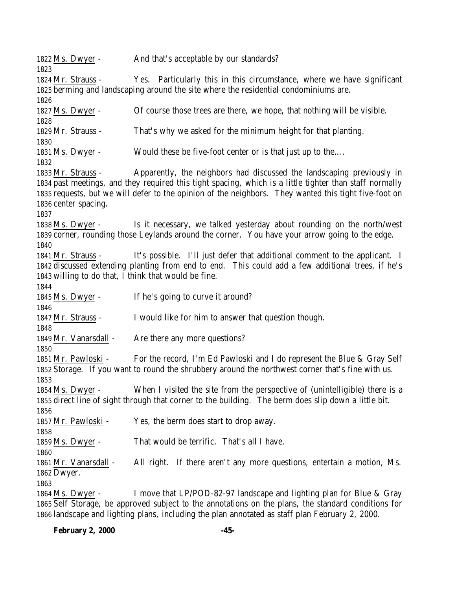Ms. Dwyer - And that's acceptable by our standards? Mr. Strauss - Yes. Particularly this in this circumstance, where we have significant berming and landscaping around the site where the residential condominiums are. Ms. Dwyer - Of course those trees are there, we hope, that nothing will be visible. Mr. Strauss - That's why we asked for the minimum height for that planting. Ms. Dwyer - Would these be five-foot center or is that just up to the…. Mr. Strauss - Apparently, the neighbors had discussed the landscaping previously in past meetings, and they required this tight spacing, which is a little tighter than staff normally requests, but we will defer to the opinion of the neighbors. They wanted this tight five-foot on center spacing. Ms. Dwyer - Is it necessary, we talked yesterday about rounding on the north/west corner, rounding those Leylands around the corner. You have your arrow going to the edge. Mr. Strauss - It's possible. I'll just defer that additional comment to the applicant. I discussed extending planting from end to end. This could add a few additional trees, if he's willing to do that, I think that would be fine. Ms. Dwyer - If he's going to curve it around? Mr. Strauss - I would like for him to answer that question though. 1849 Mr. Vanarsdall - Are there any more questions? Mr. Pawloski - For the record, I'm Ed Pawloski and I do represent the Blue & Gray Self Storage. If you want to round the shrubbery around the northwest corner that's fine with us. Ms. Dwyer - When I visited the site from the perspective of (unintelligible) there is a direct line of sight through that corner to the building. The berm does slip down a little bit. Mr. Pawloski - Yes, the berm does start to drop away. Ms. Dwyer - That would be terrific. That's all I have. Mr. Vanarsdall - All right. If there aren't any more questions, entertain a motion, Ms. Dwyer. Ms. Dwyer - I move that LP/POD-82-97 landscape and lighting plan for Blue & Gray Self Storage, be approved subject to the annotations on the plans, the standard conditions for

landscape and lighting plans, including the plan annotated as staff plan February 2, 2000.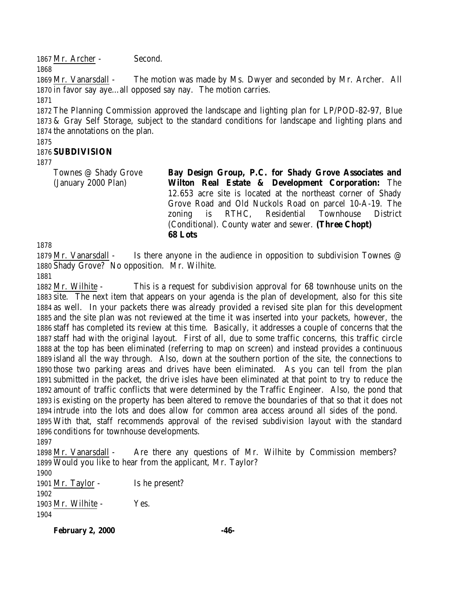1867 Mr. Archer - Second.

Townes @ Shady Grove (January 2000 Plan)

 Mr. Vanarsdall - The motion was made by Ms. Dwyer and seconded by Mr. Archer. All in favor say aye…all opposed say nay. The motion carries. 

 The Planning Commission approved the landscape and lighting plan for LP/POD-82-97, Blue & Gray Self Storage, subject to the standard conditions for landscape and lighting plans and the annotations on the plan.

#### **SUBDIVISION**

**Bay Design Group, P.C. for Shady Grove Associates and Wilton Real Estate & Development Corporation:** The 12.653 acre site is located at the northeast corner of Shady Grove Road and Old Nuckols Road on parcel 10-A-19. The zoning is RTHC, Residential Townhouse District (Conditional). County water and sewer. **(Three Chopt) 68 Lots**

 Mr. Vanarsdall - Is there anyone in the audience in opposition to subdivision Townes @ Shady Grove? No opposition. Mr. Wilhite.

 Mr. Wilhite - This is a request for subdivision approval for 68 townhouse units on the site. The next item that appears on your agenda is the plan of development, also for this site as well. In your packets there was already provided a revised site plan for this development and the site plan was not reviewed at the time it was inserted into your packets, however, the staff has completed its review at this time. Basically, it addresses a couple of concerns that the staff had with the original layout. First of all, due to some traffic concerns, this traffic circle at the top has been eliminated (referring to map on screen) and instead provides a continuous island all the way through. Also, down at the southern portion of the site, the connections to those two parking areas and drives have been eliminated. As you can tell from the plan submitted in the packet, the drive isles have been eliminated at that point to try to reduce the amount of traffic conflicts that were determined by the Traffic Engineer. Also, the pond that is existing on the property has been altered to remove the boundaries of that so that it does not intrude into the lots and does allow for common area access around all sides of the pond. With that, staff recommends approval of the revised subdivision layout with the standard conditions for townhouse developments.

 1898 Mr. Vanarsdall - Are there any questions of Mr. Wilhite by Commission members? Would you like to hear from the applicant, Mr. Taylor?

 Mr. Taylor - Is he present? Mr. Wilhite - Yes. 

**February 2, 2000 -46-**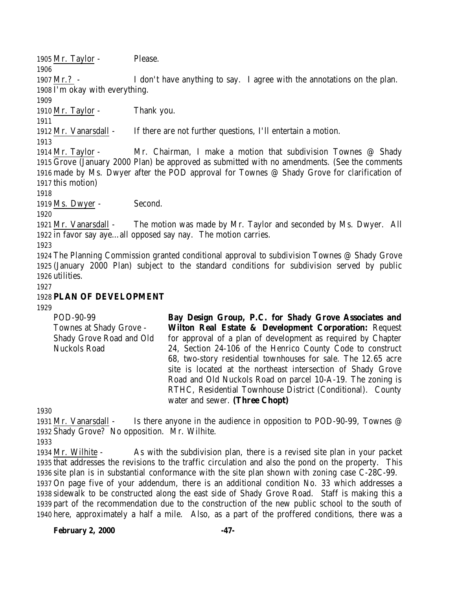1905 Mr. Taylor - Please.

 Mr.? - I don't have anything to say. I agree with the annotations on the plan. I'm okay with everything.

Mr. Taylor - Thank you.

Mr. Vanarsdall - If there are not further questions, I'll entertain a motion.

 Mr. Taylor - Mr. Chairman, I make a motion that subdivision Townes @ Shady Grove (January 2000 Plan) be approved as submitted with no amendments. (See the comments made by Ms. Dwyer after the POD approval for Townes @ Shady Grove for clarification of this motion)

1919 Ms. Dwyer - Second.

 Mr. Vanarsdall - The motion was made by Mr. Taylor and seconded by Ms. Dwyer. All in favor say aye…all opposed say nay. The motion carries.

 The Planning Commission granted conditional approval to subdivision Townes @ Shady Grove (January 2000 Plan) subject to the standard conditions for subdivision served by public utilities.

## **PLAN OF DEVELOPMENT**

| POD-90-99                | Bay Design Group, P.C. for Shady Grove Associates and         |
|--------------------------|---------------------------------------------------------------|
| Townes at Shady Grove -  | Wilton Real Estate & Development Corporation: Request         |
| Shady Grove Road and Old | for approval of a plan of development as required by Chapter  |
| Nuckols Road             | 24, Section 24-106 of the Henrico County Code to construct    |
|                          | 68, two-story residential townhouses for sale. The 12.65 acre |
|                          | site is located at the northeast intersection of Shady Grove  |
|                          | Road and Old Nuckols Road on parcel 10-A-19. The zoning is    |
|                          | RTHC, Residential Townhouse District (Conditional). County    |
|                          | water and sewer. (Three Chopt)                                |
|                          |                                                               |

1931 Mr. Vanarsdall - Is there anyone in the audience in opposition to POD-90-99, Townes @ Shady Grove? No opposition. Mr. Wilhite.

 Mr. Wilhite - As with the subdivision plan, there is a revised site plan in your packet that addresses the revisions to the traffic circulation and also the pond on the property. This site plan is in substantial conformance with the site plan shown with zoning case C-28C-99. On page five of your addendum, there is an additional condition No. 33 which addresses a sidewalk to be constructed along the east side of Shady Grove Road. Staff is making this a

 part of the recommendation due to the construction of the new public school to the south of here, approximately a half a mile. Also, as a part of the proffered conditions, there was a

**February 2, 2000 -47-**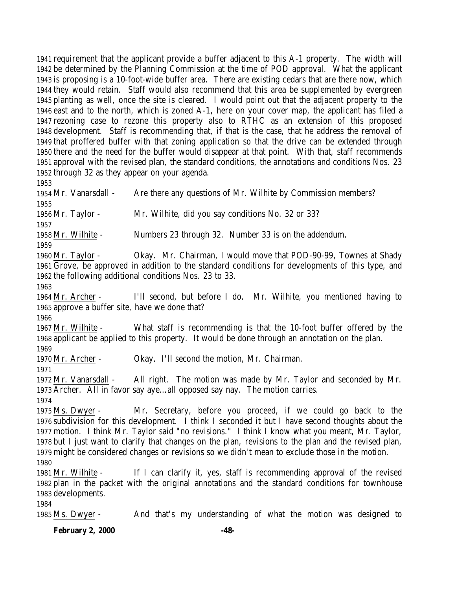requirement that the applicant provide a buffer adjacent to this A-1 property. The width will be determined by the Planning Commission at the time of POD approval. What the applicant is proposing is a 10-foot-wide buffer area. There are existing cedars that are there now, which they would retain. Staff would also recommend that this area be supplemented by evergreen planting as well, once the site is cleared. I would point out that the adjacent property to the east and to the north, which is zoned A-1, here on your cover map, the applicant has filed a rezoning case to rezone this property also to RTHC as an extension of this proposed development. Staff is recommending that, if that is the case, that he address the removal of that proffered buffer with that zoning application so that the drive can be extended through there and the need for the buffer would disappear at that point. With that, staff recommends approval with the revised plan, the standard conditions, the annotations and conditions Nos. 23 through 32 as they appear on your agenda.

 Mr. Vanarsdall - Are there any questions of Mr. Wilhite by Commission members? Mr. Taylor - Mr. Wilhite, did you say conditions No. 32 or 33? Mr. Wilhite - Numbers 23 through 32. Number 33 is on the addendum. Mr. Taylor - Okay. Mr. Chairman, I would move that POD-90-99, Townes at Shady Grove, be approved in addition to the standard conditions for developments of this type, and the following additional conditions Nos. 23 to 33. Mr. Archer - I'll second, but before I do. Mr. Wilhite, you mentioned having to approve a buffer site, have we done that? Mr. Wilhite - What staff is recommending is that the 10-foot buffer offered by the applicant be applied to this property. It would be done through an annotation on the plan. Mr. Archer - Okay. I'll second the motion, Mr. Chairman. Mr. Vanarsdall - All right. The motion was made by Mr. Taylor and seconded by Mr. Archer. All in favor say aye…all opposed say nay. The motion carries. Ms. Dwyer - Mr. Secretary, before you proceed, if we could go back to the subdivision for this development. I think I seconded it but I have second thoughts about the motion. I think Mr. Taylor said "no revisions." I think I know what you meant, Mr. Taylor, but I just want to clarify that changes on the plan, revisions to the plan and the revised plan, might be considered changes or revisions so we didn't mean to exclude those in the motion. Mr. Wilhite - If I can clarify it, yes, staff is recommending approval of the revised plan in the packet with the original annotations and the standard conditions for townhouse developments. Ms. Dwyer - And that's my understanding of what the motion was designed to

**February 2, 2000 -48-**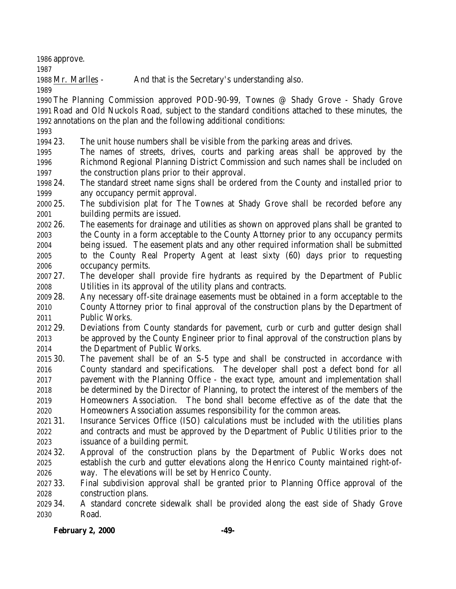approve.

Mr. Marlles - And that is the Secretary's understanding also.

 The Planning Commission approved POD-90-99, Townes @ Shady Grove - Shady Grove Road and Old Nuckols Road, subject to the standard conditions attached to these minutes, the annotations on the plan and the following additional conditions:

23. The unit house numbers shall be visible from the parking areas and drives.

- The names of streets, drives, courts and parking areas shall be approved by the Richmond Regional Planning District Commission and such names shall be included on the construction plans prior to their approval.
- 24. The standard street name signs shall be ordered from the County and installed prior to any occupancy permit approval.

 25. The subdivision plat for The Townes at Shady Grove shall be recorded before any building permits are issued.

- 26. The easements for drainage and utilities as shown on approved plans shall be granted to the County in a form acceptable to the County Attorney prior to any occupancy permits being issued. The easement plats and any other required information shall be submitted to the County Real Property Agent at least sixty (60) days prior to requesting occupancy permits.
- 27. The developer shall provide fire hydrants as required by the Department of Public Utilities in its approval of the utility plans and contracts.
- 28. Any necessary off-site drainage easements must be obtained in a form acceptable to the County Attorney prior to final approval of the construction plans by the Department of Public Works.
- 29. Deviations from County standards for pavement, curb or curb and gutter design shall be approved by the County Engineer prior to final approval of the construction plans by the Department of Public Works.
- 30. The pavement shall be of an S-5 type and shall be constructed in accordance with County standard and specifications. The developer shall post a defect bond for all pavement with the Planning Office - the exact type, amount and implementation shall be determined by the Director of Planning, to protect the interest of the members of the Homeowners Association. The bond shall become effective as of the date that the Homeowners Association assumes responsibility for the common areas.
- 31. Insurance Services Office (ISO) calculations must be included with the utilities plans and contracts and must be approved by the Department of Public Utilities prior to the issuance of a building permit.
- 32. Approval of the construction plans by the Department of Public Works does not establish the curb and gutter elevations along the Henrico County maintained right-of-way. The elevations will be set by Henrico County.
- 33. Final subdivision approval shall be granted prior to Planning Office approval of the construction plans.
- 34. A standard concrete sidewalk shall be provided along the east side of Shady Grove Road.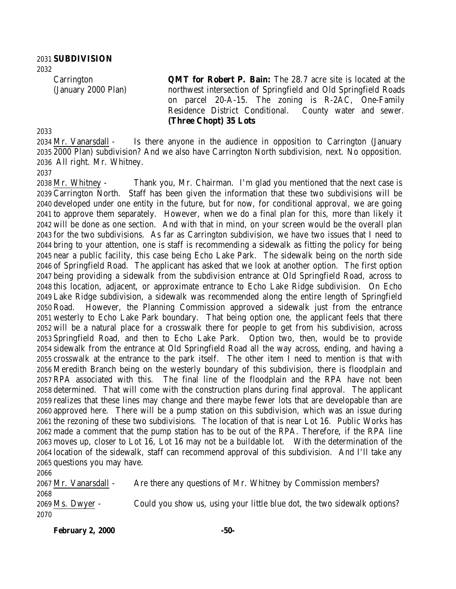**SUBDIVISION** 

> **Carrington** (January 2000 Plan)

**QMT for Robert P. Bain:** The 28.7 acre site is located at the northwest intersection of Springfield and Old Springfield Roads on parcel 20-A-15. The zoning is R-2AC, One-Family Residence District Conditional. County water and sewer. **(Three Chopt) 35 Lots**

 Mr. Vanarsdall - Is there anyone in the audience in opposition to Carrington (January 2000 Plan) subdivision? And we also have Carrington North subdivision, next. No opposition. All right. Mr. Whitney.

 Mr. Whitney - Thank you, Mr. Chairman. I'm glad you mentioned that the next case is Carrington North. Staff has been given the information that these two subdivisions will be developed under one entity in the future, but for now, for conditional approval, we are going to approve them separately. However, when we do a final plan for this, more than likely it will be done as one section. And with that in mind, on your screen would be the overall plan for the two subdivisions. As far as Carrington subdivision, we have two issues that I need to bring to your attention, one is staff is recommending a sidewalk as fitting the policy for being near a public facility, this case being Echo Lake Park. The sidewalk being on the north side of Springfield Road. The applicant has asked that we look at another option. The first option being providing a sidewalk from the subdivision entrance at Old Springfield Road, across to this location, adjacent, or approximate entrance to Echo Lake Ridge subdivision. On Echo Lake Ridge subdivision, a sidewalk was recommended along the entire length of Springfield Road. However, the Planning Commission approved a sidewalk just from the entrance westerly to Echo Lake Park boundary. That being option one, the applicant feels that there will be a natural place for a crosswalk there for people to get from his subdivision, across Springfield Road, and then to Echo Lake Park. Option two, then, would be to provide sidewalk from the entrance at Old Springfield Road all the way across, ending, and having a crosswalk at the entrance to the park itself. The other item I need to mention is that with Meredith Branch being on the westerly boundary of this subdivision, there is floodplain and RPA associated with this. The final line of the floodplain and the RPA have not been determined. That will come with the construction plans during final approval. The applicant realizes that these lines may change and there maybe fewer lots that are developable than are approved here. There will be a pump station on this subdivision, which was an issue during the rezoning of these two subdivisions. The location of that is near Lot 16. Public Works has made a comment that the pump station has to be out of the RPA. Therefore, if the RPA line moves up, closer to Lot 16, Lot 16 may not be a buildable lot. With the determination of the location of the sidewalk, staff can recommend approval of this subdivision. And I'll take any questions you may have. 

 Mr. Vanarsdall - Are there any questions of Mr. Whitney by Commission members? Ms. Dwyer - Could you show us, using your little blue dot, the two sidewalk options? 

**February 2, 2000 -50-**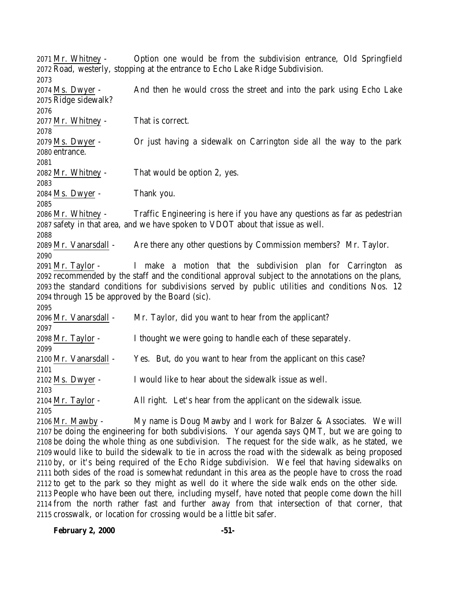Mr. Whitney - Option one would be from the subdivision entrance, Old Springfield Road, westerly, stopping at the entrance to Echo Lake Ridge Subdivision. Ms. Dwyer - And then he would cross the street and into the park using Echo Lake Ridge sidewalk? Mr. Whitney - That is correct. Ms. Dwyer - Or just having a sidewalk on Carrington side all the way to the park entrance. Mr. Whitney - That would be option 2, yes. Ms. Dwyer - Thank you. Mr. Whitney - Traffic Engineering is here if you have any questions as far as pedestrian safety in that area, and we have spoken to VDOT about that issue as well. Mr. Vanarsdall - Are there any other questions by Commission members? Mr. Taylor. Mr. Taylor - I make a motion that the subdivision plan for Carrington as recommended by the staff and the conditional approval subject to the annotations on the plans, the standard conditions for subdivisions served by public utilities and conditions Nos. 12 through 15 be approved by the Board (sic). Mr. Vanarsdall - Mr. Taylor, did you want to hear from the applicant? Mr. Taylor - I thought we were going to handle each of these separately. Mr. Vanarsdall - Yes. But, do you want to hear from the applicant on this case? Ms. Dwyer - I would like to hear about the sidewalk issue as well. Mr. Taylor - All right. Let's hear from the applicant on the sidewalk issue. Mr. Mawby - My name is Doug Mawby and I work for Balzer & Associates. We will be doing the engineering for both subdivisions. Your agenda says QMT, but we are going to be doing the whole thing as one subdivision. The request for the side walk, as he stated, we

 would like to build the sidewalk to tie in across the road with the sidewalk as being proposed by, or it's being required of the Echo Ridge subdivision. We feel that having sidewalks on both sides of the road is somewhat redundant in this area as the people have to cross the road to get to the park so they might as well do it where the side walk ends on the other side. People who have been out there, including myself, have noted that people come down the hill from the north rather fast and further away from that intersection of that corner, that crosswalk, or location for crossing would be a little bit safer.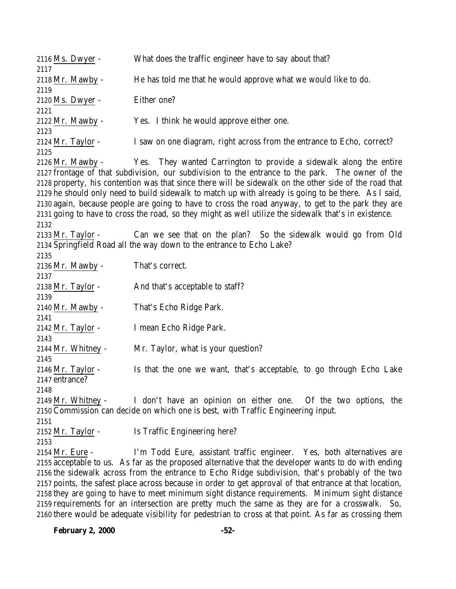| 2116 Ms. Dwyer -         | What does the traffic engineer have to say about that?                                                   |
|--------------------------|----------------------------------------------------------------------------------------------------------|
| 2117                     | He has told me that he would approve what we would like to do.                                           |
| 2118 Mr. Mawby -<br>2119 |                                                                                                          |
| 2120 Ms. Dwyer -         | Either one?                                                                                              |
| 2121                     |                                                                                                          |
| 2122 Mr. Mawby -         | Yes. I think he would approve either one.                                                                |
| 2123                     |                                                                                                          |
| 2124 Mr. Taylor -        | I saw on one diagram, right across from the entrance to Echo, correct?                                   |
| 2125                     |                                                                                                          |
| $2126$ Mr. Mawby -       | Yes. They wanted Carrington to provide a sidewalk along the entire                                       |
|                          | 2127 frontage of that subdivision, our subdivision to the entrance to the park. The owner of the         |
|                          | 2128 property, his contention was that since there will be sidewalk on the other side of the road that   |
|                          | 2129 he should only need to build sidewalk to match up with already is going to be there. As I said,     |
|                          | 2130 again, because people are going to have to cross the road anyway, to get to the park they are       |
|                          | 2131 going to have to cross the road, so they might as well utilize the sidewalk that's in existence.    |
| 2132                     |                                                                                                          |
| 2133 Mr. Taylor -        | Can we see that on the plan? So the sidewalk would go from Old                                           |
|                          | 2134 Springfield Road all the way down to the entrance to Echo Lake?                                     |
| 2135                     |                                                                                                          |
| 2136 Mr. Mawby -         | That's correct.                                                                                          |
| 2137                     |                                                                                                          |
| 2138 Mr. Taylor -        | And that's acceptable to staff?                                                                          |
| 2139                     |                                                                                                          |
| 2140 Mr. Mawby -         | That's Echo Ridge Park.                                                                                  |
| 2141                     |                                                                                                          |
| $2142$ Mr. Taylor -      | I mean Echo Ridge Park.                                                                                  |
| 2143                     |                                                                                                          |
| 2144 Mr. Whitney -       | Mr. Taylor, what is your question?                                                                       |
| 2145                     |                                                                                                          |
| 2146 Mr. Taylor -        | Is that the one we want, that's acceptable, to go through Echo Lake                                      |
| 2147 entrance?           |                                                                                                          |
| 2148                     |                                                                                                          |
|                          | 2149 Mr. Whitney - I don't have an opinion on either one. Of the two options, the                        |
|                          | 2150 Commission can decide on which one is best, with Traffic Engineering input.                         |
| 2151                     |                                                                                                          |
| 2152 Mr. Taylor -        | Is Traffic Engineering here?                                                                             |
| 2153                     |                                                                                                          |
| 2154 Mr. Eure -          | I'm Todd Eure, assistant traffic engineer. Yes, both alternatives are                                    |
|                          | 2155 acceptable to us. As far as the proposed alternative that the developer wants to do with ending     |
|                          | 2156 the sidewalk across from the entrance to Echo Ridge subdivision, that's probably of the two         |
|                          | 2157 points, the safest place across because in order to get approval of that entrance at that location, |
|                          | 2158 they are going to have to meet minimum sight distance requirements. Minimum sight distance          |
|                          | 2159 requirements for an intersection are pretty much the same as they are for a crosswalk. So,          |

there would be adequate visibility for pedestrian to cross at that point. As far as crossing them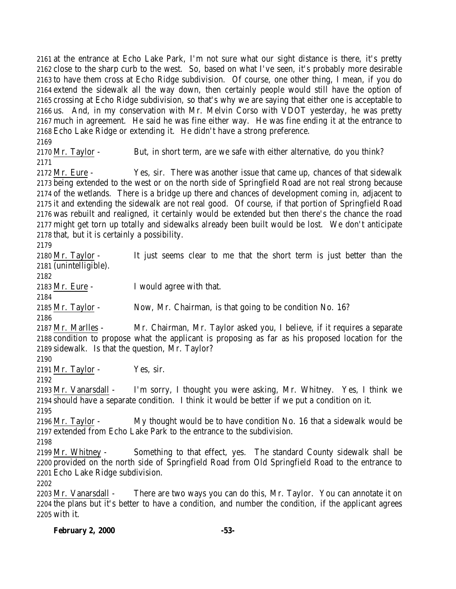at the entrance at Echo Lake Park, I'm not sure what our sight distance is there, it's pretty close to the sharp curb to the west. So, based on what I've seen, it's probably more desirable to have them cross at Echo Ridge subdivision. Of course, one other thing, I mean, if you do extend the sidewalk all the way down, then certainly people would still have the option of crossing at Echo Ridge subdivision, so that's why we are saying that either one is acceptable to us. And, in my conservation with Mr. Melvin Corso with VDOT yesterday, he was pretty much in agreement. He said he was fine either way. He was fine ending it at the entrance to Echo Lake Ridge or extending it. He didn't have a strong preference. 

2170 Mr. Taylor - But, in short term, are we safe with either alternative, do you think? 

 Mr. Eure - Yes, sir. There was another issue that came up, chances of that sidewalk being extended to the west or on the north side of Springfield Road are not real strong because of the wetlands. There is a bridge up there and chances of development coming in, adjacent to it and extending the sidewalk are not real good. Of course, if that portion of Springfield Road was rebuilt and realigned, it certainly would be extended but then there's the chance the road might get torn up totally and sidewalks already been built would be lost. We don't anticipate that, but it is certainly a possibility.

 Mr. Taylor - It just seems clear to me that the short term is just better than the (unintelligible).

Mr. Eure - I would agree with that.

Mr. Taylor - Now, Mr. Chairman, is that going to be condition No. 16?

 Mr. Marlles - Mr. Chairman, Mr. Taylor asked you, I believe, if it requires a separate condition to propose what the applicant is proposing as far as his proposed location for the sidewalk. Is that the question, Mr. Taylor?

2191 Mr. Taylor - Yes, sir.

 Mr. Vanarsdall - I'm sorry, I thought you were asking, Mr. Whitney. Yes, I think we should have a separate condition. I think it would be better if we put a condition on it. 

 Mr. Taylor - My thought would be to have condition No. 16 that a sidewalk would be extended from Echo Lake Park to the entrance to the subdivision.

 Mr. Whitney - Something to that effect, yes. The standard County sidewalk shall be provided on the north side of Springfield Road from Old Springfield Road to the entrance to Echo Lake Ridge subdivision.

 Mr. Vanarsdall - There are two ways you can do this, Mr. Taylor. You can annotate it on the plans but it's better to have a condition, and number the condition, if the applicant agrees with it.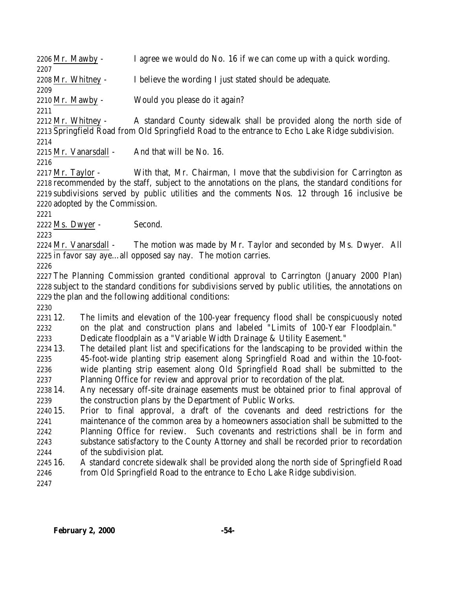Mr. Mawby - I agree we would do No. 16 if we can come up with a quick wording. Mr. Whitney - I believe the wording I just stated should be adequate. Mr. Mawby - Would you please do it again? Mr. Whitney - A standard County sidewalk shall be provided along the north side of Springfield Road from Old Springfield Road to the entrance to Echo Lake Ridge subdivision. Mr. Vanarsdall - And that will be No. 16. 2217 Mr. Taylor - With that, Mr. Chairman, I move that the subdivision for Carrington as recommended by the staff, subject to the annotations on the plans, the standard conditions for subdivisions served by public utilities and the comments Nos. 12 through 16 inclusive be adopted by the Commission. Ms. Dwyer - Second. 2224 Mr. Vanarsdall - The motion was made by Mr. Taylor and seconded by Ms. Dwyer. All in favor say aye…all opposed say nay. The motion carries. The Planning Commission granted conditional approval to Carrington (January 2000 Plan) subject to the standard conditions for subdivisions served by public utilities, the annotations on the plan and the following additional conditions: 12. The limits and elevation of the 100-year frequency flood shall be conspicuously noted on the plat and construction plans and labeled "Limits of 100-Year Floodplain." Dedicate floodplain as a "Variable Width Drainage & Utility Easement." 13. The detailed plant list and specifications for the landscaping to be provided within the 45-foot-wide planting strip easement along Springfield Road and within the 10-foot- wide planting strip easement along Old Springfield Road shall be submitted to the Planning Office for review and approval prior to recordation of the plat. 14. Any necessary off-site drainage easements must be obtained prior to final approval of the construction plans by the Department of Public Works.

- 15. Prior to final approval, a draft of the covenants and deed restrictions for the maintenance of the common area by a homeowners association shall be submitted to the Planning Office for review. Such covenants and restrictions shall be in form and substance satisfactory to the County Attorney and shall be recorded prior to recordation of the subdivision plat.
- 16. A standard concrete sidewalk shall be provided along the north side of Springfield Road from Old Springfield Road to the entrance to Echo Lake Ridge subdivision.
-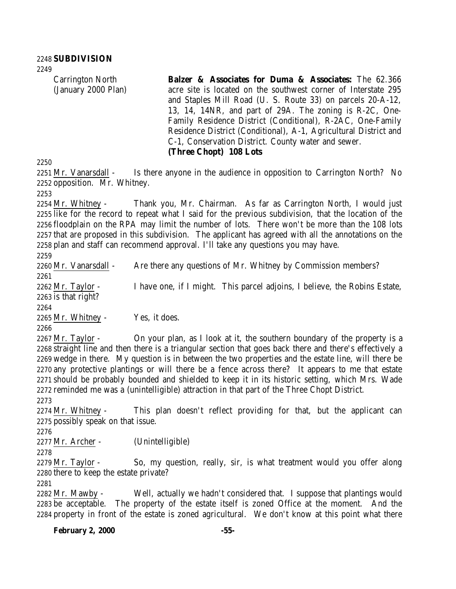Carrington North (January 2000 Plan) **Balzer & Associates for Duma & Associates:** The 62.366 acre site is located on the southwest corner of Interstate 295 and Staples Mill Road (U. S. Route 33) on parcels 20-A-12, 13, 14, 14NR, and part of 29A. The zoning is R-2C, One-Family Residence District (Conditional), R-2AC, One-Family Residence District (Conditional), A-1, Agricultural District and C-1, Conservation District. County water and sewer. **(Three Chopt) 108 Lots**

2251 Mr. Vanarsdall - Is there anyone in the audience in opposition to Carrington North? No opposition. Mr. Whitney.

 Mr. Whitney - Thank you, Mr. Chairman. As far as Carrington North, I would just like for the record to repeat what I said for the previous subdivision, that the location of the floodplain on the RPA may limit the number of lots. There won't be more than the 108 lots that are proposed in this subdivision. The applicant has agreed with all the annotations on the plan and staff can recommend approval. I'll take any questions you may have.

2260 Mr. Vanarsdall - Are there any questions of Mr. Whitney by Commission members? Mr. Taylor - I have one, if I might. This parcel adjoins, I believe, the Robins Estate, is that right? 

Mr. Whitney - Yes, it does.

2267 Mr. Taylor - On your plan, as I look at it, the southern boundary of the property is a straight line and then there is a triangular section that goes back there and there's effectively a wedge in there. My question is in between the two properties and the estate line, will there be any protective plantings or will there be a fence across there? It appears to me that estate should be probably bounded and shielded to keep it in its historic setting, which Mrs. Wade reminded me was a (unintelligible) attraction in that part of the Three Chopt District.

 Mr. Whitney - This plan doesn't reflect providing for that, but the applicant can possibly speak on that issue.

Mr. Archer - (Unintelligible)

2279 Mr. Taylor - So, my question, really, sir, is what treatment would you offer along there to keep the estate private?

 Mr. Mawby - Well, actually we hadn't considered that. I suppose that plantings would be acceptable. The property of the estate itself is zoned Office at the moment. And the property in front of the estate is zoned agricultural. We don't know at this point what there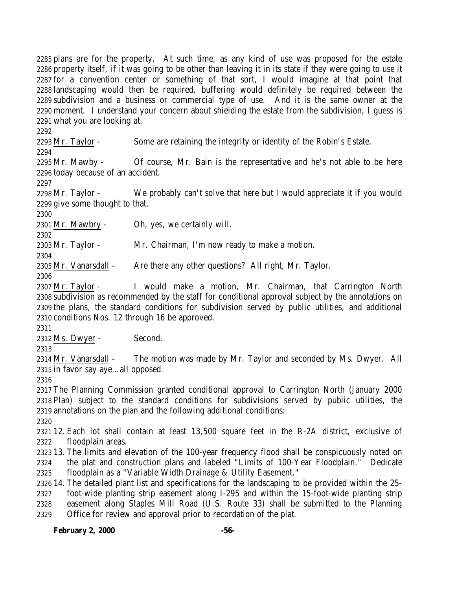plans are for the property. At such time, as any kind of use was proposed for the estate property itself, if it was going to be other than leaving it in its state if they were going to use it for a convention center or something of that sort, I would imagine at that point that landscaping would then be required, buffering would definitely be required between the subdivision and a business or commercial type of use. And it is the same owner at the moment. I understand your concern about shielding the estate from the subdivision, I guess is what you are looking at.

Mr. Taylor - Some are retaining the integrity or identity of the Robin's Estate.

 Mr. Mawby - Of course, Mr. Bain is the representative and he's not able to be here today because of an accident.

2298 Mr. Taylor - We probably can't solve that here but I would appreciate it if you would give some thought to that.

Mr. Mawbry - Oh, yes, we certainly will.

 Mr. Taylor - Mr. Chairman, I'm now ready to make a motion.

2305 Mr. Vanarsdall - Are there any other questions? All right, Mr. Taylor.

 Mr. Taylor - I would make a motion, Mr. Chairman, that Carrington North subdivision as recommended by the staff for conditional approval subject by the annotations on the plans, the standard conditions for subdivision served by public utilities, and additional conditions Nos. 12 through 16 be approved.

Ms. Dwyer - Second.

2314 Mr. Vanarsdall - The motion was made by Mr. Taylor and seconded by Ms. Dwyer. All in favor say aye…all opposed.

 The Planning Commission granted conditional approval to Carrington North (January 2000 Plan) subject to the standard conditions for subdivisions served by public utilities, the annotations on the plan and the following additional conditions:

 12. Each lot shall contain at least 13,500 square feet in the R-2A district, exclusive of floodplain areas.

 13. The limits and elevation of the 100-year frequency flood shall be conspicuously noted on the plat and construction plans and labeled "Limits of 100-Year Floodplain." Dedicate floodplain as a "Variable Width Drainage & Utility Easement."

 14. The detailed plant list and specifications for the landscaping to be provided within the 25- foot-wide planting strip easement along I-295 and within the 15-foot-wide planting strip easement along Staples Mill Road (U.S. Route 33) shall be submitted to the Planning Office for review and approval prior to recordation of the plat.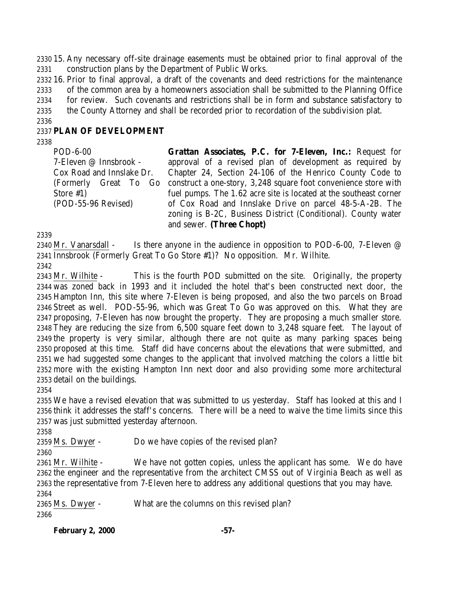15. Any necessary off-site drainage easements must be obtained prior to final approval of the construction plans by the Department of Public Works.

 16. Prior to final approval, a draft of the covenants and deed restrictions for the maintenance of the common area by a homeowners association shall be submitted to the Planning Office for review. Such covenants and restrictions shall be in form and substance satisfactory to the County Attorney and shall be recorded prior to recordation of the subdivision plat.

### **PLAN OF DEVELOPMENT**

POD-6-00 7-Eleven @ Innsbrook - Cox Road and Innslake Dr. (Formerly Great To Go Store #1) (POD-55-96 Revised)

**Grattan Associates, P.C. for 7-Eleven, Inc.:** Request for approval of a revised plan of development as required by Chapter 24, Section 24-106 of the Henrico County Code to construct a one-story, 3,248 square foot convenience store with fuel pumps. The 1.62 acre site is located at the southeast corner of Cox Road and Innslake Drive on parcel 48-5-A-2B. The zoning is B-2C, Business District (Conditional). County water and sewer. **(Three Chopt)**

2340 Mr. Vanarsdall - Is there anyone in the audience in opposition to POD-6-00, 7-Eleven @ Innsbrook (Formerly Great To Go Store #1)? No opposition. Mr. Wilhite. 

 Mr. Wilhite - This is the fourth POD submitted on the site. Originally, the property was zoned back in 1993 and it included the hotel that's been constructed next door, the Hampton Inn, this site where 7-Eleven is being proposed, and also the two parcels on Broad Street as well. POD-55-96, which was Great To Go was approved on this. What they are proposing, 7-Eleven has now brought the property. They are proposing a much smaller store. They are reducing the size from 6,500 square feet down to 3,248 square feet. The layout of the property is very similar, although there are not quite as many parking spaces being proposed at this time. Staff did have concerns about the elevations that were submitted, and we had suggested some changes to the applicant that involved matching the colors a little bit more with the existing Hampton Inn next door and also providing some more architectural detail on the buildings.

 We have a revised elevation that was submitted to us yesterday. Staff has looked at this and I think it addresses the staff's concerns. There will be a need to waive the time limits since this was just submitted yesterday afternoon.

Ms. Dwyer - Do we have copies of the revised plan?

 Mr. Wilhite - We have not gotten copies, unless the applicant has some. We do have the engineer and the representative from the architect CMSS out of Virginia Beach as well as the representative from 7-Eleven here to address any additional questions that you may have. 

 Ms. Dwyer - What are the columns on this revised plan? 

**February 2, 2000 -57-**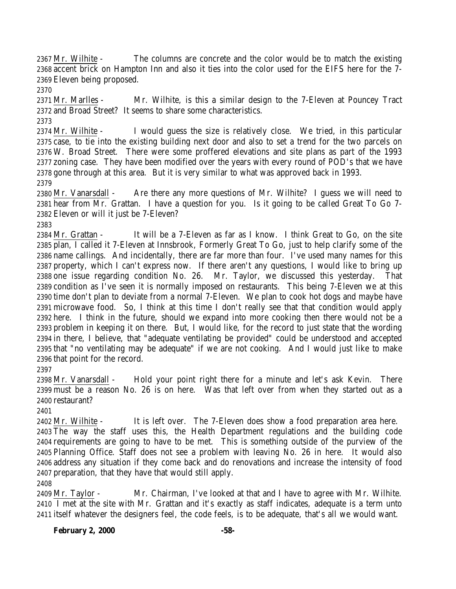2367 Mr. Wilhite - The columns are concrete and the color would be to match the existing accent brick on Hampton Inn and also it ties into the color used for the EIFS here for the 7- Eleven being proposed.

 Mr. Marlles - Mr. Wilhite, is this a similar design to the 7-Eleven at Pouncey Tract and Broad Street? It seems to share some characteristics.

 Mr. Wilhite - I would guess the size is relatively close. We tried, in this particular case, to tie into the existing building next door and also to set a trend for the two parcels on W. Broad Street. There were some proffered elevations and site plans as part of the 1993 zoning case. They have been modified over the years with every round of POD's that we have gone through at this area. But it is very similar to what was approved back in 1993. 

 Mr. Vanarsdall - Are there any more questions of Mr. Wilhite? I guess we will need to hear from Mr. Grattan. I have a question for you. Is it going to be called Great To Go 7- Eleven or will it just be 7-Eleven?

 Mr. Grattan - It will be a 7-Eleven as far as I know. I think Great to Go, on the site plan, I called it 7-Eleven at Innsbrook, Formerly Great To Go, just to help clarify some of the name callings. And incidentally, there are far more than four. I've used many names for this property, which I can't express now. If there aren't any questions, I would like to bring up one issue regarding condition No. 26. Mr. Taylor, we discussed this yesterday. That condition as I've seen it is normally imposed on restaurants. This being 7-Eleven we at this time don't plan to deviate from a normal 7-Eleven. We plan to cook hot dogs and maybe have microwave food. So, I think at this time I don't really see that that condition would apply here. I think in the future, should we expand into more cooking then there would not be a problem in keeping it on there. But, I would like, for the record to just state that the wording in there, I believe, that "adequate ventilating be provided" could be understood and accepted that "no ventilating may be adequate" if we are not cooking. And I would just like to make that point for the record.

2398 Mr. Vanarsdall - Hold your point right there for a minute and let's ask Kevin. There must be a reason No. 26 is on here. Was that left over from when they started out as a restaurant?

Mr. Wilhite - It is left over. The 7-Eleven does show a food preparation area here.

 The way the staff uses this, the Health Department regulations and the building code requirements are going to have to be met. This is something outside of the purview of the Planning Office. Staff does not see a problem with leaving No. 26 in here. It would also address any situation if they come back and do renovations and increase the intensity of food preparation, that they have that would still apply.

 Mr. Taylor - Mr. Chairman, I've looked at that and I have to agree with Mr. Wilhite. I met at the site with Mr. Grattan and it's exactly as staff indicates, adequate is a term unto itself whatever the designers feel, the code feels, is to be adequate, that's all we would want.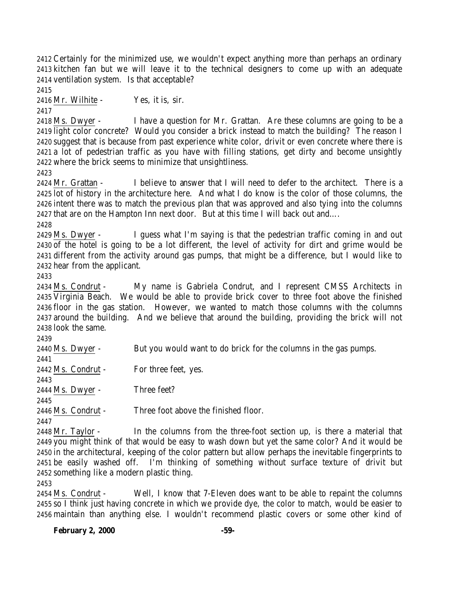Certainly for the minimized use, we wouldn't expect anything more than perhaps an ordinary kitchen fan but we will leave it to the technical designers to come up with an adequate ventilation system. Is that acceptable?

Mr. Wilhite - Yes, it is, sir.

 Ms. Dwyer - I have a question for Mr. Grattan. Are these columns are going to be a light color concrete? Would you consider a brick instead to match the building? The reason I suggest that is because from past experience white color, drivit or even concrete where there is a lot of pedestrian traffic as you have with filling stations, get dirty and become unsightly where the brick seems to minimize that unsightliness.

 Mr. Grattan - I believe to answer that I will need to defer to the architect. There is a lot of history in the architecture here. And what I do know is the color of those columns, the intent there was to match the previous plan that was approved and also tying into the columns that are on the Hampton Inn next door. But at this time I will back out and….

 Ms. Dwyer - I guess what I'm saying is that the pedestrian traffic coming in and out of the hotel is going to be a lot different, the level of activity for dirt and grime would be different from the activity around gas pumps, that might be a difference, but I would like to hear from the applicant.

 Ms. Condrut - My name is Gabriela Condrut, and I represent CMSS Architects in Virginia Beach. We would be able to provide brick cover to three foot above the finished floor in the gas station. However, we wanted to match those columns with the columns around the building. And we believe that around the building, providing the brick will not look the same.

 Ms. Dwyer - But you would want to do brick for the columns in the gas pumps. Ms. Condrut - For three feet, yes. Ms. Dwyer - Three feet? Ms. Condrut - Three foot above the finished floor. 

 Mr. Taylor - In the columns from the three-foot section up, is there a material that you might think of that would be easy to wash down but yet the same color? And it would be in the architectural, keeping of the color pattern but allow perhaps the inevitable fingerprints to be easily washed off. I'm thinking of something without surface texture of drivit but something like a modern plastic thing.

 Ms. Condrut - Well, I know that 7-Eleven does want to be able to repaint the columns so I think just having concrete in which we provide dye, the color to match, would be easier to maintain than anything else. I wouldn't recommend plastic covers or some other kind of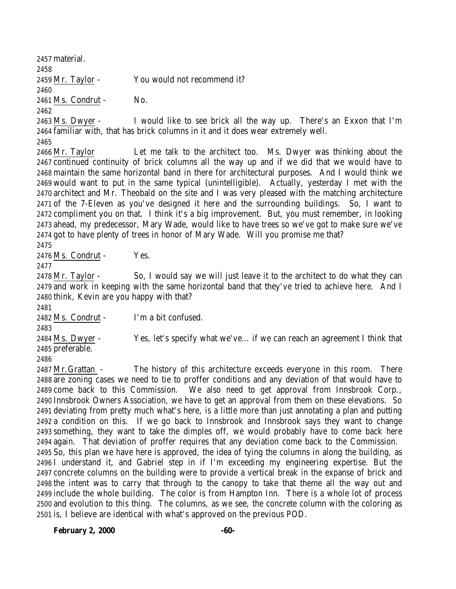material. Mr. Taylor - You would not recommend it? Ms. Condrut - No. Ms. Dwyer - I would like to see brick all the way up. There's an Exxon that I'm familiar with, that has brick columns in it and it does wear extremely well. 

 Mr. Taylor Let me talk to the architect too. Ms. Dwyer was thinking about the continued continuity of brick columns all the way up and if we did that we would have to maintain the same horizontal band in there for architectural purposes. And I would think we would want to put in the same typical (unintelligible). Actually, yesterday I met with the architect and Mr. Theobald on the site and I was very pleased with the matching architecture of the 7-Eleven as you've designed it here and the surrounding buildings. So, I want to compliment you on that. I think it's a big improvement. But, you must remember, in looking ahead, my predecessor, Mary Wade, would like to have trees so we've got to make sure we've got to have plenty of trees in honor of Mary Wade. Will you promise me that?

2476 Ms. Condrut - Yes.

 Mr. Taylor - So, I would say we will just leave it to the architect to do what they can and work in keeping with the same horizontal band that they've tried to achieve here. And I think, Kevin are you happy with that?

Ms. Condrut - I'm a bit confused.

 Ms. Dwyer - Yes, let's specify what we've… if we can reach an agreement I think that preferable.

 Mr.Grattan - The history of this architecture exceeds everyone in this room. There are zoning cases we need to tie to proffer conditions and any deviation of that would have to come back to this Commission. We also need to get approval from Innsbrook Corp., Innsbrook Owners Association, we have to get an approval from them on these elevations. So deviating from pretty much what's here, is a little more than just annotating a plan and putting a condition on this. If we go back to Innsbrook and Innsbrook says they want to change something, they want to take the dimples off, we would probably have to come back here again. That deviation of proffer requires that any deviation come back to the Commission. So, this plan we have here is approved, the idea of tying the columns in along the building, as I understand it, and Gabriel step in if I'm exceeding my engineering expertise. But the concrete columns on the building were to provide a vertical break in the expanse of brick and the intent was to carry that through to the canopy to take that theme all the way out and include the whole building. The color is from Hampton Inn. There is a whole lot of process and evolution to this thing. The columns, as we see, the concrete column with the coloring as is, I believe are identical with what's approved on the previous POD.

**February 2, 2000 -60-**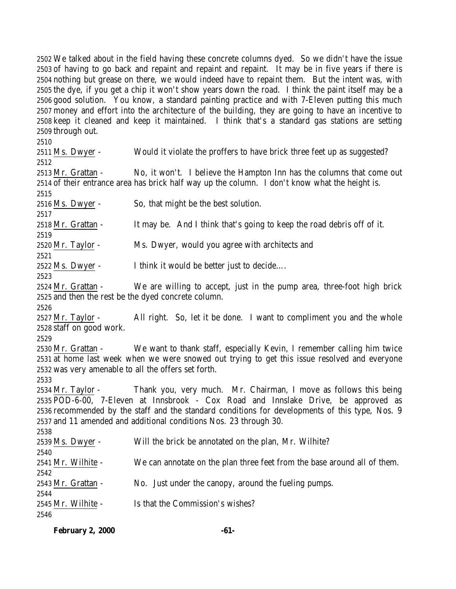We talked about in the field having these concrete columns dyed. So we didn't have the issue of having to go back and repaint and repaint and repaint. It may be in five years if there is nothing but grease on there, we would indeed have to repaint them. But the intent was, with the dye, if you get a chip it won't show years down the road. I think the paint itself may be a good solution. You know, a standard painting practice and with 7-Eleven putting this much money and effort into the architecture of the building, they are going to have an incentive to keep it cleaned and keep it maintained. I think that's a standard gas stations are setting through out.

 Ms. Dwyer - Would it violate the proffers to have brick three feet up as suggested? Mr. Grattan - No, it won't. I believe the Hampton Inn has the columns that come out of their entrance area has brick half way up the column. I don't know what the height is. Ms. Dwyer - So, that might be the best solution. Mr. Grattan - It may be. And I think that's going to keep the road debris off of it. Mr. Taylor - Ms. Dwyer, would you agree with architects and Ms. Dwyer - I think it would be better just to decide…. Mr. Grattan - We are willing to accept, just in the pump area, three-foot high brick and then the rest be the dyed concrete column. 2527 Mr. Taylor - All right. So, let it be done. I want to compliment you and the whole staff on good work. Mr. Grattan - We want to thank staff, especially Kevin, I remember calling him twice at home last week when we were snowed out trying to get this issue resolved and everyone was very amenable to all the offers set forth. Mr. Taylor - Thank you, very much. Mr. Chairman, I move as follows this being POD-6-00, 7-Eleven at Innsbrook - Cox Road and Innslake Drive, be approved as recommended by the staff and the standard conditions for developments of this type, Nos. 9 and 11 amended and additional conditions Nos. 23 through 30. Ms. Dwyer - Will the brick be annotated on the plan, Mr. Wilhite? Mr. Wilhite - We can annotate on the plan three feet from the base around all of them. Mr. Grattan - No. Just under the canopy, around the fueling pumps. Mr. Wilhite - Is that the Commission's wishes? 

| <b>February 2, 2000</b> |  | -61- |
|-------------------------|--|------|
|                         |  |      |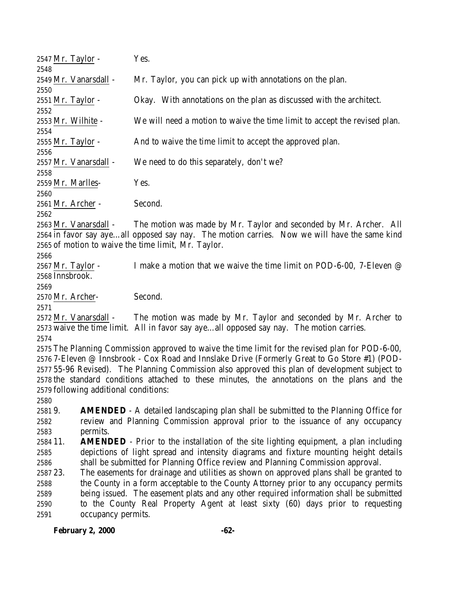| 2547 Mr. Taylor -             |                                                                                             | Yes.                                                                                             |  |
|-------------------------------|---------------------------------------------------------------------------------------------|--------------------------------------------------------------------------------------------------|--|
| 2548                          |                                                                                             |                                                                                                  |  |
| 2549 Mr. Vanarsdall -<br>2550 |                                                                                             | Mr. Taylor, you can pick up with annotations on the plan.                                        |  |
| 2551 Mr. Taylor -             |                                                                                             | Okay. With annotations on the plan as discussed with the architect.                              |  |
| 2552                          |                                                                                             |                                                                                                  |  |
| 2553 Mr. Wilhite -<br>2554    |                                                                                             | We will need a motion to waive the time limit to accept the revised plan.                        |  |
| 2555 Mr. Taylor -             |                                                                                             | And to waive the time limit to accept the approved plan.                                         |  |
| 2556                          |                                                                                             |                                                                                                  |  |
| 2557 Mr. Vanarsdall -         |                                                                                             | We need to do this separately, don't we?                                                         |  |
| 2558                          |                                                                                             |                                                                                                  |  |
|                               |                                                                                             | Yes.                                                                                             |  |
| 2559 Mr. Marlles-             |                                                                                             |                                                                                                  |  |
| 2560                          |                                                                                             |                                                                                                  |  |
| 2561 Mr. Archer -             |                                                                                             | Second.                                                                                          |  |
| 2562                          |                                                                                             |                                                                                                  |  |
| 2563 Mr. Vanarsdall -         |                                                                                             | The motion was made by Mr. Taylor and seconded by Mr. Archer. All                                |  |
|                               |                                                                                             | 2564 in favor say ayeall opposed say nay. The motion carries. Now we will have the same kind     |  |
|                               |                                                                                             | 2565 of motion to waive the time limit, Mr. Taylor.                                              |  |
| 2566                          |                                                                                             |                                                                                                  |  |
| 2567 Mr. Taylor -             |                                                                                             | I make a motion that we waive the time limit on POD-6-00, 7-Eleven @                             |  |
| 2568 Innsbrook.               |                                                                                             |                                                                                                  |  |
| 2569                          |                                                                                             |                                                                                                  |  |
| 2570 Mr. Archer-              |                                                                                             | Second.                                                                                          |  |
| 2571                          |                                                                                             |                                                                                                  |  |
| 2572 Mr. Vanarsdall -         |                                                                                             | The motion was made by Mr. Taylor and seconded by Mr. Archer to                                  |  |
|                               |                                                                                             | 2573 waive the time limit. All in favor say ayeall opposed say nay. The motion carries.          |  |
| 2574                          |                                                                                             |                                                                                                  |  |
|                               |                                                                                             | 2575 The Planning Commission approved to waive the time limit for the revised plan for POD-6-00, |  |
|                               |                                                                                             | 2576 7-Eleven @ Innsbrook - Cox Road and Innslake Drive (Formerly Great to Go Store #1) (POD-    |  |
|                               |                                                                                             | 2577 55-96 Revised). The Planning Commission also approved this plan of development subject to   |  |
|                               |                                                                                             | 2578 the standard conditions attached to these minutes, the annotations on the plans and the     |  |
|                               | 2579 following additional conditions:                                                       |                                                                                                  |  |
| 2580                          |                                                                                             |                                                                                                  |  |
| 25819.                        |                                                                                             | <b>AMENDED</b> - A detailed landscaping plan shall be submitted to the Planning Office for       |  |
| 2582                          |                                                                                             |                                                                                                  |  |
| 2583                          | review and Planning Commission approval prior to the issuance of any occupancy              |                                                                                                  |  |
| 2584 11.                      | permits.                                                                                    |                                                                                                  |  |
|                               | <b>AMENDED</b> - Prior to the installation of the site lighting equipment, a plan including |                                                                                                  |  |
| 2585                          | depictions of light spread and intensity diagrams and fixture mounting height details       |                                                                                                  |  |
| 2586                          | shall be submitted for Planning Office review and Planning Commission approval.             |                                                                                                  |  |
| 2587 23.                      | The easements for drainage and utilities as shown on approved plans shall be granted to     |                                                                                                  |  |
| 2588                          | the County in a form acceptable to the County Attorney prior to any occupancy permits       |                                                                                                  |  |
| 2589                          | being issued. The easement plats and any other required information shall be submitted      |                                                                                                  |  |
| 2590                          | to the County Real Property Agent at least sixty (60) days prior to requesting              |                                                                                                  |  |
| 2591                          | occupancy permits.                                                                          |                                                                                                  |  |
|                               |                                                                                             |                                                                                                  |  |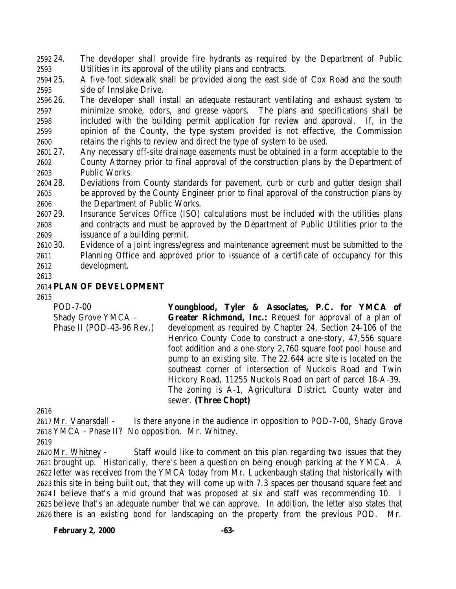24. The developer shall provide fire hydrants as required by the Department of Public Utilities in its approval of the utility plans and contracts.

 25. A five-foot sidewalk shall be provided along the east side of Cox Road and the south side of Innslake Drive.

 26. The developer shall install an adequate restaurant ventilating and exhaust system to minimize smoke, odors, and grease vapors. The plans and specifications shall be included with the building permit application for review and approval. If, in the opinion of the County, the type system provided is not effective, the Commission retains the rights to review and direct the type of system to be used.

- 27. Any necessary off-site drainage easements must be obtained in a form acceptable to the County Attorney prior to final approval of the construction plans by the Department of Public Works.
- 28. Deviations from County standards for pavement, curb or curb and gutter design shall be approved by the County Engineer prior to final approval of the construction plans by the Department of Public Works.

 29. Insurance Services Office (ISO) calculations must be included with the utilities plans and contracts and must be approved by the Department of Public Utilities prior to the issuance of a building permit.

- 30. Evidence of a joint ingress/egress and maintenance agreement must be submitted to the Planning Office and approved prior to issuance of a certificate of occupancy for this development.
- 

### **PLAN OF DEVELOPMENT**

#### 

POD-7-00 Shady Grove YMCA - Phase II (POD-43-96 Rev.) **Youngblood, Tyler & Associates, P.C. for YMCA of Greater Richmond, Inc.:** Request for approval of a plan of development as required by Chapter 24, Section 24-106 of the Henrico County Code to construct a one-story, 47,556 square foot addition and a one-story 2,760 square foot pool house and pump to an existing site. The 22.644 acre site is located on the southeast corner of intersection of Nuckols Road and Twin Hickory Road, 11255 Nuckols Road on part of parcel 18-A-39. The zoning is A-1, Agricultural District. County water and sewer. **(Three Chopt)**

 Mr. Vanarsdall - Is there anyone in the audience in opposition to POD-7-00, Shady Grove YMCA - Phase II? No opposition. Mr. Whitney.

 Mr. Whitney - Staff would like to comment on this plan regarding two issues that they brought up. Historically, there's been a question on being enough parking at the YMCA. A letter was received from the YMCA today from Mr. Luckenbaugh stating that historically with this site in being built out, that they will come up with 7.3 spaces per thousand square feet and I believe that's a mid ground that was proposed at six and staff was recommending 10. I believe that's an adequate number that we can approve. In addition, the letter also states that there is an existing bond for landscaping on the property from the previous POD. Mr.

**February 2, 2000 -63-**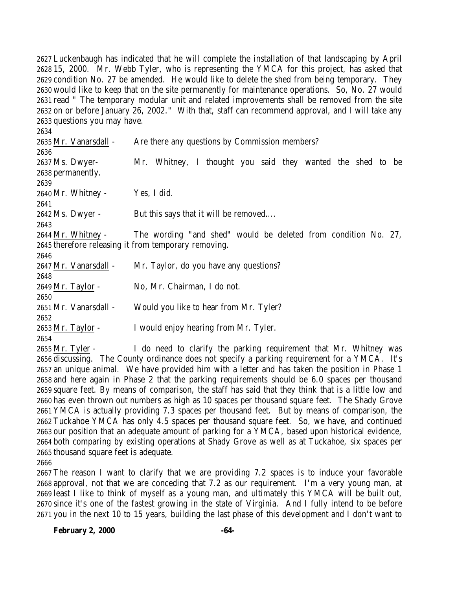Luckenbaugh has indicated that he will complete the installation of that landscaping by April 15, 2000. Mr. Webb Tyler, who is representing the YMCA for this project, has asked that condition No. 27 be amended. He would like to delete the shed from being temporary. They would like to keep that on the site permanently for maintenance operations. So, No. 27 would read " The temporary modular unit and related improvements shall be removed from the site on or before January 26, 2002." With that, staff can recommend approval, and I will take any questions you may have.

 Mr. Vanarsdall - Are there any questions by Commission members? Ms. Dwyer- Mr. Whitney, I thought you said they wanted the shed to be permanently. Mr. Whitney - Yes, I did. Ms. Dwyer - But this says that it will be removed…. Mr. Whitney - The wording "and shed" would be deleted from condition No. 27, therefore releasing it from temporary removing. 2647 Mr. Vanarsdall - Mr. Taylor, do you have any questions? Mr. Taylor - No, Mr. Chairman, I do not. Mr. Vanarsdall - Would you like to hear from Mr. Tyler? Mr. Taylor - I would enjoy hearing from Mr. Tyler. Mr. Tyler - I do need to clarify the parking requirement that Mr. Whitney was

 discussing. The County ordinance does not specify a parking requirement for a YMCA. It's an unique animal. We have provided him with a letter and has taken the position in Phase 1 and here again in Phase 2 that the parking requirements should be 6.0 spaces per thousand square feet. By means of comparison, the staff has said that they think that is a little low and has even thrown out numbers as high as 10 spaces per thousand square feet. The Shady Grove YMCA is actually providing 7.3 spaces per thousand feet. But by means of comparison, the Tuckahoe YMCA has only 4.5 spaces per thousand square feet. So, we have, and continued our position that an adequate amount of parking for a YMCA, based upon historical evidence, both comparing by existing operations at Shady Grove as well as at Tuckahoe, six spaces per thousand square feet is adequate.

 The reason I want to clarify that we are providing 7.2 spaces is to induce your favorable approval, not that we are conceding that 7.2 as our requirement. I'm a very young man, at least I like to think of myself as a young man, and ultimately this YMCA will be built out, since it's one of the fastest growing in the state of Virginia. And I fully intend to be before you in the next 10 to 15 years, building the last phase of this development and I don't want to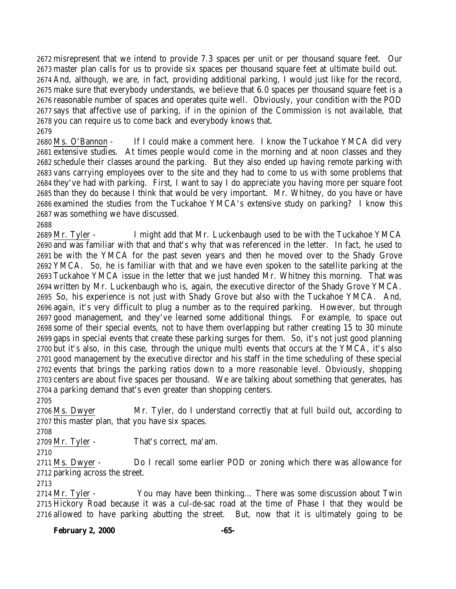misrepresent that we intend to provide 7.3 spaces per unit or per thousand square feet. Our master plan calls for us to provide six spaces per thousand square feet at ultimate build out. And, although, we are, in fact, providing additional parking, I would just like for the record, make sure that everybody understands, we believe that 6.0 spaces per thousand square feet is a reasonable number of spaces and operates quite well. Obviously, your condition with the POD says that affective use of parking, if in the opinion of the Commission is not available, that you can require us to come back and everybody knows that. 

 Ms. O'Bannon - If I could make a comment here. I know the Tuckahoe YMCA did very extensive studies. At times people would come in the morning and at noon classes and they schedule their classes around the parking. But they also ended up having remote parking with vans carrying employees over to the site and they had to come to us with some problems that they've had with parking. First, I want to say I do appreciate you having more per square foot than they do because I think that would be very important. Mr. Whitney, do you have or have examined the studies from the Tuckahoe YMCA's extensive study on parking? I know this was something we have discussed.

 Mr. Tyler - I might add that Mr. Luckenbaugh used to be with the Tuckahoe YMCA and was familiar with that and that's why that was referenced in the letter. In fact, he used to be with the YMCA for the past seven years and then he moved over to the Shady Grove YMCA. So, he is familiar with that and we have even spoken to the satellite parking at the Tuckahoe YMCA issue in the letter that we just handed Mr. Whitney this morning. That was written by Mr. Luckenbaugh who is, again, the executive director of the Shady Grove YMCA. So, his experience is not just with Shady Grove but also with the Tuckahoe YMCA. And, again, it's very difficult to plug a number as to the required parking. However, but through good management, and they've learned some additional things. For example, to space out some of their special events, not to have them overlapping but rather creating 15 to 30 minute gaps in special events that create these parking surges for them. So, it's not just good planning but it's also, in this case, through the unique multi events that occurs at the YMCA, it's also good management by the executive director and his staff in the time scheduling of these special events that brings the parking ratios down to a more reasonable level. Obviously, shopping centers are about five spaces per thousand. We are talking about something that generates, has a parking demand that's even greater than shopping centers.

 Ms. Dwyer Mr. Tyler, do I understand correctly that at full build out, according to this master plan, that you have six spaces.

Mr. Tyler - That's correct, ma'am.

 Ms. Dwyer - Do I recall some earlier POD or zoning which there was allowance for parking across the street.

 Mr. Tyler - You may have been thinking… There was some discussion about Twin Hickory Road because it was a cul-de-sac road at the time of Phase I that they would be allowed to have parking abutting the street. But, now that it is ultimately going to be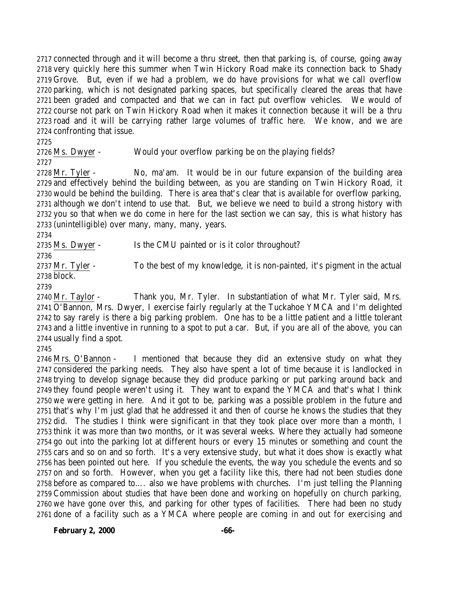connected through and it will become a thru street, then that parking is, of course, going away very quickly here this summer when Twin Hickory Road make its connection back to Shady Grove. But, even if we had a problem, we do have provisions for what we call overflow parking, which is not designated parking spaces, but specifically cleared the areas that have been graded and compacted and that we can in fact put overflow vehicles. We would of course not park on Twin Hickory Road when it makes it connection because it will be a thru road and it will be carrying rather large volumes of traffic here. We know, and we are confronting that issue.

Ms. Dwyer - Would your overflow parking be on the playing fields?

 Mr. Tyler - No, ma'am. It would be in our future expansion of the building area and effectively behind the building between, as you are standing on Twin Hickory Road, it would be behind the building. There is area that's clear that is available for overflow parking, although we don't intend to use that. But, we believe we need to build a strong history with you so that when we do come in here for the last section we can say, this is what history has (unintelligible) over many, many, many, years.

2735 Ms. Dwyer - Is the CMU painted or is it color throughout?

2737 Mr. Tyler - To the best of my knowledge, it is non-painted, it's pigment in the actual block.

 Mr. Taylor - Thank you, Mr. Tyler. In substantiation of what Mr. Tyler said, Mrs. O'Bannon, Mrs. Dwyer, I exercise fairly regularly at the Tuckahoe YMCA and I'm delighted to say rarely is there a big parking problem. One has to be a little patient and a little tolerant and a little inventive in running to a spot to put a car. But, if you are all of the above, you can usually find a spot.

 Mrs. O'Bannon - I mentioned that because they did an extensive study on what they considered the parking needs. They also have spent a lot of time because it is landlocked in trying to develop signage because they did produce parking or put parking around back and they found people weren't using it. They want to expand the YMCA and that's what I think we were getting in here. And it got to be, parking was a possible problem in the future and that's why I'm just glad that he addressed it and then of course he knows the studies that they did. The studies I think were significant in that they took place over more than a month, I think it was more than two months, or it was several weeks. Where they actually had someone go out into the parking lot at different hours or every 15 minutes or something and count the cars and so on and so forth. It's a very extensive study, but what it does show is exactly what has been pointed out here. If you schedule the events, the way you schedule the events and so on and so forth. However, when you get a facility like this, there had not been studies done before as compared to…. also we have problems with churches. I'm just telling the Planning Commission about studies that have been done and working on hopefully on church parking, we have gone over this, and parking for other types of facilities. There had been no study done of a facility such as a YMCA where people are coming in and out for exercising and

**February 2, 2000 -66-**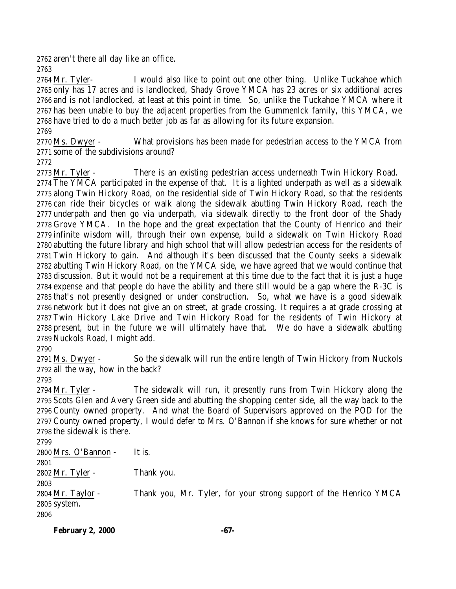aren't there all day like an office.

 Mr. Tyler- I would also like to point out one other thing. Unlike Tuckahoe which only has 17 acres and is landlocked, Shady Grove YMCA has 23 acres or six additional acres and is not landlocked, at least at this point in time. So, unlike the Tuckahoe YMCA where it has been unable to buy the adjacent properties from the Gummenlck family, this YMCA, we have tried to do a much better job as far as allowing for its future expansion.

 Ms. Dwyer - What provisions has been made for pedestrian access to the YMCA from some of the subdivisions around?

 Mr. Tyler - There is an existing pedestrian access underneath Twin Hickory Road. The YMCA participated in the expense of that. It is a lighted underpath as well as a sidewalk along Twin Hickory Road, on the residential side of Twin Hickory Road, so that the residents can ride their bicycles or walk along the sidewalk abutting Twin Hickory Road, reach the underpath and then go via underpath, via sidewalk directly to the front door of the Shady Grove YMCA. In the hope and the great expectation that the County of Henrico and their infinite wisdom will, through their own expense, build a sidewalk on Twin Hickory Road abutting the future library and high school that will allow pedestrian access for the residents of Twin Hickory to gain. And although it's been discussed that the County seeks a sidewalk abutting Twin Hickory Road, on the YMCA side, we have agreed that we would continue that discussion. But it would not be a requirement at this time due to the fact that it is just a huge expense and that people do have the ability and there still would be a gap where the R-3C is that's not presently designed or under construction. So, what we have is a good sidewalk network but it does not give an on street, at grade crossing. It requires a at grade crossing at Twin Hickory Lake Drive and Twin Hickory Road for the residents of Twin Hickory at present, but in the future we will ultimately have that. We do have a sidewalk abutting Nuckols Road, I might add.

 Ms. Dwyer - So the sidewalk will run the entire length of Twin Hickory from Nuckols all the way, how in the back?

 Mr. Tyler - The sidewalk will run, it presently runs from Twin Hickory along the Scots Glen and Avery Green side and abutting the shopping center side, all the way back to the County owned property. And what the Board of Supervisors approved on the POD for the County owned property, I would defer to Mrs. O'Bannon if she knows for sure whether or not the sidewalk is there.

 Mrs. O'Bannon - It is. Mr. Tyler - Thank you. Mr. Taylor - Thank you, Mr. Tyler, for your strong support of the Henrico YMCA system. 

**February 2, 2000 -67-**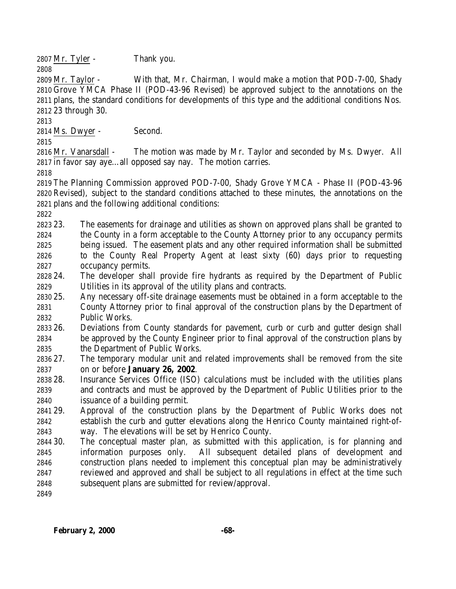Mr. Tyler - Thank you.

 Mr. Taylor - With that, Mr. Chairman, I would make a motion that POD-7-00, Shady Grove YMCA Phase II (POD-43-96 Revised) be approved subject to the annotations on the plans, the standard conditions for developments of this type and the additional conditions Nos. 23 through 30.

Ms. Dwyer - Second.

 Mr. Vanarsdall - The motion was made by Mr. Taylor and seconded by Ms. Dwyer. All in favor say aye…all opposed say nay. The motion carries.

 The Planning Commission approved POD-7-00, Shady Grove YMCA - Phase II (POD-43-96 Revised), subject to the standard conditions attached to these minutes, the annotations on the plans and the following additional conditions:

 23. The easements for drainage and utilities as shown on approved plans shall be granted to the County in a form acceptable to the County Attorney prior to any occupancy permits being issued. The easement plats and any other required information shall be submitted to the County Real Property Agent at least sixty (60) days prior to requesting occupancy permits.

- 24. The developer shall provide fire hydrants as required by the Department of Public Utilities in its approval of the utility plans and contracts.
- 25. Any necessary off-site drainage easements must be obtained in a form acceptable to the County Attorney prior to final approval of the construction plans by the Department of Public Works.
- 26. Deviations from County standards for pavement, curb or curb and gutter design shall be approved by the County Engineer prior to final approval of the construction plans by the Department of Public Works.
- 27. The temporary modular unit and related improvements shall be removed from the site on or before **January 26, 2002**.
- 28. Insurance Services Office (ISO) calculations must be included with the utilities plans and contracts and must be approved by the Department of Public Utilities prior to the issuance of a building permit.
- 29. Approval of the construction plans by the Department of Public Works does not establish the curb and gutter elevations along the Henrico County maintained right-of-way. The elevations will be set by Henrico County.
- 30. The conceptual master plan, as submitted with this application, is for planning and information purposes only. All subsequent detailed plans of development and construction plans needed to implement this conceptual plan may be administratively reviewed and approved and shall be subject to all regulations in effect at the time such subsequent plans are submitted for review/approval.
-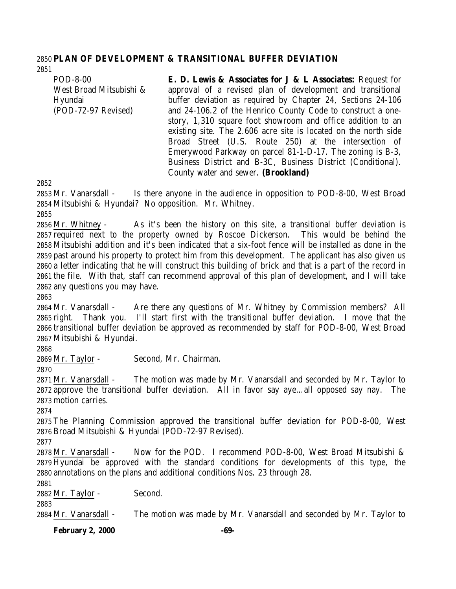#### **PLAN OF DEVELOPMENT & TRANSITIONAL BUFFER DEVIATION**

POD-8-00 West Broad Mitsubishi & Hyundai (POD-72-97 Revised) **E. D. Lewis & Associates for J & L Associates:** Request for approval of a revised plan of development and transitional buffer deviation as required by Chapter 24, Sections 24-106 and 24-106.2 of the Henrico County Code to construct a onestory, 1,310 square foot showroom and office addition to an existing site. The 2.606 acre site is located on the north side Broad Street (U.S. Route 250) at the intersection of Emerywood Parkway on parcel 81-1-D-17. The zoning is B-3, Business District and B-3C, Business District (Conditional).

County water and sewer. **(Brookland)**

 Mr. Vanarsdall - Is there anyone in the audience in opposition to POD-8-00, West Broad Mitsubishi & Hyundai? No opposition. Mr. Whitney.

 Mr. Whitney - As it's been the history on this site, a transitional buffer deviation is required next to the property owned by Roscoe Dickerson. This would be behind the Mitsubishi addition and it's been indicated that a six-foot fence will be installed as done in the past around his property to protect him from this development. The applicant has also given us a letter indicating that he will construct this building of brick and that is a part of the record in the file. With that, staff can recommend approval of this plan of development, and I will take any questions you may have.

 Mr. Vanarsdall - Are there any questions of Mr. Whitney by Commission members? All right. Thank you. I'll start first with the transitional buffer deviation. I move that the transitional buffer deviation be approved as recommended by staff for POD-8-00, West Broad Mitsubishi & Hyundai.

Mr. Taylor - Second, Mr. Chairman.

 Mr. Vanarsdall - The motion was made by Mr. Vanarsdall and seconded by Mr. Taylor to approve the transitional buffer deviation. All in favor say aye…all opposed say nay. The motion carries.

 The Planning Commission approved the transitional buffer deviation for POD-8-00, West Broad Mitsubishi & Hyundai (POD-72-97 Revised).

 Mr. Vanarsdall - Now for the POD. I recommend POD-8-00, West Broad Mitsubishi & Hyundai be approved with the standard conditions for developments of this type, the annotations on the plans and additional conditions Nos. 23 through 28.

Mr. Taylor - Second.

Mr. Vanarsdall - The motion was made by Mr. Vanarsdall and seconded by Mr. Taylor to

**February 2, 2000 -69-**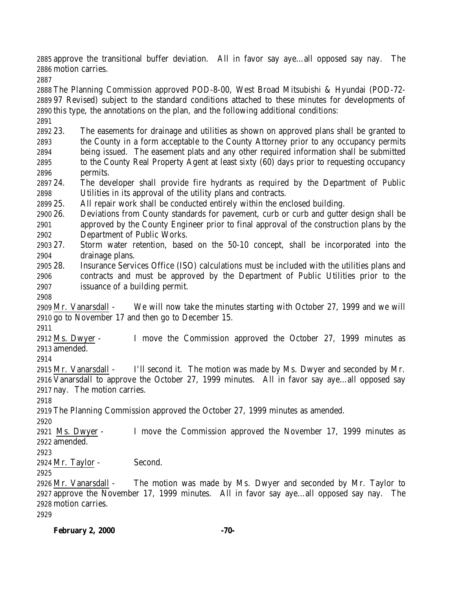approve the transitional buffer deviation. All in favor say aye…all opposed say nay. The motion carries.

 The Planning Commission approved POD-8-00, West Broad Mitsubishi & Hyundai (POD-72- 97 Revised) subject to the standard conditions attached to these minutes for developments of this type, the annotations on the plan, and the following additional conditions: 

 23. The easements for drainage and utilities as shown on approved plans shall be granted to the County in a form acceptable to the County Attorney prior to any occupancy permits being issued. The easement plats and any other required information shall be submitted to the County Real Property Agent at least sixty (60) days prior to requesting occupancy permits.

 24. The developer shall provide fire hydrants as required by the Department of Public Utilities in its approval of the utility plans and contracts.

25. All repair work shall be conducted entirely within the enclosed building.

 26. Deviations from County standards for pavement, curb or curb and gutter design shall be approved by the County Engineer prior to final approval of the construction plans by the Department of Public Works.

 27. Storm water retention, based on the 50-10 concept, shall be incorporated into the drainage plans.

 28. Insurance Services Office (ISO) calculations must be included with the utilities plans and contracts and must be approved by the Department of Public Utilities prior to the issuance of a building permit.

 Mr. Vanarsdall - We will now take the minutes starting with October 27, 1999 and we will go to November 17 and then go to December 15.

 Ms. Dwyer - I move the Commission approved the October 27, 1999 minutes as amended.

 Mr. Vanarsdall - I'll second it. The motion was made by Ms. Dwyer and seconded by Mr. Vanarsdall to approve the October 27, 1999 minutes. All in favor say aye…all opposed say nay. The motion carries.

The Planning Commission approved the October 27, 1999 minutes as amended.

 Ms. Dwyer - I move the Commission approved the November 17, 1999 minutes as amended.

Mr. Taylor - Second.

 Mr. Vanarsdall - The motion was made by Ms. Dwyer and seconded by Mr. Taylor to approve the November 17, 1999 minutes. All in favor say aye…all opposed say nay. The motion carries.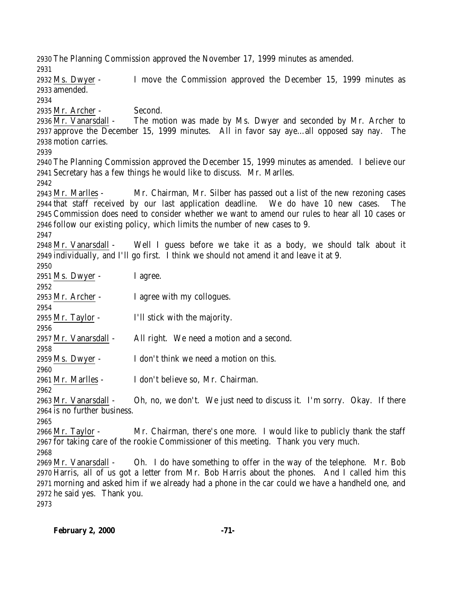The Planning Commission approved the November 17, 1999 minutes as amended. Ms. Dwyer - I move the Commission approved the December 15, 1999 minutes as amended. Mr. Archer - Second. Mr. Vanarsdall - The motion was made by Ms. Dwyer and seconded by Mr. Archer to approve the December 15, 1999 minutes. All in favor say aye…all opposed say nay. The motion carries. The Planning Commission approved the December 15, 1999 minutes as amended. I believe our Secretary has a few things he would like to discuss. Mr. Marlles. Mr. Marlles - Mr. Chairman, Mr. Silber has passed out a list of the new rezoning cases that staff received by our last application deadline. We do have 10 new cases. The Commission does need to consider whether we want to amend our rules to hear all 10 cases or follow our existing policy, which limits the number of new cases to 9. Mr. Vanarsdall - Well I guess before we take it as a body, we should talk about it individually, and I'll go first. I think we should not amend it and leave it at 9. Ms. Dwyer - I agree. 2953 Mr. Archer - I agree with my collogues. Mr. Taylor - I'll stick with the majority. 2957 Mr. Vanarsdall - All right. We need a motion and a second. Ms. Dwyer - I don't think we need a motion on this. Mr. Marlles - I don't believe so, Mr. Chairman. Mr. Vanarsdall - Oh, no, we don't. We just need to discuss it. I'm sorry. Okay. If there is no further business. Mr. Taylor - Mr. Chairman, there's one more. I would like to publicly thank the staff for taking care of the rookie Commissioner of this meeting. Thank you very much. Mr. Vanarsdall - Oh. I do have something to offer in the way of the telephone. Mr. Bob Harris, all of us got a letter from Mr. Bob Harris about the phones. And I called him this morning and asked him if we already had a phone in the car could we have a handheld one, and he said yes. Thank you.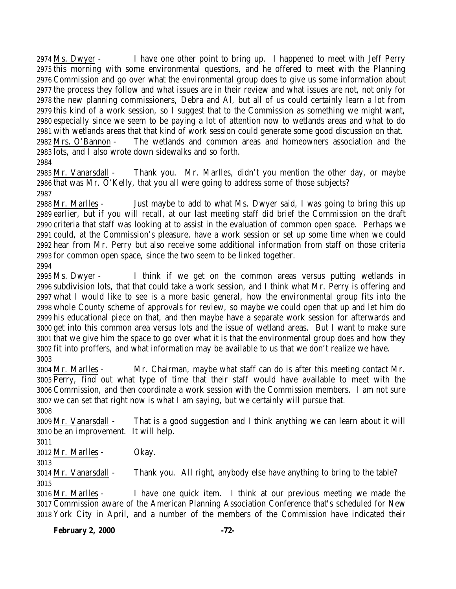Ms. Dwyer - I have one other point to bring up. I happened to meet with Jeff Perry this morning with some environmental questions, and he offered to meet with the Planning Commission and go over what the environmental group does to give us some information about the process they follow and what issues are in their review and what issues are not, not only for the new planning commissioners, Debra and Al, but all of us could certainly learn a lot from this kind of a work session, so I suggest that to the Commission as something we might want, especially since we seem to be paying a lot of attention now to wetlands areas and what to do with wetlands areas that that kind of work session could generate some good discussion on that. Mrs. O'Bannon - The wetlands and common areas and homeowners association and the lots, and I also wrote down sidewalks and so forth. 

 Mr. Vanarsdall - Thank you. Mr. Marlles, didn't you mention the other day, or maybe that was Mr. O'Kelly, that you all were going to address some of those subjects? 

 Mr. Marlles - Just maybe to add to what Ms. Dwyer said, I was going to bring this up earlier, but if you will recall, at our last meeting staff did brief the Commission on the draft criteria that staff was looking at to assist in the evaluation of common open space. Perhaps we could, at the Commission's pleasure, have a work session or set up some time when we could hear from Mr. Perry but also receive some additional information from staff on those criteria for common open space, since the two seem to be linked together.

 Ms. Dwyer - I think if we get on the common areas versus putting wetlands in subdivision lots, that that could take a work session, and I think what Mr. Perry is offering and what I would like to see is a more basic general, how the environmental group fits into the whole County scheme of approvals for review, so maybe we could open that up and let him do his educational piece on that, and then maybe have a separate work session for afterwards and get into this common area versus lots and the issue of wetland areas. But I want to make sure that we give him the space to go over what it is that the environmental group does and how they fit into proffers, and what information may be available to us that we don't realize we have. 

 Mr. Marlles - Mr. Chairman, maybe what staff can do is after this meeting contact Mr. Perry, find out what type of time that their staff would have available to meet with the Commission, and then coordinate a work session with the Commission members. I am not sure we can set that right now is what I am saying, but we certainly will pursue that.

 Mr. Vanarsdall - That is a good suggestion and I think anything we can learn about it will be an improvement. It will help.

Mr. Marlles - Okay.

 Mr. Vanarsdall - Thank you. All right, anybody else have anything to bring to the table? 

 Mr. Marlles - I have one quick item. I think at our previous meeting we made the Commission aware of the American Planning Association Conference that's scheduled for New York City in April, and a number of the members of the Commission have indicated their